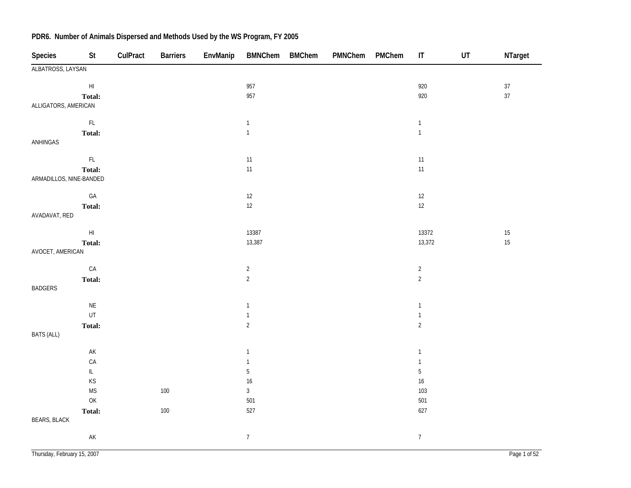| Species                     | St                                                                                      | CulPract | <b>Barriers</b> | EnvManip | <b>BMNChem</b>   | <b>BMChem</b> | PMNChem | PMChem | $\ensuremath{\mathsf{IT}}\xspace$ | UT | NTarget      |
|-----------------------------|-----------------------------------------------------------------------------------------|----------|-----------------|----------|------------------|---------------|---------|--------|-----------------------------------|----|--------------|
| ALBATROSS, LAYSAN           |                                                                                         |          |                 |          |                  |               |         |        |                                   |    |              |
|                             | $\mathsf{H}\mathsf{I}$                                                                  |          |                 |          | 957              |               |         |        | 920                               |    | $37\,$       |
|                             | Total:                                                                                  |          |                 |          | 957              |               |         |        | 920                               |    | 37           |
| ALLIGATORS, AMERICAN        |                                                                                         |          |                 |          |                  |               |         |        |                                   |    |              |
|                             | $\mathsf{FL}$                                                                           |          |                 |          | $\mathbf{1}$     |               |         |        | $\mathbf{1}$                      |    |              |
|                             | Total:                                                                                  |          |                 |          | $\overline{1}$   |               |         |        | $\mathbf{1}$                      |    |              |
| ANHINGAS                    |                                                                                         |          |                 |          |                  |               |         |        |                                   |    |              |
|                             | $\mathsf{FL}$                                                                           |          |                 |          | $11$             |               |         |        | $11$                              |    |              |
|                             | Total:                                                                                  |          |                 |          | $11$             |               |         |        | $11$                              |    |              |
| ARMADILLOS, NINE-BANDED     |                                                                                         |          |                 |          |                  |               |         |        |                                   |    |              |
|                             | $\mathsf{GA}$                                                                           |          |                 |          | $12$             |               |         |        | $12\,$                            |    |              |
|                             | Total:                                                                                  |          |                 |          | 12               |               |         |        | 12                                |    |              |
| AVADAVAT, RED               |                                                                                         |          |                 |          |                  |               |         |        |                                   |    |              |
|                             | $\mathsf{H}\mathsf{I}$                                                                  |          |                 |          | 13387            |               |         |        | 13372                             |    | $15\,$       |
|                             | Total:                                                                                  |          |                 |          | 13,387           |               |         |        | 13,372                            |    | 15           |
| AVOCET, AMERICAN            |                                                                                         |          |                 |          |                  |               |         |        |                                   |    |              |
|                             | $\mathsf{CA}$                                                                           |          |                 |          | $\overline{2}$   |               |         |        | $\overline{2}$                    |    |              |
|                             | Total:                                                                                  |          |                 |          | $\overline{2}$   |               |         |        | $\overline{2}$                    |    |              |
| <b>BADGERS</b>              |                                                                                         |          |                 |          |                  |               |         |        |                                   |    |              |
|                             | $\mathsf{NE}\xspace$                                                                    |          |                 |          | $\mathbf{1}$     |               |         |        | $\overline{1}$                    |    |              |
|                             | UT                                                                                      |          |                 |          | $\mathbf{1}$     |               |         |        | $\mathbf{1}$                      |    |              |
|                             | Total:                                                                                  |          |                 |          | $\overline{2}$   |               |         |        | $\overline{2}$                    |    |              |
| <b>BATS (ALL)</b>           |                                                                                         |          |                 |          |                  |               |         |        |                                   |    |              |
|                             | $\mathsf{AK}$                                                                           |          |                 |          | $\mathbf{1}$     |               |         |        | $\mathbf{1}$                      |    |              |
|                             | CA                                                                                      |          |                 |          | $\mathbf{1}$     |               |         |        | $\mathbf{1}$                      |    |              |
|                             | $\ensuremath{\mathsf{IL}}\xspace$                                                       |          |                 |          | $\mathbf 5$      |               |         |        | $\sqrt{5}$                        |    |              |
|                             | KS                                                                                      |          |                 |          | 16               |               |         |        | $16\,$                            |    |              |
|                             | $\mathsf{MS}\xspace$                                                                    |          | 100             |          | $\sqrt{3}$       |               |         |        | 103                               |    |              |
|                             | $\mathsf{OK}% \left( \mathcal{M}\right) \equiv\mathsf{OK}^{3}\left( \mathcal{M}\right)$ |          |                 |          | 501              |               |         |        | 501                               |    |              |
|                             | Total:                                                                                  |          | 100             |          | 527              |               |         |        | 627                               |    |              |
| <b>BEARS, BLACK</b>         |                                                                                         |          |                 |          |                  |               |         |        |                                   |    |              |
|                             | AK                                                                                      |          |                 |          | $\boldsymbol{7}$ |               |         |        | $\overline{7}$                    |    |              |
| Thursday, February 15, 2007 |                                                                                         |          |                 |          |                  |               |         |        |                                   |    | Page 1 of 52 |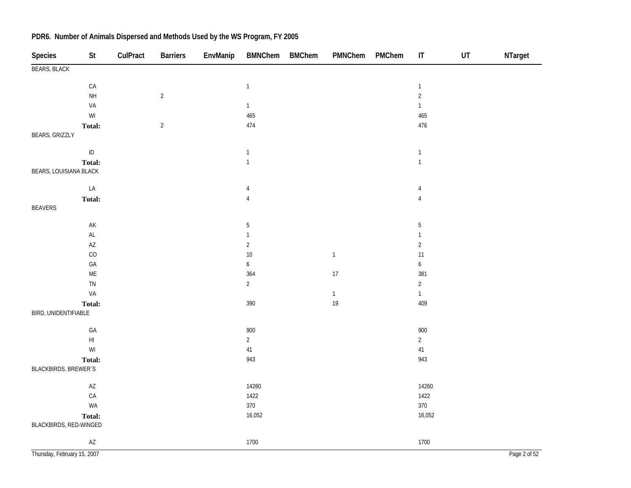| Species                     | St                                                      | CulPract | <b>Barriers</b> | EnvManip | BMNChem BMChem   | PMNChem      | PMChem | $\sf IT$         | $\sf{UT}$ | NTarget      |
|-----------------------------|---------------------------------------------------------|----------|-----------------|----------|------------------|--------------|--------|------------------|-----------|--------------|
| <b>BEARS, BLACK</b>         |                                                         |          |                 |          |                  |              |        |                  |           |              |
|                             | ${\sf CA}$                                              |          |                 |          | $\mathbf{1}$     |              |        | $\mathbf 1$      |           |              |
|                             | $\mathsf{NH}\,$                                         |          | $\sqrt{2}$      |          |                  |              |        | $\overline{2}$   |           |              |
|                             | VA                                                      |          |                 |          | $\mathbf{1}$     |              |        | $\mathbf{1}$     |           |              |
|                             | $\ensuremath{\mathsf{W}}\xspace\ensuremath{\mathsf{I}}$ |          |                 |          | 465              |              |        | 465              |           |              |
|                             | Total:                                                  |          | $\overline{2}$  |          | 474              |              |        | 476              |           |              |
| BEARS, GRIZZLY              |                                                         |          |                 |          |                  |              |        |                  |           |              |
|                             | $\sf ID$                                                |          |                 |          | $\mathbf{1}$     |              |        | $\overline{1}$   |           |              |
|                             | Total:                                                  |          |                 |          | $\mathbf{1}$     |              |        | $\mathbf{1}$     |           |              |
| BEARS, LOUISIANA BLACK      |                                                         |          |                 |          |                  |              |        |                  |           |              |
|                             | ${\sf LA}$                                              |          |                 |          | 4                |              |        | $\overline{4}$   |           |              |
|                             | Total:                                                  |          |                 |          | $\overline{4}$   |              |        | $\sqrt{4}$       |           |              |
| <b>BEAVERS</b>              |                                                         |          |                 |          |                  |              |        |                  |           |              |
|                             | $\mathsf{AK}$                                           |          |                 |          | $\sqrt{5}$       |              |        | $\sqrt{5}$       |           |              |
|                             | $\mathsf{AL}$                                           |          |                 |          | $\mathbf{1}$     |              |        | $\mathbf{1}$     |           |              |
|                             | $\mathsf{A}\mathsf{Z}$                                  |          |                 |          | $\overline{2}$   |              |        | $\overline{c}$   |           |              |
|                             | CO                                                      |          |                 |          | $10$             | $\mathbf{1}$ |        | 11               |           |              |
|                             | $\mathsf{GA}$                                           |          |                 |          | $\boldsymbol{6}$ |              |        | $\boldsymbol{6}$ |           |              |
|                             | $\mathsf{ME}$                                           |          |                 |          | 364              | 17           |        | 381              |           |              |
|                             | TN                                                      |          |                 |          | $\overline{2}$   |              |        | $\overline{c}$   |           |              |
|                             | VA                                                      |          |                 |          |                  | $\mathbf{1}$ |        | $\mathbf{1}$     |           |              |
|                             | Total:                                                  |          |                 |          | 390              | 19           |        | 409              |           |              |
| BIRD, UNIDENTIFIABLE        |                                                         |          |                 |          |                  |              |        |                  |           |              |
|                             | $\mathsf{GA}$                                           |          |                 |          | 900              |              |        | 900              |           |              |
|                             | $\mathsf{HI}$                                           |          |                 |          | $\overline{2}$   |              |        | $\overline{2}$   |           |              |
|                             | WI                                                      |          |                 |          | 41               |              |        | 41               |           |              |
|                             | Total:                                                  |          |                 |          | 943              |              |        | 943              |           |              |
| BLACKBIRDS, BREWER'S        |                                                         |          |                 |          |                  |              |        |                  |           |              |
|                             | $\mathsf{A}\mathsf{Z}$                                  |          |                 |          | 14260            |              |        | 14260            |           |              |
|                             | ${\sf CA}$                                              |          |                 |          | 1422             |              |        | 1422             |           |              |
|                             | WA                                                      |          |                 |          | 370              |              |        | 370              |           |              |
| BLACKBIRDS, RED-WINGED      | Total:                                                  |          |                 |          | 16,052           |              |        | 16,052           |           |              |
|                             | $\mathsf{A}\mathsf{Z}$                                  |          |                 |          | 1700             |              |        | 1700             |           |              |
| Thursday, February 15, 2007 |                                                         |          |                 |          |                  |              |        |                  |           | Page 2 of 52 |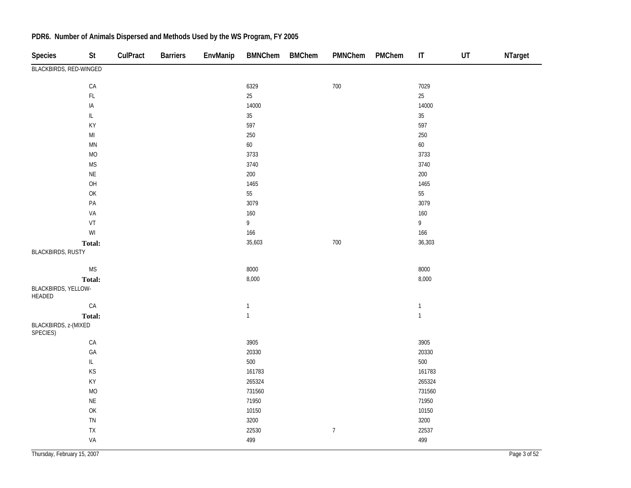| <b>Species</b>                   | St                                                                                    | CulPract | <b>Barriers</b> | EnvManip | <b>BMNChem</b> | <b>BMChem</b> | PMNChem        | PMChem | $\sf IT$     | UT | NTarget |
|----------------------------------|---------------------------------------------------------------------------------------|----------|-----------------|----------|----------------|---------------|----------------|--------|--------------|----|---------|
| BLACKBIRDS, RED-WINGED           |                                                                                       |          |                 |          |                |               |                |        |              |    |         |
|                                  | ${\sf CA}$                                                                            |          |                 |          | 6329           |               | 700            |        | 7029         |    |         |
|                                  | $\mathsf{FL}$                                                                         |          |                 |          | $25\,$         |               |                |        | 25           |    |         |
|                                  | IA                                                                                    |          |                 |          | 14000          |               |                |        | 14000        |    |         |
|                                  | $\bar{\mathbb{L}}$                                                                    |          |                 |          | $35\,$         |               |                |        | $35\,$       |    |         |
|                                  | KY                                                                                    |          |                 |          | 597            |               |                |        | 597          |    |         |
|                                  | $\mathsf{MI}$                                                                         |          |                 |          | 250            |               |                |        | 250          |    |         |
|                                  | $\mathsf{M}\mathsf{N}$                                                                |          |                 |          | 60             |               |                |        | 60           |    |         |
|                                  | $\rm MO$                                                                              |          |                 |          | 3733           |               |                |        | 3733         |    |         |
|                                  | <b>MS</b>                                                                             |          |                 |          | 3740           |               |                |        | 3740         |    |         |
|                                  | $\sf NE$                                                                              |          |                 |          | 200            |               |                |        | 200          |    |         |
|                                  | OH                                                                                    |          |                 |          | 1465           |               |                |        | 1465         |    |         |
|                                  | OK                                                                                    |          |                 |          | 55             |               |                |        | 55           |    |         |
|                                  | $\mathsf{PA}$                                                                         |          |                 |          | 3079           |               |                |        | 3079         |    |         |
|                                  | VA                                                                                    |          |                 |          | 160            |               |                |        | 160          |    |         |
|                                  | VT                                                                                    |          |                 |          | $\overline{9}$ |               |                |        | 9            |    |         |
|                                  | $\mathsf{W}\mathsf{I}$                                                                |          |                 |          | 166            |               |                |        | 166          |    |         |
|                                  | Total:                                                                                |          |                 |          | 35,603         |               | 700            |        | 36,303       |    |         |
| <b>BLACKBIRDS, RUSTY</b>         |                                                                                       |          |                 |          |                |               |                |        |              |    |         |
|                                  | $\mathsf{MS}\xspace$                                                                  |          |                 |          | 8000           |               |                |        | 8000         |    |         |
|                                  | Total:                                                                                |          |                 |          | 8,000          |               |                |        | 8,000        |    |         |
| BLACKBIRDS, YELLOW-<br>HEADED    |                                                                                       |          |                 |          |                |               |                |        |              |    |         |
|                                  | CA                                                                                    |          |                 |          | $\mathbbm{1}$  |               |                |        | $\mathbf{1}$ |    |         |
|                                  | Total:                                                                                |          |                 |          | $\mathbf{1}$   |               |                |        | $\mathbf{1}$ |    |         |
| BLACKBIRDS, z-(MIXED<br>SPECIES) |                                                                                       |          |                 |          |                |               |                |        |              |    |         |
|                                  | ${\sf CA}$                                                                            |          |                 |          | 3905           |               |                |        | 3905         |    |         |
|                                  | GA                                                                                    |          |                 |          | 20330          |               |                |        | 20330        |    |         |
|                                  | $\ensuremath{\mathsf{IL}}\xspace$                                                     |          |                 |          | 500            |               |                |        | 500          |    |         |
|                                  | KS                                                                                    |          |                 |          | 161783         |               |                |        | 161783       |    |         |
|                                  | KY                                                                                    |          |                 |          | 265324         |               |                |        | 265324       |    |         |
|                                  | $\rm MO$                                                                              |          |                 |          | 731560         |               |                |        | 731560       |    |         |
|                                  | $\sf NE$                                                                              |          |                 |          | 71950          |               |                |        | 71950        |    |         |
|                                  | $\mathsf{OK}% \left( \mathcal{M}\right) \equiv\mathsf{OK}(\mathcal{M}_{\mathrm{CL}})$ |          |                 |          | 10150          |               |                |        | 10150        |    |         |
|                                  | ${\sf TN}$                                                                            |          |                 |          | 3200           |               |                |        | 3200         |    |         |
|                                  | ${\sf TX}$                                                                            |          |                 |          | 22530          |               | $\overline{7}$ |        | 22537        |    |         |
|                                  | VA                                                                                    |          |                 |          | 499            |               |                |        | 499          |    |         |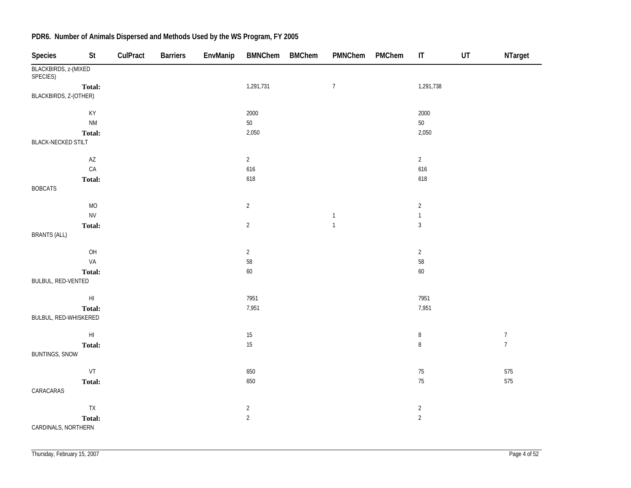| Species                          | St                     | CulPract | <b>Barriers</b> | EnvManip | <b>BMNChem</b> | <b>BMChem</b> | PMNChem          | PMChem | $\sf IT$       | $\sf{UT}$ | NTarget          |
|----------------------------------|------------------------|----------|-----------------|----------|----------------|---------------|------------------|--------|----------------|-----------|------------------|
| BLACKBIRDS, z-(MIXED<br>SPECIES) |                        |          |                 |          |                |               |                  |        |                |           |                  |
|                                  | Total:                 |          |                 |          | 1,291,731      |               | $\boldsymbol{7}$ |        | 1,291,738      |           |                  |
| BLACKBIRDS, Z-(OTHER)            |                        |          |                 |          |                |               |                  |        |                |           |                  |
|                                  | KY                     |          |                 |          | 2000           |               |                  |        | 2000           |           |                  |
|                                  | <b>NM</b>              |          |                 |          | $50\,$         |               |                  |        | $50\,$         |           |                  |
|                                  | Total:                 |          |                 |          | 2,050          |               |                  |        | 2,050          |           |                  |
| <b>BLACK-NECKED STILT</b>        |                        |          |                 |          |                |               |                  |        |                |           |                  |
|                                  | $\mathsf{AZ}$          |          |                 |          | $\overline{2}$ |               |                  |        | $\overline{2}$ |           |                  |
|                                  | CA                     |          |                 |          | 616            |               |                  |        | 616            |           |                  |
|                                  | Total:                 |          |                 |          | 618            |               |                  |        | 618            |           |                  |
| <b>BOBCATS</b>                   |                        |          |                 |          |                |               |                  |        |                |           |                  |
|                                  | MO                     |          |                 |          | $\sqrt{2}$     |               |                  |        | $\overline{c}$ |           |                  |
|                                  | <b>NV</b>              |          |                 |          |                |               | $\mathbf{1}$     |        | $\mathbf{1}$   |           |                  |
| <b>BRANTS (ALL)</b>              | Total:                 |          |                 |          | $\overline{2}$ |               | $\mathbf{1}$     |        | $\sqrt{3}$     |           |                  |
|                                  | OH                     |          |                 |          | $\overline{2}$ |               |                  |        | $\overline{2}$ |           |                  |
|                                  | VA                     |          |                 |          | 58             |               |                  |        | $58\,$         |           |                  |
|                                  | Total:                 |          |                 |          | $60\,$         |               |                  |        | $60\,$         |           |                  |
| BULBUL, RED-VENTED               |                        |          |                 |          |                |               |                  |        |                |           |                  |
|                                  | $\mathsf{H}\mathsf{I}$ |          |                 |          | 7951           |               |                  |        | 7951           |           |                  |
|                                  | Total:                 |          |                 |          | 7,951          |               |                  |        | 7,951          |           |                  |
| BULBUL, RED-WHISKERED            |                        |          |                 |          |                |               |                  |        |                |           |                  |
|                                  | $\mathsf{H}\mathsf{I}$ |          |                 |          | 15             |               |                  |        | $\, 8$         |           | $\boldsymbol{7}$ |
|                                  | Total:                 |          |                 |          | 15             |               |                  |        | $\, 8$         |           | $\overline{7}$   |
| <b>BUNTINGS, SNOW</b>            |                        |          |                 |          |                |               |                  |        |                |           |                  |
|                                  | VT                     |          |                 |          | 650            |               |                  |        | $75\,$         |           | 575              |
|                                  | Total:                 |          |                 |          | 650            |               |                  |        | 75             |           | 575              |
| CARACARAS                        |                        |          |                 |          |                |               |                  |        |                |           |                  |
|                                  | ${\sf TX}$             |          |                 |          | $\overline{c}$ |               |                  |        | $\overline{a}$ |           |                  |
|                                  | Total:                 |          |                 |          | $\sqrt{2}$     |               |                  |        | $\overline{2}$ |           |                  |
| CARDINALS, NORTHERN              |                        |          |                 |          |                |               |                  |        |                |           |                  |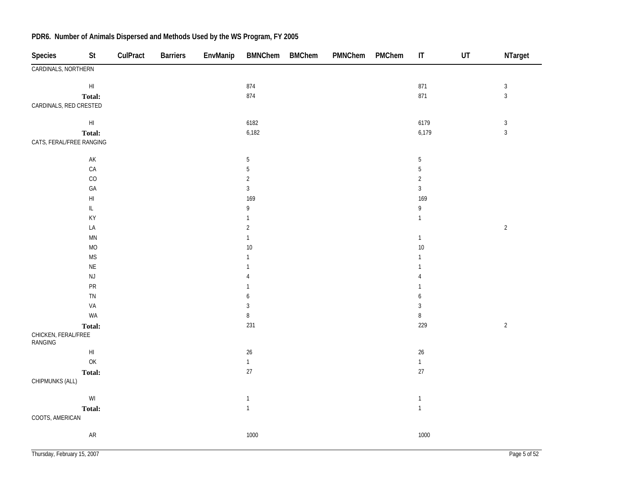| <b>Species</b>                 | St                                                                                                 | CulPract | <b>Barriers</b> | EnvManip | <b>BMNChem</b>                    | <b>BMChem</b> | PMNChem | PMChem | $\sf IT$       | $\sf{UT}$ | NTarget        |
|--------------------------------|----------------------------------------------------------------------------------------------------|----------|-----------------|----------|-----------------------------------|---------------|---------|--------|----------------|-----------|----------------|
| CARDINALS, NORTHERN            |                                                                                                    |          |                 |          |                                   |               |         |        |                |           |                |
|                                | $\mathsf{H}\mathsf{I}$                                                                             |          |                 |          | 874                               |               |         |        | 871            |           | $\sqrt{3}$     |
|                                | Total:                                                                                             |          |                 |          | 874                               |               |         |        | 871            |           | $\mathfrak{Z}$ |
| CARDINALS, RED CRESTED         |                                                                                                    |          |                 |          |                                   |               |         |        |                |           |                |
|                                | $\mathsf{HI}$                                                                                      |          |                 |          | 6182                              |               |         |        | 6179           |           | $\sqrt{3}$     |
|                                | Total:                                                                                             |          |                 |          | 6,182                             |               |         |        | 6,179          |           | $\overline{3}$ |
| CATS, FERAL/FREE RANGING       |                                                                                                    |          |                 |          |                                   |               |         |        |                |           |                |
|                                | $\mathsf{AK}$                                                                                      |          |                 |          | $\mathbf 5$                       |               |         |        | $\overline{5}$ |           |                |
|                                | CA                                                                                                 |          |                 |          | $\sqrt{5}$                        |               |         |        | $\mathbf 5$    |           |                |
|                                | $_{\rm CO}$                                                                                        |          |                 |          | $\overline{2}$                    |               |         |        | $\overline{2}$ |           |                |
|                                | GA                                                                                                 |          |                 |          | $\sqrt{3}$                        |               |         |        | $\sqrt{3}$     |           |                |
|                                | $\mathsf{H}\mathsf{I}$                                                                             |          |                 |          | 169                               |               |         |        | 169            |           |                |
|                                | $\ensuremath{\mathsf{IL}}\xspace$                                                                  |          |                 |          | $\mathsf{g}% _{T}=\mathsf{g}_{T}$ |               |         |        | 9              |           |                |
|                                | KY                                                                                                 |          |                 |          | $\mathbf{1}$                      |               |         |        | $\mathbf{1}$   |           |                |
|                                | LA                                                                                                 |          |                 |          | $\sqrt{2}$                        |               |         |        |                |           | $\sqrt{2}$     |
|                                | $\mathsf{M}\mathsf{N}$                                                                             |          |                 |          | $\mathbf{1}$                      |               |         |        | $\mathbf{1}$   |           |                |
|                                | $MO$                                                                                               |          |                 |          | $10$                              |               |         |        | $10\,$         |           |                |
|                                | $\mathsf{MS}\xspace$                                                                               |          |                 |          | 1                                 |               |         |        | 1              |           |                |
|                                | $\mathsf{NE}\xspace$                                                                               |          |                 |          | $\mathbf{1}$                      |               |         |        | $\mathbf{1}$   |           |                |
|                                | $\mathsf{NJ}$                                                                                      |          |                 |          | 4                                 |               |         |        | 4              |           |                |
|                                | PR                                                                                                 |          |                 |          | $\mathbf{1}$                      |               |         |        | $\mathbf 1$    |           |                |
|                                | TN                                                                                                 |          |                 |          | 6                                 |               |         |        | 6              |           |                |
|                                | VA                                                                                                 |          |                 |          | $\sqrt{3}$                        |               |         |        | 3              |           |                |
|                                | WA                                                                                                 |          |                 |          | $\, 8$                            |               |         |        | $\, 8$         |           |                |
|                                | Total:                                                                                             |          |                 |          | 231                               |               |         |        | 229            |           | $\sqrt{2}$     |
| CHICKEN, FERAL/FREE<br>RANGING |                                                                                                    |          |                 |          |                                   |               |         |        |                |           |                |
|                                | $\mathsf{HI}$                                                                                      |          |                 |          | $26\,$                            |               |         |        | $26\,$         |           |                |
|                                | $\mathsf{OK}% \left( \mathcal{M}\right) \equiv\mathsf{OK}(\mathcal{M}_{\mathrm{CL}}(\mathcal{M}))$ |          |                 |          | $\mathbf{1}$                      |               |         |        | $\mathbf{1}$   |           |                |
|                                | Total:                                                                                             |          |                 |          | $27\,$                            |               |         |        | $27\,$         |           |                |
| CHIPMUNKS (ALL)                |                                                                                                    |          |                 |          |                                   |               |         |        |                |           |                |
|                                | $\ensuremath{\mathsf{W}}\xspace\ensuremath{\mathsf{I}}$                                            |          |                 |          | $\mathbf{1}$                      |               |         |        | $\mathbf{1}$   |           |                |
|                                | Total:                                                                                             |          |                 |          | $\mathbf{1}$                      |               |         |        | $\mathbf{1}$   |           |                |
| COOTS, AMERICAN                |                                                                                                    |          |                 |          |                                   |               |         |        |                |           |                |
|                                | ${\sf AR}$                                                                                         |          |                 |          | 1000                              |               |         |        | 1000           |           |                |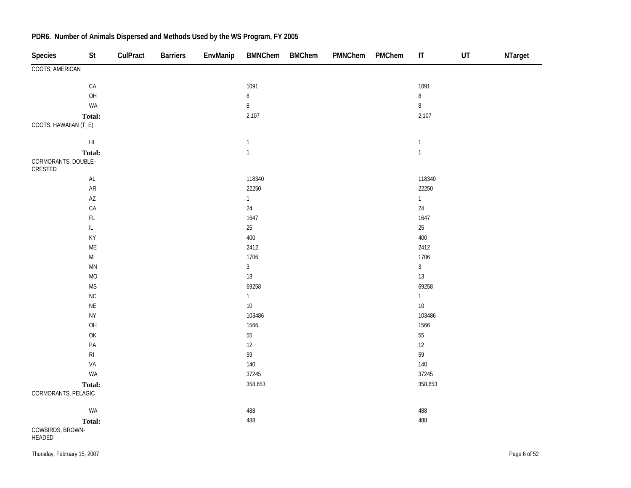| <b>Species</b>                 | St                                                                                    | CulPract | <b>Barriers</b> | EnvManip | <b>BMNChem</b> | <b>BMChem</b> | PMNChem | PMChem | $\mathsf{I}\mathsf{T}$ | UT | NTarget |
|--------------------------------|---------------------------------------------------------------------------------------|----------|-----------------|----------|----------------|---------------|---------|--------|------------------------|----|---------|
| COOTS, AMERICAN                |                                                                                       |          |                 |          |                |               |         |        |                        |    |         |
|                                | ${\sf CA}$                                                                            |          |                 |          | 1091           |               |         |        | 1091                   |    |         |
|                                | OH                                                                                    |          |                 |          | $\, 8$         |               |         |        | $\bf 8$                |    |         |
|                                | WA                                                                                    |          |                 |          | $\bf 8$        |               |         |        | $\, 8$                 |    |         |
|                                | <b>Total:</b>                                                                         |          |                 |          | 2,107          |               |         |        | 2,107                  |    |         |
| COOTS, HAWAIIAN (T_E)          |                                                                                       |          |                 |          |                |               |         |        |                        |    |         |
|                                | $\mathsf{HI}$                                                                         |          |                 |          | $\mathbf{1}$   |               |         |        | $\mathbf{1}$           |    |         |
|                                | Total:                                                                                |          |                 |          | $\mathbf{1}$   |               |         |        | $\mathbf{1}$           |    |         |
| CORMORANTS, DOUBLE-<br>CRESTED |                                                                                       |          |                 |          |                |               |         |        |                        |    |         |
|                                | $\mathsf{AL}$                                                                         |          |                 |          | 118340         |               |         |        | 118340                 |    |         |
|                                | ${\sf AR}$                                                                            |          |                 |          | 22250          |               |         |        | 22250                  |    |         |
|                                | $\mathsf{A}\mathsf{Z}$                                                                |          |                 |          | $\mathbf{1}$   |               |         |        | $\mathbf{1}$           |    |         |
|                                | ${\sf CA}$                                                                            |          |                 |          | $24\,$         |               |         |        | 24                     |    |         |
|                                | $\mathsf{FL}$                                                                         |          |                 |          | 1647           |               |         |        | 1647                   |    |         |
|                                | $\ensuremath{\mathsf{IL}}\xspace$                                                     |          |                 |          | $25\,$         |               |         |        | $25\,$                 |    |         |
|                                | KY                                                                                    |          |                 |          | 400            |               |         |        | 400                    |    |         |
|                                | ME                                                                                    |          |                 |          | 2412           |               |         |        | 2412                   |    |         |
|                                | $\mathsf{MI}$                                                                         |          |                 |          | 1706           |               |         |        | 1706                   |    |         |
|                                | $\mathsf{M}\mathsf{N}$                                                                |          |                 |          | $\mathfrak{Z}$ |               |         |        | $\overline{3}$         |    |         |
|                                | MO                                                                                    |          |                 |          | 13             |               |         |        | 13                     |    |         |
|                                | <b>MS</b>                                                                             |          |                 |          | 69258          |               |         |        | 69258                  |    |         |
|                                | NC                                                                                    |          |                 |          | $\mathbf{1}$   |               |         |        | $\overline{1}$         |    |         |
|                                | $\sf NE$                                                                              |          |                 |          | $10\,$         |               |         |        | $10\,$                 |    |         |
|                                | <b>NY</b>                                                                             |          |                 |          | 103486         |               |         |        | 103486                 |    |         |
|                                | OH                                                                                    |          |                 |          | 1566           |               |         |        | 1566                   |    |         |
|                                | $\mathsf{OK}% \left( \mathcal{M}\right) \equiv\mathsf{OK}(\mathcal{M}_{\mathrm{CL}})$ |          |                 |          | 55             |               |         |        | $55\,$                 |    |         |
|                                | $\mathsf{PA}$                                                                         |          |                 |          | 12             |               |         |        | 12                     |    |         |
|                                | $\mathsf{RI}$                                                                         |          |                 |          | 59             |               |         |        | 59                     |    |         |
|                                | VA                                                                                    |          |                 |          | 140            |               |         |        | 140                    |    |         |
|                                | WA                                                                                    |          |                 |          | 37245          |               |         |        | 37245                  |    |         |
|                                | Total:                                                                                |          |                 |          | 358,653        |               |         |        | 358,653                |    |         |
| CORMORANTS, PELAGIC            |                                                                                       |          |                 |          |                |               |         |        |                        |    |         |
|                                | WA                                                                                    |          |                 |          | 488            |               |         |        | 488                    |    |         |
|                                | Total:                                                                                |          |                 |          | 488            |               |         |        | 488                    |    |         |
| COWBIRDS, BROWN-<br>HEADED     |                                                                                       |          |                 |          |                |               |         |        |                        |    |         |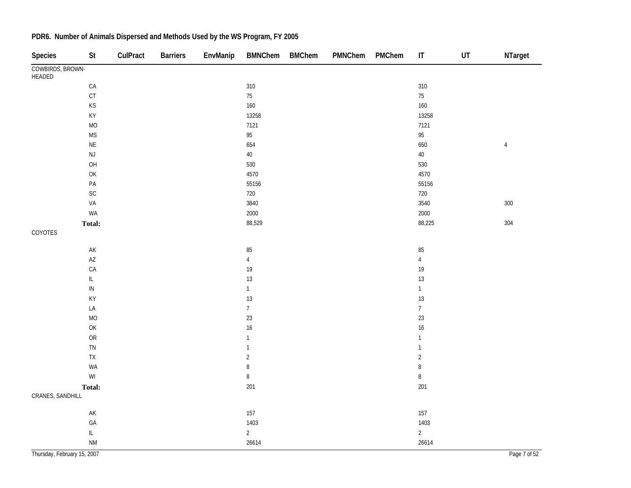| <b>Species</b>              | St                                                                                      | CulPract | <b>Barriers</b> | EnvManip | <b>BMNChem</b>           | <b>BMChem</b> | PMNChem | PMChem | $\sf IT$         | $\sf{UT}$ | NTarget      |
|-----------------------------|-----------------------------------------------------------------------------------------|----------|-----------------|----------|--------------------------|---------------|---------|--------|------------------|-----------|--------------|
| COWBIRDS, BROWN-<br>HEADED  |                                                                                         |          |                 |          |                          |               |         |        |                  |           |              |
|                             | $\mathsf{CA}$                                                                           |          |                 |          | 310                      |               |         |        | 310              |           |              |
|                             | $\mathsf{C}\mathsf{T}$                                                                  |          |                 |          | 75                       |               |         |        | $75\,$           |           |              |
|                             | KS                                                                                      |          |                 |          | 160                      |               |         |        | 160              |           |              |
|                             | KY                                                                                      |          |                 |          | 13258                    |               |         |        | 13258            |           |              |
|                             | <b>MO</b>                                                                               |          |                 |          | 7121                     |               |         |        | 7121             |           |              |
|                             | <b>MS</b>                                                                               |          |                 |          | 95                       |               |         |        | $95\,$           |           |              |
|                             | $\mathsf{NE}\xspace$                                                                    |          |                 |          | 654                      |               |         |        | 650              |           | $\sqrt{4}$   |
|                             | $\mathsf{NJ}$                                                                           |          |                 |          | $40\,$                   |               |         |        | $40\,$           |           |              |
|                             | $\mathsf{OH}$                                                                           |          |                 |          | 530                      |               |         |        | 530              |           |              |
|                             | $\mathsf{OK}$                                                                           |          |                 |          | 4570                     |               |         |        | 4570             |           |              |
|                             | PA                                                                                      |          |                 |          | 55156                    |               |         |        | 55156            |           |              |
|                             | $\mathsf{SC}$                                                                           |          |                 |          | 720                      |               |         |        | 720              |           |              |
|                             | VA                                                                                      |          |                 |          | 3840                     |               |         |        | 3540             |           | $300\,$      |
|                             | WA                                                                                      |          |                 |          | 2000                     |               |         |        | 2000             |           |              |
|                             | Total:                                                                                  |          |                 |          | 88,529                   |               |         |        | 88,225           |           | 304          |
| COYOTES                     |                                                                                         |          |                 |          |                          |               |         |        |                  |           |              |
|                             | $\mathsf{AK}$                                                                           |          |                 |          | 85                       |               |         |        | 85               |           |              |
|                             | $\mathsf{A}\mathsf{Z}$                                                                  |          |                 |          | $\sqrt{4}$               |               |         |        | $\overline{4}$   |           |              |
|                             | ${\sf CA}$                                                                              |          |                 |          | 19                       |               |         |        | 19               |           |              |
|                             | $\mathsf{IL}$                                                                           |          |                 |          | 13                       |               |         |        | 13               |           |              |
|                             | ${\sf IN}$                                                                              |          |                 |          | $\mathbf{1}$             |               |         |        | $\mathbf{1}$     |           |              |
|                             | KY                                                                                      |          |                 |          | 13                       |               |         |        | 13               |           |              |
|                             | LA                                                                                      |          |                 |          | $\overline{\mathcal{I}}$ |               |         |        | $\boldsymbol{7}$ |           |              |
|                             | <b>MO</b>                                                                               |          |                 |          | 23                       |               |         |        | 23               |           |              |
|                             | $\mathsf{OK}% \left( \mathcal{M}\right) \equiv\mathsf{OK}^{3}\left( \mathcal{M}\right)$ |          |                 |          | 16                       |               |         |        | 16               |           |              |
|                             | <b>OR</b>                                                                               |          |                 |          | $\mathbf{1}$             |               |         |        | $\mathbf{1}$     |           |              |
|                             | ${\sf TN}$                                                                              |          |                 |          | $\mathbf{1}$             |               |         |        | $\mathbf{1}$     |           |              |
|                             | ${\sf TX}$                                                                              |          |                 |          | $\sqrt{2}$               |               |         |        | $\overline{2}$   |           |              |
|                             | WA                                                                                      |          |                 |          | $\, 8$                   |               |         |        | $\, 8$           |           |              |
|                             | $\mathsf{W}\mathsf{I}$                                                                  |          |                 |          | $\, 8$                   |               |         |        | $\, 8$           |           |              |
|                             | Total:                                                                                  |          |                 |          | 201                      |               |         |        | 201              |           |              |
| CRANES, SANDHILL            |                                                                                         |          |                 |          |                          |               |         |        |                  |           |              |
|                             | $\mathsf{AK}$                                                                           |          |                 |          | 157                      |               |         |        | 157              |           |              |
|                             | $\mathsf{GA}$                                                                           |          |                 |          | 1403                     |               |         |        | 1403             |           |              |
|                             | $\mathsf{IL}_{-}$                                                                       |          |                 |          | $\overline{2}$           |               |         |        | $\sqrt{2}$       |           |              |
|                             | <b>NM</b>                                                                               |          |                 |          | 26614                    |               |         |        | 26614            |           |              |
| Thursday, February 15, 2007 |                                                                                         |          |                 |          |                          |               |         |        |                  |           | Page 7 of 52 |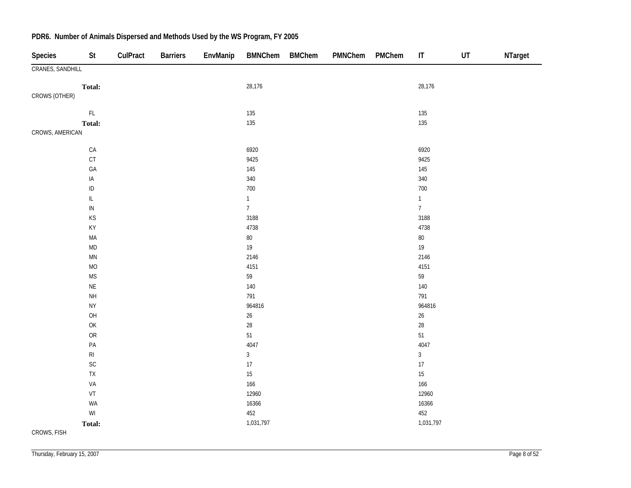| <b>Species</b>   | St                     | CulPract | <b>Barriers</b> | EnvManip | <b>BMNChem</b> | <b>BMChem</b> | PMNChem | PMChem | IT             | UT | NTarget |
|------------------|------------------------|----------|-----------------|----------|----------------|---------------|---------|--------|----------------|----|---------|
| CRANES, SANDHILL |                        |          |                 |          |                |               |         |        |                |    |         |
|                  | Total:                 |          |                 |          | 28,176         |               |         |        | 28,176         |    |         |
| CROWS (OTHER)    |                        |          |                 |          |                |               |         |        |                |    |         |
|                  | $\mathsf{FL}$          |          |                 |          | 135            |               |         |        | 135            |    |         |
|                  | Total:                 |          |                 |          | 135            |               |         |        | 135            |    |         |
| CROWS, AMERICAN  |                        |          |                 |          |                |               |         |        |                |    |         |
|                  | ${\sf CA}$             |          |                 |          | 6920           |               |         |        | 6920           |    |         |
|                  | CT                     |          |                 |          | 9425           |               |         |        | 9425           |    |         |
|                  | GA                     |          |                 |          | 145            |               |         |        | 145            |    |         |
|                  | $\sf IA$               |          |                 |          | 340            |               |         |        | 340            |    |         |
|                  | $\sf ID$               |          |                 |          | 700            |               |         |        | $700\,$        |    |         |
|                  | $\mathsf{IL}$          |          |                 |          | $\mathbf{1}$   |               |         |        | $\mathbf{1}$   |    |         |
|                  | $\sf IN$               |          |                 |          | $\overline{7}$ |               |         |        | $\overline{7}$ |    |         |
|                  | KS                     |          |                 |          | 3188           |               |         |        | 3188           |    |         |
|                  | KY                     |          |                 |          | 4738           |               |         |        | 4738           |    |         |
|                  | MA                     |          |                 |          | $80\,$         |               |         |        | $80\,$         |    |         |
|                  | $\mathsf{MD}$          |          |                 |          | $19$           |               |         |        | $19\,$         |    |         |
|                  | $\mathsf{M}\mathsf{N}$ |          |                 |          | 2146           |               |         |        | 2146           |    |         |
|                  | <b>MO</b>              |          |                 |          | 4151           |               |         |        | 4151           |    |         |
|                  | <b>MS</b>              |          |                 |          | 59             |               |         |        | 59             |    |         |
|                  | $\sf NE$               |          |                 |          | 140            |               |         |        | $140\,$        |    |         |
|                  | $\mathsf{NH}\,$        |          |                 |          | 791            |               |         |        | 791            |    |         |
|                  | <b>NY</b>              |          |                 |          | 964816         |               |         |        | 964816         |    |         |
|                  | OH                     |          |                 |          | $26\,$         |               |         |        | $26\,$         |    |         |
|                  | OK                     |          |                 |          | 28             |               |         |        | $28\,$         |    |         |
|                  | ${\sf OR}$             |          |                 |          | $51\,$         |               |         |        | 51             |    |         |
|                  | $\mathsf{PA}$          |          |                 |          | 4047           |               |         |        | 4047           |    |         |
|                  | $\mathsf{RI}$          |          |                 |          | $\mathfrak{Z}$ |               |         |        | $\mathbf{3}$   |    |         |
|                  | $\mathsf{SC}$          |          |                 |          | 17             |               |         |        | $17\,$         |    |         |
|                  | ${\sf TX}$             |          |                 |          | 15             |               |         |        | $15\,$         |    |         |
|                  | VA                     |          |                 |          | 166            |               |         |        | 166            |    |         |
|                  | VT                     |          |                 |          | 12960          |               |         |        | 12960          |    |         |
|                  | WA                     |          |                 |          | 16366          |               |         |        | 16366          |    |         |
|                  | $\mathsf{W}\mathsf{I}$ |          |                 |          | 452            |               |         |        | 452            |    |         |
|                  | Total:                 |          |                 |          | 1,031,797      |               |         |        | 1,031,797      |    |         |
| CROWS, FISH      |                        |          |                 |          |                |               |         |        |                |    |         |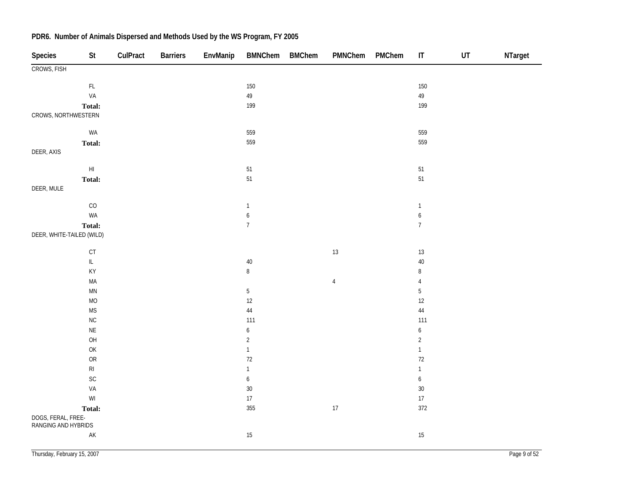| Species                                   | St                                                                                                 | CulPract | <b>Barriers</b> | EnvManip | <b>BMNChem</b>   | <b>BMChem</b> | PMNChem    | PMChem | $\sf IT$         | $\sf{UT}$ | NTarget |
|-------------------------------------------|----------------------------------------------------------------------------------------------------|----------|-----------------|----------|------------------|---------------|------------|--------|------------------|-----------|---------|
| CROWS, FISH                               |                                                                                                    |          |                 |          |                  |               |            |        |                  |           |         |
|                                           | $\mathsf{FL}$                                                                                      |          |                 |          | 150              |               |            |        | 150              |           |         |
|                                           | VA                                                                                                 |          |                 |          | $49\,$           |               |            |        | $49\,$           |           |         |
|                                           | Total:                                                                                             |          |                 |          | 199              |               |            |        | 199              |           |         |
| CROWS, NORTHWESTERN                       |                                                                                                    |          |                 |          |                  |               |            |        |                  |           |         |
|                                           | WA                                                                                                 |          |                 |          | 559              |               |            |        | 559              |           |         |
|                                           | Total:                                                                                             |          |                 |          | 559              |               |            |        | 559              |           |         |
| DEER, AXIS                                |                                                                                                    |          |                 |          |                  |               |            |        |                  |           |         |
|                                           | $\mathsf{HI}$                                                                                      |          |                 |          | 51               |               |            |        | 51               |           |         |
|                                           | Total:                                                                                             |          |                 |          | 51               |               |            |        | 51               |           |         |
| DEER, MULE                                |                                                                                                    |          |                 |          |                  |               |            |        |                  |           |         |
|                                           | CO                                                                                                 |          |                 |          | $\mathbf{1}$     |               |            |        | $\mathbf{1}$     |           |         |
|                                           | WA                                                                                                 |          |                 |          | $\boldsymbol{6}$ |               |            |        | $\boldsymbol{6}$ |           |         |
|                                           | Total:                                                                                             |          |                 |          | $\boldsymbol{7}$ |               |            |        | $\overline{7}$   |           |         |
| DEER, WHITE-TAILED (WILD)                 |                                                                                                    |          |                 |          |                  |               |            |        |                  |           |         |
|                                           | $\mathsf{CT}$                                                                                      |          |                 |          |                  |               | 13         |        | $13\,$           |           |         |
|                                           | $\bar{\mathbb{L}}$                                                                                 |          |                 |          | 40               |               |            |        | $40\,$           |           |         |
|                                           | KY                                                                                                 |          |                 |          | $\, 8$           |               |            |        | $\, 8$           |           |         |
|                                           | MA                                                                                                 |          |                 |          |                  |               | $\sqrt{4}$ |        | $\sqrt{4}$       |           |         |
|                                           | $\mathsf{M}\mathsf{N}$                                                                             |          |                 |          | $\sqrt{5}$       |               |            |        | $\mathbf 5$      |           |         |
|                                           | $\rm MO$                                                                                           |          |                 |          | 12               |               |            |        | 12               |           |         |
|                                           | <b>MS</b>                                                                                          |          |                 |          | $44\,$           |               |            |        | $44\,$           |           |         |
|                                           | ${\sf NC}$                                                                                         |          |                 |          | 111              |               |            |        | 111              |           |         |
|                                           | $\mathsf{NE}\xspace$                                                                               |          |                 |          | $\boldsymbol{6}$ |               |            |        | $\boldsymbol{6}$ |           |         |
|                                           | O <sub>H</sub>                                                                                     |          |                 |          | $\overline{2}$   |               |            |        | $\sqrt{2}$       |           |         |
|                                           | $\mathsf{OK}% \left( \mathcal{M}\right) \equiv\mathsf{OK}(\mathcal{M}_{\mathrm{CL}}(\mathcal{M}))$ |          |                 |          | $\mathbf{1}$     |               |            |        | $\mathbf{1}$     |           |         |
|                                           | ${\sf OR}$                                                                                         |          |                 |          | $72\,$           |               |            |        | $72\,$           |           |         |
|                                           | $\mathsf{RI}$                                                                                      |          |                 |          | $\mathbf{1}$     |               |            |        | $\mathbf{1}$     |           |         |
|                                           | $\mathsf{SC}$                                                                                      |          |                 |          | $\boldsymbol{6}$ |               |            |        | $\boldsymbol{6}$ |           |         |
|                                           | VA                                                                                                 |          |                 |          | 30               |               |            |        | $30\,$           |           |         |
|                                           | $\mathsf{W}\mathsf{I}$                                                                             |          |                 |          | 17               |               |            |        | $17\,$           |           |         |
|                                           | Total:                                                                                             |          |                 |          | 355              |               | 17         |        | 372              |           |         |
| DOGS, FERAL, FREE-<br>RANGING AND HYBRIDS |                                                                                                    |          |                 |          |                  |               |            |        |                  |           |         |
|                                           | $\mathsf{AK}$                                                                                      |          |                 |          | $15\,$           |               |            |        | 15               |           |         |
|                                           |                                                                                                    |          |                 |          |                  |               |            |        |                  |           |         |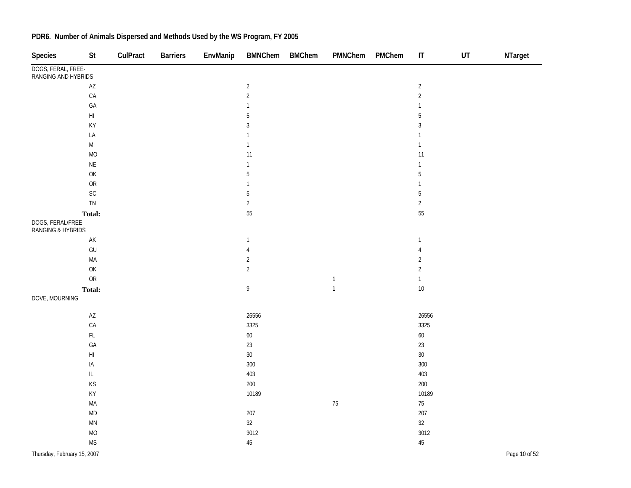| <b>Species</b>                            | St                                | CulPract | <b>Barriers</b> | EnvManip | <b>BMNChem</b>                    | <b>BMChem</b> | PMNChem        | PMChem | $\mathsf{I}\mathsf{T}$ | UT | NTarget       |
|-------------------------------------------|-----------------------------------|----------|-----------------|----------|-----------------------------------|---------------|----------------|--------|------------------------|----|---------------|
| DOGS, FERAL, FREE-<br>RANGING AND HYBRIDS |                                   |          |                 |          |                                   |               |                |        |                        |    |               |
|                                           | $\mathsf{A}\mathsf{Z}$            |          |                 |          | $\sqrt{2}$                        |               |                |        | $\sqrt{2}$             |    |               |
|                                           | CA                                |          |                 |          | $\overline{2}$                    |               |                |        | $\sqrt{2}$             |    |               |
|                                           | GA                                |          |                 |          | $\mathbf{1}$                      |               |                |        | $\mathbf{1}$           |    |               |
|                                           | $\mathsf{HI}$                     |          |                 |          | $\overline{5}$                    |               |                |        | $5\,$                  |    |               |
|                                           | KY                                |          |                 |          | 3                                 |               |                |        | $\sqrt{3}$             |    |               |
|                                           | LA                                |          |                 |          | $\mathbf{1}$                      |               |                |        | $\mathbf{1}$           |    |               |
|                                           | $\mathsf{MI}$                     |          |                 |          | $\mathbf{1}$                      |               |                |        | $\mathbf{1}$           |    |               |
|                                           | $MO$                              |          |                 |          | 11                                |               |                |        | 11                     |    |               |
|                                           | $\sf NE$                          |          |                 |          | $\mathbf{1}$                      |               |                |        | $\mathbf{1}$           |    |               |
|                                           | OK                                |          |                 |          | $\sqrt{5}$                        |               |                |        | $\overline{5}$         |    |               |
|                                           | ${\sf OR}$                        |          |                 |          | $\mathbf{1}$                      |               |                |        | $\mathbf{1}$           |    |               |
|                                           | SC                                |          |                 |          | $\overline{5}$                    |               |                |        | $\overline{5}$         |    |               |
|                                           | ${\sf TN}$                        |          |                 |          | $\overline{2}$                    |               |                |        | $\overline{c}$         |    |               |
|                                           | Total:                            |          |                 |          | 55                                |               |                |        | 55                     |    |               |
| DOGS, FERAL/FREE<br>RANGING & HYBRIDS     |                                   |          |                 |          |                                   |               |                |        |                        |    |               |
|                                           | $\mathsf{AK}$                     |          |                 |          | $\mathbf{1}$                      |               |                |        | $\mathbf{1}$           |    |               |
|                                           | GU                                |          |                 |          | $\sqrt{4}$                        |               |                |        | $\overline{4}$         |    |               |
|                                           | MA                                |          |                 |          | $\sqrt{2}$                        |               |                |        | $\overline{2}$         |    |               |
|                                           | OK                                |          |                 |          | $\overline{2}$                    |               |                |        | $\sqrt{2}$             |    |               |
|                                           | ${\sf OR}$                        |          |                 |          |                                   |               | $\mathbf{1}$   |        | $\mathbf{1}$           |    |               |
|                                           | Total:                            |          |                 |          | $\mathsf{g}% _{T}=\mathsf{g}_{T}$ |               | $\overline{1}$ |        | 10                     |    |               |
| DOVE, MOURNING                            |                                   |          |                 |          |                                   |               |                |        |                        |    |               |
|                                           | $\mathsf{A}\mathsf{Z}$            |          |                 |          | 26556                             |               |                |        | 26556                  |    |               |
|                                           | CA                                |          |                 |          | 3325                              |               |                |        | 3325                   |    |               |
|                                           | $\mathsf{FL}$                     |          |                 |          | 60                                |               |                |        | 60                     |    |               |
|                                           | GA                                |          |                 |          | 23                                |               |                |        | 23                     |    |               |
|                                           | $\mathsf{H}\mathsf{I}$            |          |                 |          | $30\,$                            |               |                |        | $30\,$                 |    |               |
|                                           | $\sf IA$                          |          |                 |          | 300                               |               |                |        | 300                    |    |               |
|                                           | $\ensuremath{\mathsf{IL}}\xspace$ |          |                 |          | 403                               |               |                |        | 403                    |    |               |
|                                           | KS                                |          |                 |          | 200                               |               |                |        | 200                    |    |               |
|                                           | KY                                |          |                 |          | 10189                             |               |                |        | 10189                  |    |               |
|                                           | MA                                |          |                 |          |                                   |               | 75             |        | 75                     |    |               |
|                                           | $\mathsf{MD}$                     |          |                 |          | 207                               |               |                |        | 207                    |    |               |
|                                           | $\mathsf{M}\mathsf{N}$            |          |                 |          | 32                                |               |                |        | 32                     |    |               |
|                                           | MO                                |          |                 |          | 3012                              |               |                |        | 3012                   |    |               |
|                                           | <b>MS</b>                         |          |                 |          | 45                                |               |                |        | $45\,$                 |    |               |
| Thursday, February 15, 2007               |                                   |          |                 |          |                                   |               |                |        |                        |    | Page 10 of 52 |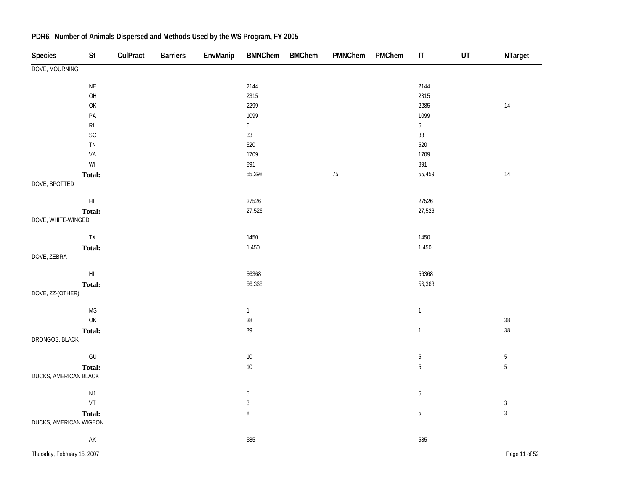| Species                     | <b>St</b>              | CulPract | <b>Barriers</b> | EnvManip | <b>BMNChem</b>   | <b>BMChem</b> | PMNChem | PMChem | $\sf IT$         | UT | NTarget                      |
|-----------------------------|------------------------|----------|-----------------|----------|------------------|---------------|---------|--------|------------------|----|------------------------------|
| DOVE, MOURNING              |                        |          |                 |          |                  |               |         |        |                  |    |                              |
|                             | $\mathsf{NE}\xspace$   |          |                 |          | 2144             |               |         |        | 2144             |    |                              |
|                             | OH                     |          |                 |          | 2315             |               |         |        | 2315             |    |                              |
|                             | OK                     |          |                 |          | 2299             |               |         |        | 2285             |    | $14$                         |
|                             | $\mathsf{PA}$          |          |                 |          | 1099             |               |         |        | 1099             |    |                              |
|                             | $\mathsf{RI}$          |          |                 |          | $\boldsymbol{6}$ |               |         |        | $\boldsymbol{6}$ |    |                              |
|                             | $\mathsf{SC}$          |          |                 |          | 33               |               |         |        | $33\,$           |    |                              |
|                             | ${\sf TN}$             |          |                 |          | 520              |               |         |        | 520              |    |                              |
|                             | VA                     |          |                 |          | 1709             |               |         |        | 1709             |    |                              |
|                             | $\mathsf{W}\mathsf{I}$ |          |                 |          | 891              |               |         |        | 891              |    |                              |
|                             | <b>Total:</b>          |          |                 |          | 55,398           |               | $75\,$  |        | 55,459           |    | $14$                         |
| DOVE, SPOTTED               |                        |          |                 |          |                  |               |         |        |                  |    |                              |
|                             | $\mathsf{HI}$          |          |                 |          | 27526            |               |         |        | 27526            |    |                              |
|                             | Total:                 |          |                 |          | 27,526           |               |         |        | 27,526           |    |                              |
| DOVE, WHITE-WINGED          |                        |          |                 |          |                  |               |         |        |                  |    |                              |
|                             | ${\sf TX}$             |          |                 |          | 1450             |               |         |        | 1450             |    |                              |
|                             | Total:                 |          |                 |          | 1,450            |               |         |        | 1,450            |    |                              |
| DOVE, ZEBRA                 |                        |          |                 |          |                  |               |         |        |                  |    |                              |
|                             | $\mathsf{HI}$          |          |                 |          | 56368            |               |         |        | 56368            |    |                              |
|                             | Total:                 |          |                 |          | 56,368           |               |         |        | 56,368           |    |                              |
| DOVE, ZZ-(OTHER)            |                        |          |                 |          |                  |               |         |        |                  |    |                              |
|                             | <b>MS</b>              |          |                 |          | $\mathbf{1}$     |               |         |        | $\mathbf{1}$     |    |                              |
|                             | OK                     |          |                 |          | $38\,$           |               |         |        |                  |    | $38\,$                       |
|                             | Total:                 |          |                 |          | $39\,$           |               |         |        | $\mathbf{1}$     |    | $38\,$                       |
| DRONGOS, BLACK              |                        |          |                 |          |                  |               |         |        |                  |    |                              |
|                             | GU                     |          |                 |          | $10\,$           |               |         |        | $\mathbf 5$      |    | $\sqrt{5}$                   |
|                             | Total:                 |          |                 |          | $10\,$           |               |         |        | $\mathbf 5$      |    | $\overline{5}$               |
| DUCKS, AMERICAN BLACK       |                        |          |                 |          |                  |               |         |        |                  |    |                              |
|                             |                        |          |                 |          |                  |               |         |        |                  |    |                              |
|                             | $\mathsf{NJ}$<br>VT    |          |                 |          | $\sqrt{5}$       |               |         |        | $\sqrt{5}$       |    |                              |
|                             |                        |          |                 |          | $\sqrt{3}$       |               |         |        | $\sqrt{5}$       |    | $\sqrt{3}$<br>$\overline{3}$ |
| DUCKS, AMERICAN WIGEON      | Total:                 |          |                 |          | $\, 8$           |               |         |        |                  |    |                              |
|                             | AK                     |          |                 |          | 585              |               |         |        | 585              |    |                              |
|                             |                        |          |                 |          |                  |               |         |        |                  |    |                              |
| Thursday, February 15, 2007 |                        |          |                 |          |                  |               |         |        |                  |    | Page 11 of 52                |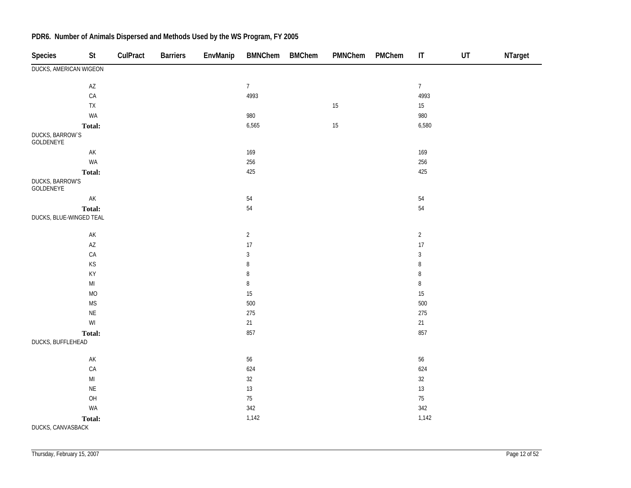| <b>Species</b>               | <b>St</b>                                                         | CulPract | <b>Barriers</b> | EnvManip | <b>BMNChem</b> | <b>BMChem</b> | PMNChem | PMChem | $\mathsf{I}\mathsf{T}$ | UT | NTarget |
|------------------------------|-------------------------------------------------------------------|----------|-----------------|----------|----------------|---------------|---------|--------|------------------------|----|---------|
| DUCKS, AMERICAN WIGEON       |                                                                   |          |                 |          |                |               |         |        |                        |    |         |
|                              | $\mathsf{A}\mathsf{Z}$                                            |          |                 |          | $\overline{7}$ |               |         |        | $\overline{7}$         |    |         |
|                              | $\mathsf{CA}$                                                     |          |                 |          | 4993           |               |         |        | 4993                   |    |         |
|                              | ${\sf TX}$                                                        |          |                 |          |                |               | $15\,$  |        | $15\,$                 |    |         |
|                              | WA                                                                |          |                 |          | 980            |               |         |        | 980                    |    |         |
|                              | Total:                                                            |          |                 |          | 6,565          |               | $15\,$  |        | 6,580                  |    |         |
| DUCKS, BARROW'S<br>GOLDENEYE |                                                                   |          |                 |          |                |               |         |        |                        |    |         |
|                              | $\mathsf{AK}$                                                     |          |                 |          | 169            |               |         |        | 169                    |    |         |
|                              | WA                                                                |          |                 |          | 256            |               |         |        | 256                    |    |         |
|                              | Total:                                                            |          |                 |          | 425            |               |         |        | 425                    |    |         |
| DUCKS, BARROW'S<br>GOLDENEYE |                                                                   |          |                 |          |                |               |         |        |                        |    |         |
|                              | $\mathsf{AK}$                                                     |          |                 |          | $54\,$         |               |         |        | $54\,$                 |    |         |
|                              | Total:                                                            |          |                 |          | 54             |               |         |        | 54                     |    |         |
| DUCKS, BLUE-WINGED TEAL      |                                                                   |          |                 |          |                |               |         |        |                        |    |         |
|                              | $\mathsf{AK}$                                                     |          |                 |          | $\overline{2}$ |               |         |        | $\overline{2}$         |    |         |
|                              | $\mathsf{A}\mathsf{Z}$                                            |          |                 |          | 17             |               |         |        | $17\,$                 |    |         |
|                              | ${\sf CA}$                                                        |          |                 |          | $\sqrt{3}$     |               |         |        | $\sqrt{3}$             |    |         |
|                              | $\mathsf{KS}% _{\mathsf{K}}^{\mathsf{K}}\left( \mathsf{K}\right)$ |          |                 |          | $\, 8$         |               |         |        | 8                      |    |         |
|                              | $\mathsf{KY}$                                                     |          |                 |          | $\, 8$         |               |         |        | 8                      |    |         |
|                              | $\mathsf{MI}$                                                     |          |                 |          | $\, 8$         |               |         |        | $\,8\,$                |    |         |
|                              | MO                                                                |          |                 |          | 15             |               |         |        | $15\,$                 |    |         |
|                              | <b>MS</b>                                                         |          |                 |          | 500            |               |         |        | 500                    |    |         |
|                              | $\mathsf{NE}\xspace$                                              |          |                 |          | 275            |               |         |        | 275                    |    |         |
|                              | $\mathsf{W}\mathsf{I}$                                            |          |                 |          | 21             |               |         |        | 21                     |    |         |
|                              | Total:                                                            |          |                 |          | 857            |               |         |        | 857                    |    |         |
| DUCKS, BUFFLEHEAD            |                                                                   |          |                 |          |                |               |         |        |                        |    |         |
|                              | $\mathsf{AK}$                                                     |          |                 |          | 56             |               |         |        | $56\,$                 |    |         |
|                              | $\mathsf{CA}$                                                     |          |                 |          | 624            |               |         |        | 624                    |    |         |
|                              | $\mathsf{MI}$                                                     |          |                 |          | $32\,$         |               |         |        | $32\,$                 |    |         |
|                              | $\mathsf{NE}\xspace$                                              |          |                 |          | $13$           |               |         |        | $13\,$                 |    |         |
|                              | OH                                                                |          |                 |          | $75\,$         |               |         |        | $75\,$                 |    |         |
|                              | WA                                                                |          |                 |          | 342            |               |         |        | 342                    |    |         |
|                              | Total:                                                            |          |                 |          | 1,142          |               |         |        | 1,142                  |    |         |
| DUCKS, CANVASBACK            |                                                                   |          |                 |          |                |               |         |        |                        |    |         |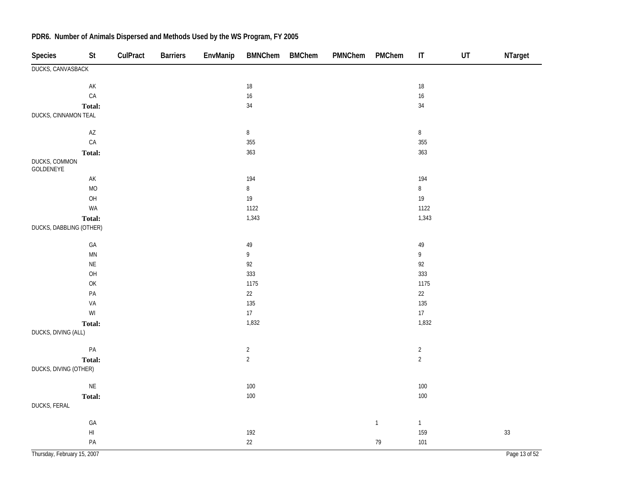| Species                     | St                     | CulPract | <b>Barriers</b> | EnvManip | <b>BMNChem</b> | <b>BMChem</b> | PMNChem | PMChem      | $\sf IT$       | $\sf{UT}$ | NTarget       |
|-----------------------------|------------------------|----------|-----------------|----------|----------------|---------------|---------|-------------|----------------|-----------|---------------|
| DUCKS, CANVASBACK           |                        |          |                 |          |                |               |         |             |                |           |               |
|                             | $\mathsf{AK}$          |          |                 |          | $18\,$         |               |         |             | $18\,$         |           |               |
|                             | CA                     |          |                 |          | 16             |               |         |             | 16             |           |               |
|                             | Total:                 |          |                 |          | $34\,$         |               |         |             | 34             |           |               |
| DUCKS, CINNAMON TEAL        |                        |          |                 |          |                |               |         |             |                |           |               |
|                             | $\mathsf{A}\mathsf{Z}$ |          |                 |          | $\, 8$         |               |         |             | $\bf 8$        |           |               |
|                             | CA                     |          |                 |          | 355            |               |         |             | 355            |           |               |
|                             | Total:                 |          |                 |          | 363            |               |         |             | 363            |           |               |
| DUCKS, COMMON<br>GOLDENEYE  |                        |          |                 |          |                |               |         |             |                |           |               |
|                             | $\mathsf{AK}$          |          |                 |          | 194            |               |         |             | 194            |           |               |
|                             | <b>MO</b>              |          |                 |          | $\, 8$         |               |         |             | $\, 8$         |           |               |
|                             | OH                     |          |                 |          | $19$           |               |         |             | 19             |           |               |
|                             | WA                     |          |                 |          | 1122           |               |         |             | 1122           |           |               |
|                             | Total:                 |          |                 |          | 1,343          |               |         |             | 1,343          |           |               |
| DUCKS, DABBLING (OTHER)     |                        |          |                 |          |                |               |         |             |                |           |               |
|                             | $\mathsf{GA}$          |          |                 |          | 49             |               |         |             | 49             |           |               |
|                             | $\mathsf{M}\mathsf{N}$ |          |                 |          | 9              |               |         |             | 9              |           |               |
|                             | $\mathsf{NE}\xspace$   |          |                 |          | 92             |               |         |             | 92             |           |               |
|                             | OH                     |          |                 |          | 333            |               |         |             | 333            |           |               |
|                             | OK                     |          |                 |          | 1175           |               |         |             | 1175           |           |               |
|                             | $\mathsf{PA}$          |          |                 |          | 22             |               |         |             | 22             |           |               |
|                             | VA                     |          |                 |          | 135            |               |         |             | 135            |           |               |
|                             | $\mathsf{W}\mathsf{I}$ |          |                 |          | $17\,$         |               |         |             | 17             |           |               |
|                             | Total:                 |          |                 |          | 1,832          |               |         |             | 1,832          |           |               |
| DUCKS, DIVING (ALL)         |                        |          |                 |          |                |               |         |             |                |           |               |
|                             | PA                     |          |                 |          | $\overline{2}$ |               |         |             | $\overline{2}$ |           |               |
|                             | Total:                 |          |                 |          | $\overline{2}$ |               |         |             | $\overline{2}$ |           |               |
| DUCKS, DIVING (OTHER)       |                        |          |                 |          |                |               |         |             |                |           |               |
|                             | $\mathsf{NE}\xspace$   |          |                 |          | $100\,$        |               |         |             | $100\,$        |           |               |
|                             | Total:                 |          |                 |          | 100            |               |         |             | $100\,$        |           |               |
| DUCKS, FERAL                |                        |          |                 |          |                |               |         |             |                |           |               |
|                             | GA                     |          |                 |          |                |               |         | $\mathbf 1$ | $\mathbf{1}$   |           |               |
|                             | $\mathsf{H}\mathsf{I}$ |          |                 |          | 192            |               |         |             | 159            |           | 33            |
|                             | PA                     |          |                 |          | $22\,$         |               |         | 79          | 101            |           |               |
| Thursday, February 15, 2007 |                        |          |                 |          |                |               |         |             |                |           | Page 13 of 52 |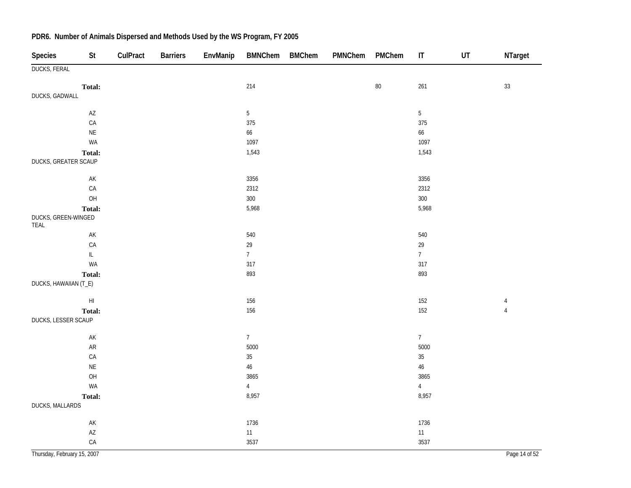| Species                     | <b>St</b>                         | CulPract | <b>Barriers</b> | EnvManip | <b>BMNChem</b>  | <b>BMChem</b> | PMNChem | PMChem | $\ensuremath{\mathsf{IT}}\xspace$ | $\sf{UT}$ | NTarget        |
|-----------------------------|-----------------------------------|----------|-----------------|----------|-----------------|---------------|---------|--------|-----------------------------------|-----------|----------------|
| <b>DUCKS, FERAL</b>         |                                   |          |                 |          |                 |               |         |        |                                   |           |                |
|                             | Total:                            |          |                 |          | 214             |               |         | $80\,$ | 261                               |           | 33             |
| DUCKS, GADWALL              |                                   |          |                 |          |                 |               |         |        |                                   |           |                |
|                             | $\mathsf{A}\mathsf{Z}$            |          |                 |          | $5\phantom{.0}$ |               |         |        | $\mathbf 5$                       |           |                |
|                             | ${\sf CA}$                        |          |                 |          | 375             |               |         |        | 375                               |           |                |
|                             | $\mathsf{NE}\xspace$              |          |                 |          | 66              |               |         |        | 66                                |           |                |
|                             | WA                                |          |                 |          | 1097            |               |         |        | 1097                              |           |                |
| DUCKS, GREATER SCAUP        | Total:                            |          |                 |          | 1,543           |               |         |        | 1,543                             |           |                |
|                             | $\mathsf{AK}$                     |          |                 |          | 3356            |               |         |        | 3356                              |           |                |
|                             | ${\sf CA}$                        |          |                 |          | 2312            |               |         |        | 2312                              |           |                |
|                             | O <sub>H</sub>                    |          |                 |          | 300             |               |         |        | 300                               |           |                |
|                             | Total:                            |          |                 |          | 5,968           |               |         |        | 5,968                             |           |                |
| DUCKS, GREEN-WINGED<br>TEAL |                                   |          |                 |          |                 |               |         |        |                                   |           |                |
|                             | $\mathsf{AK}$                     |          |                 |          | 540             |               |         |        | 540                               |           |                |
|                             | ${\sf CA}$                        |          |                 |          | $29\,$          |               |         |        | 29                                |           |                |
|                             | $\ensuremath{\mathsf{IL}}\xspace$ |          |                 |          | 7 <sup>7</sup>  |               |         |        | $\overline{7}$                    |           |                |
|                             | WA                                |          |                 |          | 317             |               |         |        | 317                               |           |                |
|                             | Total:                            |          |                 |          | 893             |               |         |        | 893                               |           |                |
| DUCKS, HAWAIIAN (T_E)       |                                   |          |                 |          |                 |               |         |        |                                   |           |                |
|                             | $\mathsf{H}\mathsf{I}$            |          |                 |          | 156             |               |         |        | 152                               |           | $\overline{4}$ |
|                             | Total:                            |          |                 |          | 156             |               |         |        | 152                               |           | $\overline{4}$ |
| DUCKS, LESSER SCAUP         |                                   |          |                 |          |                 |               |         |        |                                   |           |                |
|                             | $\mathsf{AK}$                     |          |                 |          | $7\overline{ }$ |               |         |        | 7 <sup>7</sup>                    |           |                |
|                             | ${\sf AR}$                        |          |                 |          | 5000            |               |         |        | 5000                              |           |                |
|                             | CA                                |          |                 |          | $35\,$          |               |         |        | $35\,$                            |           |                |
|                             | $\mathsf{NE}\xspace$              |          |                 |          | $46\,$          |               |         |        | $46\,$                            |           |                |
|                             | $\mathsf{OH}$                     |          |                 |          | 3865            |               |         |        | 3865                              |           |                |
|                             | WA                                |          |                 |          | $\overline{4}$  |               |         |        | $\overline{4}$                    |           |                |
|                             | Total:                            |          |                 |          | 8,957           |               |         |        | 8,957                             |           |                |
| DUCKS, MALLARDS             |                                   |          |                 |          |                 |               |         |        |                                   |           |                |
|                             | $\mathsf{AK}$                     |          |                 |          | 1736            |               |         |        | 1736                              |           |                |
|                             | $\mathsf{AZ}$                     |          |                 |          | $11$            |               |         |        | 11                                |           |                |
|                             | $\mathsf{CA}$                     |          |                 |          | 3537            |               |         |        | 3537                              |           |                |
| Thursday, February 15, 2007 |                                   |          |                 |          |                 |               |         |        |                                   |           | Page 14 of 52  |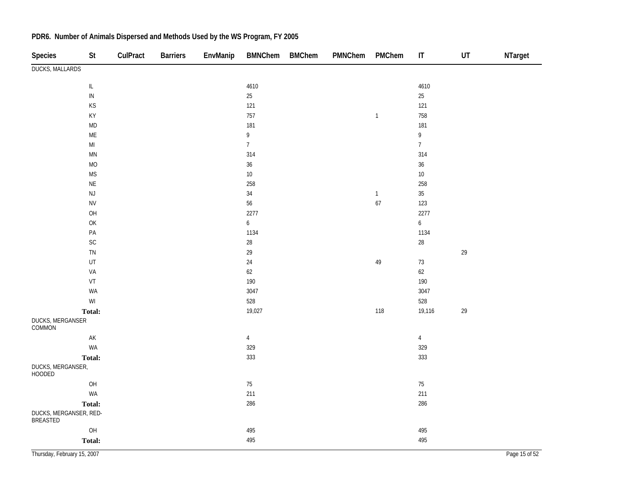| Species                            | St                                                      | CulPract | <b>Barriers</b> | EnvManip | <b>BMNChem</b>   | <b>BMChem</b> | PMNChem | PMChem        | $\sf IT$         | $\sf{UT}$ | NTarget       |
|------------------------------------|---------------------------------------------------------|----------|-----------------|----------|------------------|---------------|---------|---------------|------------------|-----------|---------------|
| <b>DUCKS, MALLARDS</b>             |                                                         |          |                 |          |                  |               |         |               |                  |           |               |
|                                    | $\ensuremath{\mathsf{IL}}\xspace$                       |          |                 |          | 4610             |               |         |               | 4610             |           |               |
|                                    | ${\sf IN}$                                              |          |                 |          | 25               |               |         |               | $25\,$           |           |               |
|                                    | $\mathsf{KS}% _{\mathsf{K}}\left( \mathsf{K}\right)$    |          |                 |          | 121              |               |         |               | 121              |           |               |
|                                    | KY                                                      |          |                 |          | 757              |               |         | $\mathbf{1}$  | 758              |           |               |
|                                    | $\mathsf{MD}$                                           |          |                 |          | 181              |               |         |               | 181              |           |               |
|                                    | $\mathsf{ME}$                                           |          |                 |          | 9                |               |         |               | 9                |           |               |
|                                    | $\mathsf{MI}$                                           |          |                 |          | $\overline{7}$   |               |         |               | $\overline{7}$   |           |               |
|                                    | $\mathsf{M}\mathsf{N}$                                  |          |                 |          | 314              |               |         |               | 314              |           |               |
|                                    | $\rm MO$                                                |          |                 |          | 36               |               |         |               | 36               |           |               |
|                                    | <b>MS</b>                                               |          |                 |          | $10\,$           |               |         |               | $10\,$           |           |               |
|                                    | $\sf NE$                                                |          |                 |          | 258              |               |         |               | 258              |           |               |
|                                    | $\mathsf{NJ}$                                           |          |                 |          | 34               |               |         | $\mathbbm{1}$ | $35\,$           |           |               |
|                                    | ${\sf NV}$                                              |          |                 |          | 56               |               |         | 67            | 123              |           |               |
|                                    | OH                                                      |          |                 |          | 2277             |               |         |               | 2277             |           |               |
|                                    | OK                                                      |          |                 |          | $\boldsymbol{6}$ |               |         |               | $\boldsymbol{6}$ |           |               |
|                                    | $\mathsf{PA}$                                           |          |                 |          | 1134             |               |         |               | 1134             |           |               |
|                                    | $\mathsf{SC}$                                           |          |                 |          | 28               |               |         |               | $28\,$           |           |               |
|                                    | ${\sf TN}$                                              |          |                 |          | 29               |               |         |               |                  | 29        |               |
|                                    | UT                                                      |          |                 |          | 24               |               |         | 49            | $73\,$           |           |               |
|                                    | VA                                                      |          |                 |          | 62               |               |         |               | $62\,$           |           |               |
|                                    | $\ensuremath{\mathsf{VT}}$                              |          |                 |          | 190              |               |         |               | 190              |           |               |
|                                    | WA                                                      |          |                 |          | 3047             |               |         |               | 3047             |           |               |
|                                    | $\ensuremath{\mathsf{W}}\xspace\ensuremath{\mathsf{I}}$ |          |                 |          | 528              |               |         |               | 528              |           |               |
|                                    | Total:                                                  |          |                 |          | 19,027           |               |         | 118           | 19,116           | 29        |               |
| DUCKS, MERGANSER<br>COMMON         |                                                         |          |                 |          |                  |               |         |               |                  |           |               |
|                                    | $\mathsf{AK}$                                           |          |                 |          | $\overline{4}$   |               |         |               | $\overline{4}$   |           |               |
|                                    | WA                                                      |          |                 |          | 329              |               |         |               | 329              |           |               |
|                                    | Total:                                                  |          |                 |          | 333              |               |         |               | 333              |           |               |
| DUCKS, MERGANSER,<br><b>HOODED</b> |                                                         |          |                 |          |                  |               |         |               |                  |           |               |
|                                    | O <sub>H</sub>                                          |          |                 |          | $75\,$           |               |         |               | $75\,$           |           |               |
|                                    | WA                                                      |          |                 |          | 211              |               |         |               | 211              |           |               |
|                                    | Total:                                                  |          |                 |          | 286              |               |         |               | 286              |           |               |
| DUCKS, MERGANSER, RED-<br>BREASTED |                                                         |          |                 |          |                  |               |         |               |                  |           |               |
|                                    | O <sub>H</sub>                                          |          |                 |          | 495              |               |         |               | 495              |           |               |
|                                    | Total:                                                  |          |                 |          | 495              |               |         |               | 495              |           |               |
| Thursday, February 15, 2007        |                                                         |          |                 |          |                  |               |         |               |                  |           | Page 15 of 52 |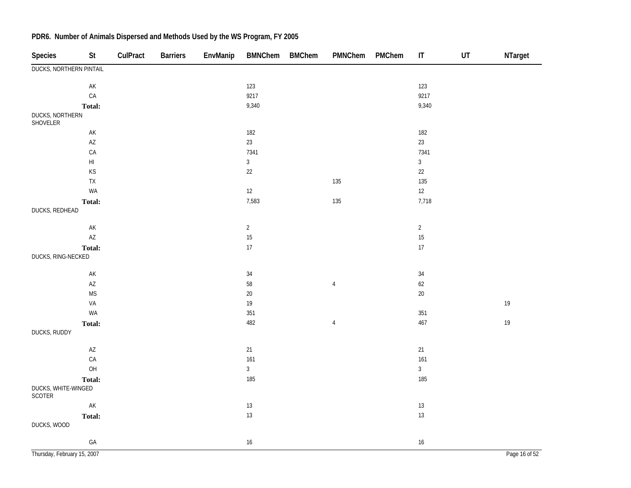| <b>Species</b>                 | St                     | CulPract | <b>Barriers</b> | EnvManip | BMNChem BMChem | PMNChem        | PMChem | $\ensuremath{\mathsf{IT}}\xspace$ | $\sf{UT}$ | NTarget       |
|--------------------------------|------------------------|----------|-----------------|----------|----------------|----------------|--------|-----------------------------------|-----------|---------------|
| <b>DUCKS, NORTHERN PINTAIL</b> |                        |          |                 |          |                |                |        |                                   |           |               |
|                                | $\mathsf{AK}$          |          |                 |          | 123            |                |        | 123                               |           |               |
|                                | CA                     |          |                 |          | 9217           |                |        | 9217                              |           |               |
|                                | Total:                 |          |                 |          | 9,340          |                |        | 9,340                             |           |               |
| DUCKS, NORTHERN<br>SHOVELER    |                        |          |                 |          |                |                |        |                                   |           |               |
|                                | $\mathsf{AK}$          |          |                 |          | 182            |                |        | 182                               |           |               |
|                                | $\mathsf{A}\mathsf{Z}$ |          |                 |          | 23             |                |        | 23                                |           |               |
|                                | CA                     |          |                 |          | 7341           |                |        | 7341                              |           |               |
|                                | $\mathsf{HI}$          |          |                 |          | $\mathfrak{Z}$ |                |        | $\mathfrak{Z}$                    |           |               |
|                                | KS                     |          |                 |          | $22\,$         |                |        | 22                                |           |               |
|                                | ${\sf TX}$             |          |                 |          |                | 135            |        | 135                               |           |               |
|                                | WA                     |          |                 |          | 12             |                |        | 12                                |           |               |
|                                | Total:                 |          |                 |          | 7,583          | 135            |        | 7,718                             |           |               |
| DUCKS, REDHEAD                 |                        |          |                 |          |                |                |        |                                   |           |               |
|                                | $\mathsf{AK}$          |          |                 |          | $\overline{2}$ |                |        | $\overline{2}$                    |           |               |
|                                | $\mathsf{A}\mathsf{Z}$ |          |                 |          | 15             |                |        | 15                                |           |               |
|                                | Total:                 |          |                 |          | 17             |                |        | 17                                |           |               |
| DUCKS, RING-NECKED             |                        |          |                 |          |                |                |        |                                   |           |               |
|                                | $\mathsf{AK}$          |          |                 |          | 34             |                |        | $34\,$                            |           |               |
|                                | $\mathsf{A}\mathsf{Z}$ |          |                 |          | 58             | $\overline{4}$ |        | 62                                |           |               |
|                                | <b>MS</b>              |          |                 |          | 20             |                |        | $20\,$                            |           |               |
|                                | VA                     |          |                 |          | 19             |                |        |                                   |           | 19            |
|                                | WA                     |          |                 |          | 351            |                |        | 351                               |           |               |
|                                | Total:                 |          |                 |          | 482            | $\overline{4}$ |        | 467                               |           | $19$          |
| DUCKS, RUDDY                   |                        |          |                 |          |                |                |        |                                   |           |               |
|                                | $\mathsf{A}\mathsf{Z}$ |          |                 |          | 21             |                |        | 21                                |           |               |
|                                | CA                     |          |                 |          | 161            |                |        | 161                               |           |               |
|                                | OH                     |          |                 |          | $\mathbf{3}$   |                |        | $\mathfrak{Z}$                    |           |               |
|                                | Total:                 |          |                 |          | 185            |                |        | 185                               |           |               |
| DUCKS, WHITE-WINGED<br>SCOTER  |                        |          |                 |          |                |                |        |                                   |           |               |
|                                | $\mathsf{AK}$          |          |                 |          | 13             |                |        | $13\,$                            |           |               |
|                                | Total:                 |          |                 |          | 13             |                |        | 13                                |           |               |
| DUCKS, WOOD                    |                        |          |                 |          |                |                |        |                                   |           |               |
|                                | GA                     |          |                 |          | 16             |                |        | $16\,$                            |           |               |
| Thursday, February 15, 2007    |                        |          |                 |          |                |                |        |                                   |           | Page 16 of 52 |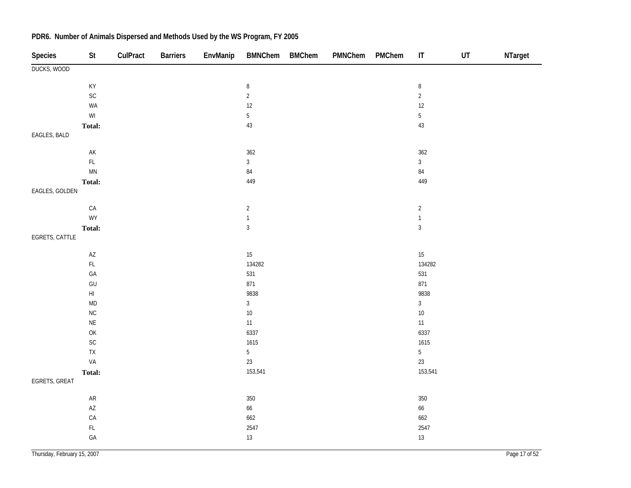| <b>Species</b>     | <b>St</b>                                               | CulPract | <b>Barriers</b> | EnvManip | <b>BMNChem</b> | <b>BMChem</b> | PMNChem | PMChem | $\sf IT$         | $\sf{UT}$ | NTarget |
|--------------------|---------------------------------------------------------|----------|-----------------|----------|----------------|---------------|---------|--------|------------------|-----------|---------|
| <b>DUCKS, WOOD</b> |                                                         |          |                 |          |                |               |         |        |                  |           |         |
|                    | KY                                                      |          |                 |          | $\, 8$         |               |         |        | $\, 8$           |           |         |
|                    | SC                                                      |          |                 |          | $\overline{2}$ |               |         |        | $\sqrt{2}$       |           |         |
|                    | WA                                                      |          |                 |          | $12$           |               |         |        | $12\,$           |           |         |
|                    | $\ensuremath{\mathsf{W}}\xspace\ensuremath{\mathsf{I}}$ |          |                 |          | $\overline{5}$ |               |         |        | $\overline{5}$   |           |         |
|                    | Total:                                                  |          |                 |          | 43             |               |         |        | $43\,$           |           |         |
| EAGLES, BALD       |                                                         |          |                 |          |                |               |         |        |                  |           |         |
|                    |                                                         |          |                 |          |                |               |         |        |                  |           |         |
|                    | $\mathsf{AK}$                                           |          |                 |          | 362            |               |         |        | 362              |           |         |
|                    | $\mathsf{FL}$                                           |          |                 |          | $\mathfrak{Z}$ |               |         |        | $\overline{3}$   |           |         |
|                    | $\mathsf{M}\mathsf{N}$                                  |          |                 |          | $\bf 84$       |               |         |        | $\bf 84$         |           |         |
|                    | Total:                                                  |          |                 |          | 449            |               |         |        | 449              |           |         |
| EAGLES, GOLDEN     |                                                         |          |                 |          |                |               |         |        |                  |           |         |
|                    | ${\sf CA}$                                              |          |                 |          | $\sqrt{2}$     |               |         |        | $\overline{a}$   |           |         |
|                    | WY                                                      |          |                 |          | $\mathbf 1$    |               |         |        | $\mathbf{1}$     |           |         |
|                    | Total:                                                  |          |                 |          | $\mathbf{3}$   |               |         |        | $\sqrt{3}$       |           |         |
| EGRETS, CATTLE     |                                                         |          |                 |          |                |               |         |        |                  |           |         |
|                    |                                                         |          |                 |          |                |               |         |        |                  |           |         |
|                    | $\mathsf{A}\mathsf{Z}$<br>$\mathsf{FL}$                 |          |                 |          | 15<br>134282   |               |         |        | $15\,$<br>134282 |           |         |
|                    | $\mathsf{GA}$                                           |          |                 |          | 531            |               |         |        | 531              |           |         |
|                    | $\mathsf{GU}% _{\mathsf{C}}^{\mathsf{C}}(\mathcal{A})$  |          |                 |          | 871            |               |         |        | 871              |           |         |
|                    | $\mathsf{H}\mathsf{I}$                                  |          |                 |          | 9838           |               |         |        | 9838             |           |         |
|                    | $\mathsf{MD}$                                           |          |                 |          | $\mathfrak{Z}$ |               |         |        | $\mathfrak{Z}$   |           |         |
|                    | ${\sf NC}$                                              |          |                 |          | $10\,$         |               |         |        | $10\,$           |           |         |
|                    | $\mathsf{NE}\xspace$                                    |          |                 |          | 11             |               |         |        | 11               |           |         |
|                    | OK                                                      |          |                 |          | 6337           |               |         |        | 6337             |           |         |
|                    | SC                                                      |          |                 |          | 1615           |               |         |        | 1615             |           |         |
|                    | TX                                                      |          |                 |          | $\sqrt{5}$     |               |         |        | $\overline{5}$   |           |         |
|                    | VA                                                      |          |                 |          | $23\,$         |               |         |        | 23               |           |         |
|                    | Total:                                                  |          |                 |          | 153,541        |               |         |        | 153,541          |           |         |
| EGRETS, GREAT      |                                                         |          |                 |          |                |               |         |        |                  |           |         |
|                    | ${\sf AR}$                                              |          |                 |          | 350            |               |         |        | $350\,$          |           |         |
|                    | $\mathsf{AZ}$                                           |          |                 |          | $66\,$         |               |         |        | 66               |           |         |
|                    | CA                                                      |          |                 |          | 662            |               |         |        | 662              |           |         |
|                    | $\mathsf{FL}$                                           |          |                 |          | 2547           |               |         |        | 2547             |           |         |
|                    | $\mathsf{GA}$                                           |          |                 |          | $13\,$         |               |         |        | 13               |           |         |
|                    |                                                         |          |                 |          |                |               |         |        |                  |           |         |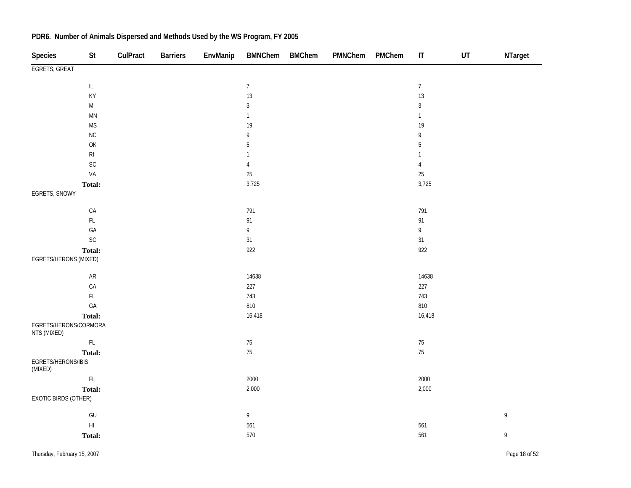| Species                              | <b>St</b>                         | CulPract | <b>Barriers</b> | EnvManip | <b>BMNChem</b>                    | <b>BMChem</b> | PMNChem | PMChem | $\ensuremath{\mathsf{IT}}\xspace$ | UT | NTarget     |
|--------------------------------------|-----------------------------------|----------|-----------------|----------|-----------------------------------|---------------|---------|--------|-----------------------------------|----|-------------|
| EGRETS, GREAT                        |                                   |          |                 |          |                                   |               |         |        |                                   |    |             |
|                                      | $\ensuremath{\mathsf{IL}}\xspace$ |          |                 |          | $\overline{7}$                    |               |         |        | $\overline{7}$                    |    |             |
|                                      | KY                                |          |                 |          | 13                                |               |         |        | 13                                |    |             |
|                                      | $\mathsf{MI}$                     |          |                 |          | $\sqrt{3}$                        |               |         |        | $\mathbf{3}$                      |    |             |
|                                      | $\mathsf{M}\mathsf{N}$            |          |                 |          | $\mathbf{1}$                      |               |         |        | $\mathbf{1}$                      |    |             |
|                                      | <b>MS</b>                         |          |                 |          | 19                                |               |         |        | 19                                |    |             |
|                                      | ${\sf NC}$                        |          |                 |          | $\mathsf{g}% _{T}=\mathsf{g}_{T}$ |               |         |        | 9                                 |    |             |
|                                      | OK                                |          |                 |          | $\sqrt{5}$                        |               |         |        | $\overline{5}$                    |    |             |
|                                      | $\mathsf{RI}$                     |          |                 |          | 1                                 |               |         |        | $\mathbf{1}$                      |    |             |
|                                      | $\mathsf{SC}$                     |          |                 |          | $\overline{4}$                    |               |         |        | $\sqrt{4}$                        |    |             |
|                                      | VA                                |          |                 |          | 25                                |               |         |        | $25\,$                            |    |             |
|                                      | Total:                            |          |                 |          | 3,725                             |               |         |        | 3,725                             |    |             |
| EGRETS, SNOWY                        |                                   |          |                 |          |                                   |               |         |        |                                   |    |             |
|                                      | ${\sf CA}$                        |          |                 |          | 791                               |               |         |        | 791                               |    |             |
|                                      | $\mathsf{FL}$                     |          |                 |          | 91                                |               |         |        | 91                                |    |             |
|                                      | GA                                |          |                 |          | $\overline{9}$                    |               |         |        | 9                                 |    |             |
|                                      | $\sf SC$                          |          |                 |          | 31                                |               |         |        | 31                                |    |             |
|                                      | Total:                            |          |                 |          | 922                               |               |         |        | 922                               |    |             |
| EGRETS/HERONS (MIXED)                |                                   |          |                 |          |                                   |               |         |        |                                   |    |             |
|                                      | ${\sf AR}$                        |          |                 |          | 14638                             |               |         |        | 14638                             |    |             |
|                                      | ${\sf CA}$                        |          |                 |          | 227                               |               |         |        | 227                               |    |             |
|                                      | $\mathsf{FL}$                     |          |                 |          | 743                               |               |         |        | 743                               |    |             |
|                                      | GA                                |          |                 |          | 810                               |               |         |        | 810                               |    |             |
|                                      | Total:                            |          |                 |          | 16,418                            |               |         |        | 16,418                            |    |             |
| EGRETS/HERONS/CORMORA<br>NTS (MIXED) |                                   |          |                 |          |                                   |               |         |        |                                   |    |             |
|                                      | $\mathsf{FL}$                     |          |                 |          | 75                                |               |         |        | $75\,$                            |    |             |
|                                      | Total:                            |          |                 |          | 75                                |               |         |        | 75                                |    |             |
| EGRETS/HERONS/IBIS<br>(MIXED)        |                                   |          |                 |          |                                   |               |         |        |                                   |    |             |
|                                      | $\mathsf{FL}$                     |          |                 |          | 2000                              |               |         |        | 2000                              |    |             |
|                                      | Total:                            |          |                 |          | 2,000                             |               |         |        | 2,000                             |    |             |
| EXOTIC BIRDS (OTHER)                 |                                   |          |                 |          |                                   |               |         |        |                                   |    |             |
|                                      | GU                                |          |                 |          | $\overline{9}$                    |               |         |        |                                   |    | $\mathsf 9$ |
|                                      | $\mathsf{HI}$                     |          |                 |          | 561                               |               |         |        | 561                               |    |             |
|                                      | <b>Total:</b>                     |          |                 |          | 570                               |               |         |        | 561                               |    | $\,9$       |
|                                      |                                   |          |                 |          |                                   |               |         |        |                                   |    |             |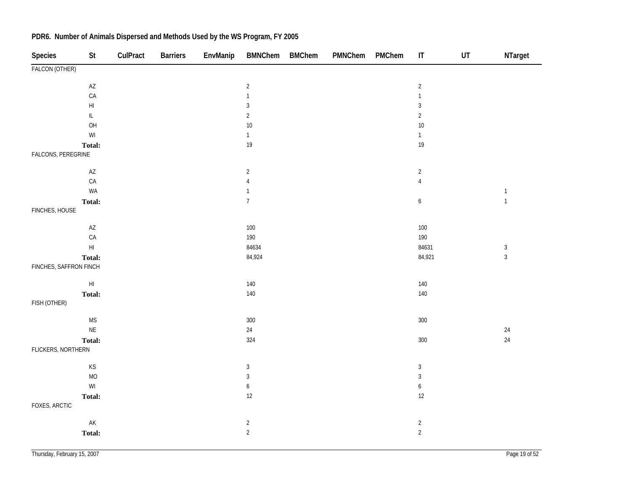| Species                | St                                                      | CulPract | <b>Barriers</b> | EnvManip | <b>BMNChem</b>   | <b>BMChem</b> | PMNChem | PMChem | $\sf IT$         | UT | NTarget        |
|------------------------|---------------------------------------------------------|----------|-----------------|----------|------------------|---------------|---------|--------|------------------|----|----------------|
| FALCON (OTHER)         |                                                         |          |                 |          |                  |               |         |        |                  |    |                |
|                        | $\mathsf{AZ}$                                           |          |                 |          | $\overline{2}$   |               |         |        | $\sqrt{2}$       |    |                |
|                        | CA                                                      |          |                 |          | $\mathbf{1}$     |               |         |        | $\mathbf{1}$     |    |                |
|                        | $\mathsf{HI}$                                           |          |                 |          | $\sqrt{3}$       |               |         |        | $\sqrt{3}$       |    |                |
|                        | $\ensuremath{\mathsf{IL}}\xspace$                       |          |                 |          | $\overline{2}$   |               |         |        | $\sqrt{2}$       |    |                |
|                        | OH                                                      |          |                 |          | $10\,$           |               |         |        | $10$             |    |                |
|                        | $\ensuremath{\mathsf{W}}\xspace\ensuremath{\mathsf{I}}$ |          |                 |          | $\mathbf{1}$     |               |         |        | $\mathbf{1}$     |    |                |
|                        | Total:                                                  |          |                 |          | $19\,$           |               |         |        | 19               |    |                |
| FALCONS, PEREGRINE     |                                                         |          |                 |          |                  |               |         |        |                  |    |                |
|                        | $\mathsf{AZ}$                                           |          |                 |          | $\overline{c}$   |               |         |        | $\sqrt{2}$       |    |                |
|                        | CA                                                      |          |                 |          | $\sqrt{4}$       |               |         |        | $\sqrt{4}$       |    |                |
|                        | WA                                                      |          |                 |          | $\mathbf{1}$     |               |         |        |                  |    | $\mathbf 1$    |
|                        | Total:                                                  |          |                 |          | $\boldsymbol{7}$ |               |         |        | 6                |    | $\mathbf{1}$   |
| FINCHES, HOUSE         |                                                         |          |                 |          |                  |               |         |        |                  |    |                |
|                        | $\mathsf{AZ}$                                           |          |                 |          | $100\,$          |               |         |        | $100\,$          |    |                |
|                        | CA                                                      |          |                 |          | 190              |               |         |        | 190              |    |                |
|                        | $\mathsf{H}\mathsf{I}$                                  |          |                 |          | 84634            |               |         |        | 84631            |    | $\sqrt{3}$     |
|                        | Total:                                                  |          |                 |          | 84,924           |               |         |        | 84,921           |    | $\overline{3}$ |
| FINCHES, SAFFRON FINCH |                                                         |          |                 |          |                  |               |         |        |                  |    |                |
|                        | $\mathsf{H}\mathsf{I}$                                  |          |                 |          | $140\,$          |               |         |        | $140\,$          |    |                |
|                        | Total:                                                  |          |                 |          | $140\,$          |               |         |        | $140\,$          |    |                |
| FISH (OTHER)           |                                                         |          |                 |          |                  |               |         |        |                  |    |                |
|                        | $\mathsf{MS}\xspace$                                    |          |                 |          | $300\,$          |               |         |        | 300              |    |                |
|                        | $\mathsf{NE}\xspace$                                    |          |                 |          | $24\,$           |               |         |        |                  |    | $24\,$         |
|                        | Total:                                                  |          |                 |          | 324              |               |         |        | 300              |    | $24\,$         |
| FLICKERS, NORTHERN     |                                                         |          |                 |          |                  |               |         |        |                  |    |                |
|                        | KS                                                      |          |                 |          | $\sqrt{3}$       |               |         |        | $\sqrt{3}$       |    |                |
|                        | $MO$                                                    |          |                 |          | $\sqrt{3}$       |               |         |        | $\sqrt{3}$       |    |                |
|                        | $\ensuremath{\mathsf{W}}\xspace\ensuremath{\mathsf{I}}$ |          |                 |          | $\boldsymbol{6}$ |               |         |        | $\boldsymbol{6}$ |    |                |
|                        | Total:                                                  |          |                 |          | 12               |               |         |        | 12               |    |                |
| FOXES, ARCTIC          |                                                         |          |                 |          |                  |               |         |        |                  |    |                |
|                        | $\mathsf{AK}$                                           |          |                 |          | $\overline{a}$   |               |         |        | $\overline{c}$   |    |                |
|                        | Total:                                                  |          |                 |          | $\overline{2}$   |               |         |        | $\overline{2}$   |    |                |
|                        |                                                         |          |                 |          |                  |               |         |        |                  |    |                |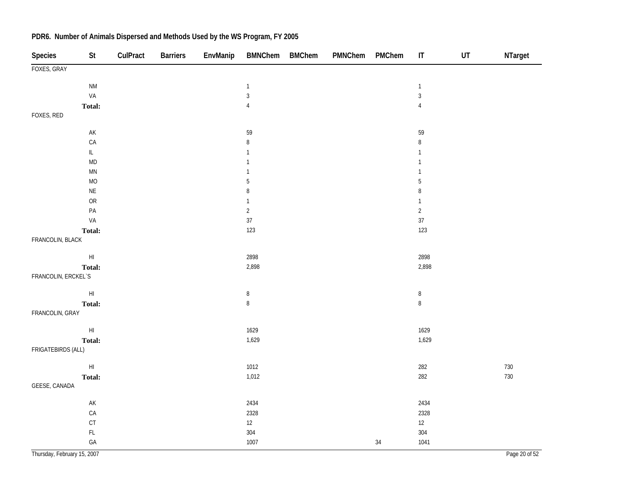| Species                     | St                                | CulPract | <b>Barriers</b> | EnvManip | BMNChem BMChem | PMNChem PMChem |        | $\sf IT$       | $\sf{UT}$ | NTarget       |
|-----------------------------|-----------------------------------|----------|-----------------|----------|----------------|----------------|--------|----------------|-----------|---------------|
| FOXES, GRAY                 |                                   |          |                 |          |                |                |        |                |           |               |
|                             | $\mathsf{N}\mathsf{M}$            |          |                 |          | $\mathbf{1}$   |                |        | $\mathbf{1}$   |           |               |
|                             | VA                                |          |                 |          | $\sqrt{3}$     |                |        | $\mathbf{3}$   |           |               |
|                             | Total:                            |          |                 |          | $\sqrt{4}$     |                |        | $\overline{4}$ |           |               |
| FOXES, RED                  |                                   |          |                 |          |                |                |        |                |           |               |
|                             | $\mathsf{AK}$                     |          |                 |          | 59             |                |        | 59             |           |               |
|                             | CA                                |          |                 |          | $\, 8$         |                |        | $\,8$          |           |               |
|                             | $\ensuremath{\mathsf{IL}}\xspace$ |          |                 |          | $\mathbf{1}$   |                |        | $\mathbf{1}$   |           |               |
|                             | $\sf MD$                          |          |                 |          | $\mathbf{1}$   |                |        | $\mathbf{1}$   |           |               |
|                             | $\mathsf{M}\mathsf{N}$            |          |                 |          | $\mathbf{1}$   |                |        | $\mathbf{1}$   |           |               |
|                             | MO                                |          |                 |          | 5              |                |        | $\overline{5}$ |           |               |
|                             | $\mathsf{NE}\xspace$              |          |                 |          | $\, 8$         |                |        | $\,8\,$        |           |               |
|                             | ${\sf OR}$                        |          |                 |          | $\mathbf{1}$   |                |        | $\mathbf{1}$   |           |               |
|                             | PA                                |          |                 |          | $\sqrt{2}$     |                |        | $\sqrt{2}$     |           |               |
|                             | VA                                |          |                 |          | 37             |                |        | $37\,$         |           |               |
|                             | Total:                            |          |                 |          | 123            |                |        | 123            |           |               |
| FRANCOLIN, BLACK            |                                   |          |                 |          |                |                |        |                |           |               |
|                             | $\mathsf{H}\mathsf{I}$            |          |                 |          | 2898           |                |        | 2898           |           |               |
|                             | Total:                            |          |                 |          | 2,898          |                |        | 2,898          |           |               |
| FRANCOLIN, ERCKEL`S         |                                   |          |                 |          |                |                |        |                |           |               |
|                             | $\mathsf{HI}$                     |          |                 |          | $\, 8$         |                |        | $\, 8$         |           |               |
|                             | Total:                            |          |                 |          | $\, 8$         |                |        | $\, 8$         |           |               |
| FRANCOLIN, GRAY             |                                   |          |                 |          |                |                |        |                |           |               |
|                             | $\mathsf{HI}$                     |          |                 |          | 1629           |                |        | 1629           |           |               |
|                             | Total:                            |          |                 |          | 1,629          |                |        | 1,629          |           |               |
| FRIGATEBIRDS (ALL)          |                                   |          |                 |          |                |                |        |                |           |               |
|                             | $\mathsf{HI}$                     |          |                 |          | 1012           |                |        | 282            |           | 730           |
|                             | Total:                            |          |                 |          | 1,012          |                |        | 282            |           | 730           |
| GEESE, CANADA               |                                   |          |                 |          |                |                |        |                |           |               |
|                             | $\mathsf{AK}$                     |          |                 |          | 2434           |                |        | 2434           |           |               |
|                             | ${\sf CA}$                        |          |                 |          | 2328           |                |        | 2328           |           |               |
|                             | CT                                |          |                 |          | $12\,$         |                |        | $12\,$         |           |               |
|                             | $\mathsf{FL}$                     |          |                 |          | $304\,$        |                |        | 304            |           |               |
|                             | GA                                |          |                 |          | 1007           |                | $34\,$ | 1041           |           |               |
| Thursday, February 15, 2007 |                                   |          |                 |          |                |                |        |                |           | Page 20 of 52 |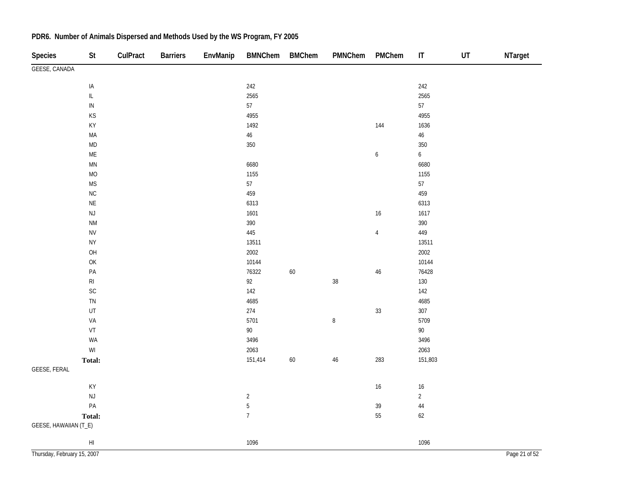| Species                     | <b>St</b>                                               | CulPract | <b>Barriers</b> | EnvManip | <b>BMNChem</b> | <b>BMChem</b> | PMNChem | PMChem           | $\mathsf{I}\mathsf{T}$ | UT | NTarget       |
|-----------------------------|---------------------------------------------------------|----------|-----------------|----------|----------------|---------------|---------|------------------|------------------------|----|---------------|
| GEESE, CANADA               |                                                         |          |                 |          |                |               |         |                  |                        |    |               |
|                             | IA                                                      |          |                 |          | 242            |               |         |                  | 242                    |    |               |
|                             | $\mathsf{IL}$                                           |          |                 |          | 2565           |               |         |                  | 2565                   |    |               |
|                             | ${\sf IN}$                                              |          |                 |          | $57\,$         |               |         |                  | 57                     |    |               |
|                             | KS                                                      |          |                 |          | 4955           |               |         |                  | 4955                   |    |               |
|                             | KY                                                      |          |                 |          | 1492           |               |         | 144              | 1636                   |    |               |
|                             | $\sf MA$                                                |          |                 |          | $46\,$         |               |         |                  | $46\,$                 |    |               |
|                             | $\mathsf{MD}$                                           |          |                 |          | 350            |               |         |                  | $350\,$                |    |               |
|                             | $\mathsf{ME}$                                           |          |                 |          |                |               |         | $\boldsymbol{6}$ | $\mathbf{6}$           |    |               |
|                             | $\ensuremath{\mathsf{MN}}$                              |          |                 |          | 6680           |               |         |                  | 6680                   |    |               |
|                             | MO                                                      |          |                 |          | 1155           |               |         |                  | 1155                   |    |               |
|                             | $\mathsf{MS}\xspace$                                    |          |                 |          | 57             |               |         |                  | 57                     |    |               |
|                             | ${\sf NC}$                                              |          |                 |          | 459            |               |         |                  | 459                    |    |               |
|                             | $\mathsf{NE}\xspace$                                    |          |                 |          | 6313           |               |         |                  | 6313                   |    |               |
|                             | $\mathsf{NJ}$                                           |          |                 |          | 1601           |               |         | 16               | 1617                   |    |               |
|                             | <b>NM</b>                                               |          |                 |          | 390            |               |         |                  | 390                    |    |               |
|                             | ${\sf NV}$                                              |          |                 |          | 445            |               |         | $\overline{4}$   | 449                    |    |               |
|                             | ${\sf NY}$                                              |          |                 |          | 13511          |               |         |                  | 13511                  |    |               |
|                             | OH                                                      |          |                 |          | 2002           |               |         |                  | 2002                   |    |               |
|                             | $\mathsf{OK}$                                           |          |                 |          | 10144          |               |         |                  | 10144                  |    |               |
|                             | $\mathsf{PA}$                                           |          |                 |          | 76322          | 60            |         | 46               | 76428                  |    |               |
|                             | $\mathsf{RI}$                                           |          |                 |          | $92\,$         |               | 38      |                  | 130                    |    |               |
|                             | $\mathsf{SC}$                                           |          |                 |          | $142$          |               |         |                  | 142                    |    |               |
|                             | ${\sf TN}$                                              |          |                 |          | 4685           |               |         |                  | 4685                   |    |               |
|                             | UT                                                      |          |                 |          | 274            |               |         | 33               | $307\,$                |    |               |
|                             | VA                                                      |          |                 |          | 5701           |               | $\, 8$  |                  | 5709                   |    |               |
|                             | ${\sf VT}$                                              |          |                 |          | $90\,$         |               |         |                  | $90\,$                 |    |               |
|                             | WA                                                      |          |                 |          | 3496           |               |         |                  | 3496                   |    |               |
|                             | $\ensuremath{\mathsf{W}}\xspace\ensuremath{\mathsf{I}}$ |          |                 |          | 2063           |               |         |                  | 2063                   |    |               |
|                             | Total:                                                  |          |                 |          | 151,414        | 60            | 46      | 283              | 151,803                |    |               |
| <b>GEESE, FERAL</b>         |                                                         |          |                 |          |                |               |         |                  |                        |    |               |
|                             | $\mathsf{KY}$                                           |          |                 |          |                |               |         | $16\,$           | $16\,$                 |    |               |
|                             | NJ                                                      |          |                 |          | $\sqrt{2}$     |               |         |                  | $\overline{2}$         |    |               |
|                             | $\mathsf{PA}$                                           |          |                 |          | $\overline{5}$ |               |         | 39               | $44\,$                 |    |               |
|                             | Total:                                                  |          |                 |          | $\overline{7}$ |               |         | 55               | 62                     |    |               |
| GEESE, HAWAIIAN (T_E)       |                                                         |          |                 |          |                |               |         |                  |                        |    |               |
|                             | $\mathsf{HI}$                                           |          |                 |          | 1096           |               |         |                  | 1096                   |    |               |
| Thursday, February 15, 2007 |                                                         |          |                 |          |                |               |         |                  |                        |    | Page 21 of 52 |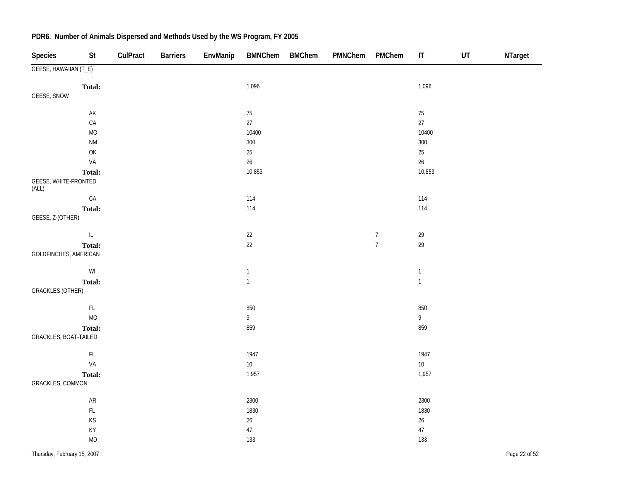| <b>Species</b>                | St                                                   | CulPract | <b>Barriers</b> | EnvManip | <b>BMNChem</b> | BMChem | PMNChem | PMChem           | $\mathsf{I}\mathsf{T}$ | UT | NTarget |
|-------------------------------|------------------------------------------------------|----------|-----------------|----------|----------------|--------|---------|------------------|------------------------|----|---------|
| GEESE, HAWAIIAN (T_E)         |                                                      |          |                 |          |                |        |         |                  |                        |    |         |
|                               | Total:                                               |          |                 |          | 1,096          |        |         |                  | 1,096                  |    |         |
| GEESE, SNOW                   |                                                      |          |                 |          |                |        |         |                  |                        |    |         |
|                               | $\mathsf{AK}$                                        |          |                 |          | $75\,$         |        |         |                  | $75\,$                 |    |         |
|                               | CA                                                   |          |                 |          | $27\,$         |        |         |                  | $27\,$                 |    |         |
|                               | $MO$                                                 |          |                 |          | 10400          |        |         |                  | 10400                  |    |         |
|                               | $\mathsf{N}\mathsf{M}$                               |          |                 |          | 300            |        |         |                  | 300                    |    |         |
|                               | OK                                                   |          |                 |          | $25\,$         |        |         |                  | $25\,$                 |    |         |
|                               | VA                                                   |          |                 |          | 26             |        |         |                  | $26\,$                 |    |         |
|                               | Total:                                               |          |                 |          | 10,853         |        |         |                  | 10,853                 |    |         |
| GEESE, WHITE-FRONTED<br>(ALL) |                                                      |          |                 |          |                |        |         |                  |                        |    |         |
|                               | ${\sf CA}$                                           |          |                 |          | 114            |        |         |                  | 114                    |    |         |
|                               | Total:                                               |          |                 |          | 114            |        |         |                  | 114                    |    |         |
| GEESE, Z-(OTHER)              |                                                      |          |                 |          |                |        |         |                  |                        |    |         |
|                               | $\ensuremath{\mathsf{IL}}\xspace$                    |          |                 |          | $22\,$         |        |         | $\boldsymbol{7}$ | 29                     |    |         |
| GOLDFINCHES, AMERICAN         | Total:                                               |          |                 |          | $22\,$         |        |         | $\overline{7}$   | 29                     |    |         |
|                               |                                                      |          |                 |          |                |        |         |                  |                        |    |         |
|                               | $\mathsf{W}\mathsf{I}$                               |          |                 |          | $\mathbf{1}$   |        |         |                  | $\mathbf{1}$           |    |         |
|                               | Total:                                               |          |                 |          | $\mathbf{1}$   |        |         |                  | $\mathbf{1}$           |    |         |
| <b>GRACKLES (OTHER)</b>       |                                                      |          |                 |          |                |        |         |                  |                        |    |         |
|                               | $\mathsf{FL}{}$                                      |          |                 |          | 850            |        |         |                  | 850                    |    |         |
|                               | <b>MO</b>                                            |          |                 |          | 9              |        |         |                  | $\overline{9}$         |    |         |
|                               | <b>Total:</b>                                        |          |                 |          | 859            |        |         |                  | 859                    |    |         |
| GRACKLES, BOAT-TAILED         |                                                      |          |                 |          |                |        |         |                  |                        |    |         |
|                               | $\mathsf{FL}$                                        |          |                 |          | 1947           |        |         |                  | 1947                   |    |         |
|                               | VA                                                   |          |                 |          | $10\,$         |        |         |                  | $10\,$                 |    |         |
|                               | Total:                                               |          |                 |          | 1,957          |        |         |                  | 1,957                  |    |         |
| GRACKLES, COMMON              |                                                      |          |                 |          |                |        |         |                  |                        |    |         |
|                               | AR                                                   |          |                 |          | 2300           |        |         |                  | 2300                   |    |         |
|                               | $\mathsf{FL}$                                        |          |                 |          | 1830           |        |         |                  | 1830                   |    |         |
|                               | $\mathsf{KS}% _{\mathsf{K}}\left( \mathsf{K}\right)$ |          |                 |          | $26\,$         |        |         |                  | $26\,$                 |    |         |
|                               | KY                                                   |          |                 |          | $47\,$         |        |         |                  | $47\,$                 |    |         |
|                               | $\mathsf{MD}$                                        |          |                 |          | 133            |        |         |                  | 133                    |    |         |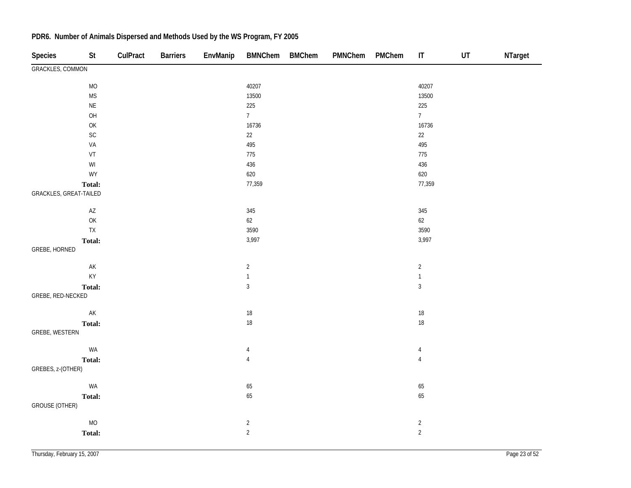| Species                 | St                     | CulPract | <b>Barriers</b> | EnvManip | <b>BMNChem</b> | <b>BMChem</b> | PMNChem | PMChem | $\mathsf{I}\mathsf{T}$ | UT | NTarget |
|-------------------------|------------------------|----------|-----------------|----------|----------------|---------------|---------|--------|------------------------|----|---------|
| <b>GRACKLES, COMMON</b> |                        |          |                 |          |                |               |         |        |                        |    |         |
|                         | $\rm MO$               |          |                 |          | 40207          |               |         |        | 40207                  |    |         |
|                         | <b>MS</b>              |          |                 |          | 13500          |               |         |        | 13500                  |    |         |
|                         | $\sf NE$               |          |                 |          | 225            |               |         |        | 225                    |    |         |
|                         | OH                     |          |                 |          | 7 <sup>7</sup> |               |         |        | 7 <sup>7</sup>         |    |         |
|                         | OK                     |          |                 |          | 16736          |               |         |        | 16736                  |    |         |
|                         | SC                     |          |                 |          | $22\,$         |               |         |        | $22\,$                 |    |         |
|                         | VA                     |          |                 |          | 495            |               |         |        | 495                    |    |         |
|                         | VT                     |          |                 |          | 775            |               |         |        | 775                    |    |         |
|                         | $\mathsf{W}\mathsf{I}$ |          |                 |          | 436            |               |         |        | 436                    |    |         |
|                         | <b>WY</b>              |          |                 |          | 620            |               |         |        | 620                    |    |         |
|                         | Total:                 |          |                 |          | 77,359         |               |         |        | 77,359                 |    |         |
| GRACKLES, GREAT-TAILED  |                        |          |                 |          |                |               |         |        |                        |    |         |
|                         | $\mathsf{AZ}$          |          |                 |          | 345            |               |         |        | 345                    |    |         |
|                         | OK                     |          |                 |          | $62\,$         |               |         |        | 62                     |    |         |
|                         | ${\sf TX}$             |          |                 |          | 3590           |               |         |        | 3590                   |    |         |
|                         | Total:                 |          |                 |          | 3,997          |               |         |        | 3,997                  |    |         |
| GREBE, HORNED           |                        |          |                 |          |                |               |         |        |                        |    |         |
|                         | $\mathsf{AK}$          |          |                 |          | $\overline{2}$ |               |         |        | $\overline{2}$         |    |         |
|                         | KY                     |          |                 |          | $\mathbf{1}$   |               |         |        | $\mathbf{1}$           |    |         |
|                         | Total:                 |          |                 |          | $\sqrt{3}$     |               |         |        | $\sqrt{3}$             |    |         |
| GREBE, RED-NECKED       |                        |          |                 |          |                |               |         |        |                        |    |         |
|                         | $\mathsf{AK}$          |          |                 |          | $18\,$         |               |         |        | $18\,$                 |    |         |
|                         | Total:                 |          |                 |          | $18\,$         |               |         |        | $18\,$                 |    |         |
| GREBE, WESTERN          |                        |          |                 |          |                |               |         |        |                        |    |         |
|                         | WA                     |          |                 |          | 4              |               |         |        | $\overline{4}$         |    |         |
|                         | Total:                 |          |                 |          | $\overline{4}$ |               |         |        | $\overline{4}$         |    |         |
| GREBES, z-(OTHER)       |                        |          |                 |          |                |               |         |        |                        |    |         |
|                         | WA                     |          |                 |          | $65\,$         |               |         |        | 65                     |    |         |
|                         | Total:                 |          |                 |          | 65             |               |         |        | 65                     |    |         |
| <b>GROUSE (OTHER)</b>   |                        |          |                 |          |                |               |         |        |                        |    |         |
|                         | $MO$                   |          |                 |          | $\overline{2}$ |               |         |        | $\overline{2}$         |    |         |
|                         | Total:                 |          |                 |          | $\overline{c}$ |               |         |        | $\overline{2}$         |    |         |
|                         |                        |          |                 |          |                |               |         |        |                        |    |         |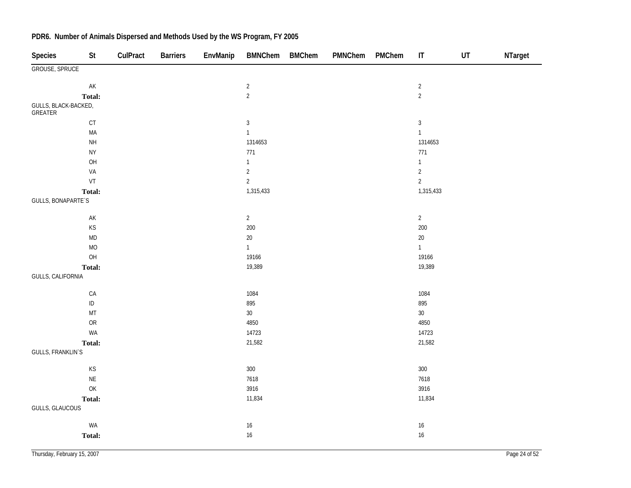| <b>Species</b>                  | St                                                   | CulPract | <b>Barriers</b> | EnvManip | <b>BMNChem</b> | <b>BMChem</b> | PMNChem | PMChem | $\mathsf{I}\mathsf{T}$ | UT | NTarget |
|---------------------------------|------------------------------------------------------|----------|-----------------|----------|----------------|---------------|---------|--------|------------------------|----|---------|
| GROUSE, SPRUCE                  |                                                      |          |                 |          |                |               |         |        |                        |    |         |
|                                 | AK                                                   |          |                 |          | $\sqrt{2}$     |               |         |        | $\sqrt{2}$             |    |         |
|                                 | Total:                                               |          |                 |          | $\overline{2}$ |               |         |        | $\overline{2}$         |    |         |
| GULLS, BLACK-BACKED,<br>GREATER |                                                      |          |                 |          |                |               |         |        |                        |    |         |
|                                 | $\mathsf{CT}$                                        |          |                 |          | $\sqrt{3}$     |               |         |        | $\sqrt{3}$             |    |         |
|                                 | $\sf MA$                                             |          |                 |          | $\mathbf{1}$   |               |         |        | $\mathbf{1}$           |    |         |
|                                 | $\mathsf{NH}\,$                                      |          |                 |          | 1314653        |               |         |        | 1314653                |    |         |
|                                 | ${\sf NY}$                                           |          |                 |          | 771            |               |         |        | 771                    |    |         |
|                                 | OH                                                   |          |                 |          | $\mathbf{1}$   |               |         |        | $\mathbf{1}$           |    |         |
|                                 | VA                                                   |          |                 |          | $\sqrt{2}$     |               |         |        | $\sqrt{2}$             |    |         |
|                                 | VT                                                   |          |                 |          | $\sqrt{2}$     |               |         |        | $\overline{2}$         |    |         |
|                                 | Total:                                               |          |                 |          | 1,315,433      |               |         |        | 1,315,433              |    |         |
| <b>GULLS, BONAPARTE'S</b>       |                                                      |          |                 |          |                |               |         |        |                        |    |         |
|                                 | AK                                                   |          |                 |          | $\overline{2}$ |               |         |        | $\overline{2}$         |    |         |
|                                 | KS                                                   |          |                 |          | 200            |               |         |        | 200                    |    |         |
|                                 | MD                                                   |          |                 |          | $20\,$         |               |         |        | $20\,$                 |    |         |
|                                 | <b>MO</b>                                            |          |                 |          | $\mathbf{1}$   |               |         |        | $\overline{1}$         |    |         |
|                                 | OH                                                   |          |                 |          | 19166          |               |         |        | 19166                  |    |         |
|                                 | Total:                                               |          |                 |          | 19,389         |               |         |        | 19,389                 |    |         |
| GULLS, CALIFORNIA               |                                                      |          |                 |          |                |               |         |        |                        |    |         |
|                                 | ${\sf CA}$                                           |          |                 |          | 1084           |               |         |        | 1084                   |    |         |
|                                 | $\sf ID$                                             |          |                 |          | 895            |               |         |        | 895                    |    |         |
|                                 | $\mathsf{MT}$                                        |          |                 |          | $30\,$         |               |         |        | $30\,$                 |    |         |
|                                 | ${\sf OR}$                                           |          |                 |          | 4850           |               |         |        | 4850                   |    |         |
|                                 | WA                                                   |          |                 |          | 14723          |               |         |        | 14723                  |    |         |
|                                 | Total:                                               |          |                 |          | 21,582         |               |         |        | 21,582                 |    |         |
| <b>GULLS, FRANKLIN'S</b>        |                                                      |          |                 |          |                |               |         |        |                        |    |         |
|                                 | $\mathsf{KS}% _{\mathsf{K}}\left( \mathsf{K}\right)$ |          |                 |          | $300\,$        |               |         |        | 300                    |    |         |
|                                 | $\mathsf{NE}\xspace$                                 |          |                 |          | 7618           |               |         |        | 7618                   |    |         |
|                                 | OK                                                   |          |                 |          | 3916           |               |         |        | 3916                   |    |         |
|                                 | Total:                                               |          |                 |          | 11,834         |               |         |        | 11,834                 |    |         |
| GULLS, GLAUCOUS                 |                                                      |          |                 |          |                |               |         |        |                        |    |         |
|                                 | WA                                                   |          |                 |          | $16\,$         |               |         |        | $16\,$                 |    |         |
|                                 | Total:                                               |          |                 |          | $16\,$         |               |         |        | $16\,$                 |    |         |
|                                 |                                                      |          |                 |          |                |               |         |        |                        |    |         |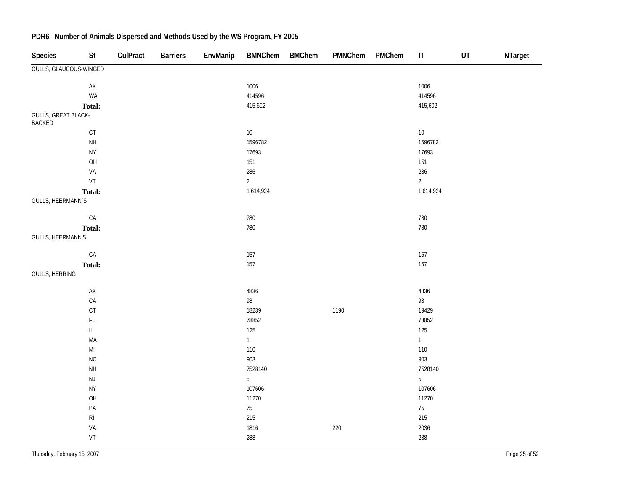| <b>Species</b>                       | St                     | CulPract | <b>Barriers</b> | EnvManip | <b>BMNChem</b>  | <b>BMChem</b> | PMNChem | PMChem | $\mathsf{I}\mathsf{T}$ | UT | NTarget |
|--------------------------------------|------------------------|----------|-----------------|----------|-----------------|---------------|---------|--------|------------------------|----|---------|
| GULLS, GLAUCOUS-WINGED               |                        |          |                 |          |                 |               |         |        |                        |    |         |
|                                      | $\mathsf{AK}$          |          |                 |          | 1006            |               |         |        | 1006                   |    |         |
|                                      | WA                     |          |                 |          | 414596          |               |         |        | 414596                 |    |         |
|                                      | Total:                 |          |                 |          | 415,602         |               |         |        | 415,602                |    |         |
| GULLS, GREAT BLACK-<br><b>BACKED</b> |                        |          |                 |          |                 |               |         |        |                        |    |         |
|                                      | $\mathsf{C}\mathsf{T}$ |          |                 |          | $10\,$          |               |         |        | $10\,$                 |    |         |
|                                      | <b>NH</b>              |          |                 |          | 1596782         |               |         |        | 1596782                |    |         |
|                                      | <b>NY</b>              |          |                 |          | 17693           |               |         |        | 17693                  |    |         |
|                                      | OH                     |          |                 |          | 151             |               |         |        | 151                    |    |         |
|                                      | VA                     |          |                 |          | 286             |               |         |        | 286                    |    |         |
|                                      | VT                     |          |                 |          | $\overline{2}$  |               |         |        | $\overline{2}$         |    |         |
|                                      | Total:                 |          |                 |          | 1,614,924       |               |         |        | 1,614,924              |    |         |
| GULLS, HEERMANN`S                    |                        |          |                 |          |                 |               |         |        |                        |    |         |
|                                      | CA                     |          |                 |          | 780             |               |         |        | 780                    |    |         |
|                                      | Total:                 |          |                 |          | 780             |               |         |        | 780                    |    |         |
| GULLS, HEERMANN'S                    |                        |          |                 |          |                 |               |         |        |                        |    |         |
|                                      | CA                     |          |                 |          | 157             |               |         |        | 157                    |    |         |
|                                      | Total:                 |          |                 |          | 157             |               |         |        | 157                    |    |         |
| GULLS, HERRING                       |                        |          |                 |          |                 |               |         |        |                        |    |         |
|                                      | $\mathsf{AK}$          |          |                 |          | 4836            |               |         |        | 4836                   |    |         |
|                                      | CA                     |          |                 |          | 98              |               |         |        | 98                     |    |         |
|                                      | CT                     |          |                 |          | 18239           |               | 1190    |        | 19429                  |    |         |
|                                      | $\mathsf{FL}$          |          |                 |          | 78852           |               |         |        | 78852                  |    |         |
|                                      | $\mathsf{IL}$          |          |                 |          | 125             |               |         |        | 125                    |    |         |
|                                      | MA                     |          |                 |          | $1 -$           |               |         |        | 1                      |    |         |
|                                      | $\mathsf{MI}$          |          |                 |          | 110             |               |         |        | 110                    |    |         |
|                                      | NC                     |          |                 |          | 903             |               |         |        | 903                    |    |         |
|                                      | $\mathsf{NH}\,$        |          |                 |          | 7528140         |               |         |        | 7528140                |    |         |
|                                      | $\mathsf{NJ}$          |          |                 |          | $5\overline{)}$ |               |         |        | $5\phantom{.0}$        |    |         |
|                                      | <b>NY</b>              |          |                 |          | 107606          |               |         |        | 107606                 |    |         |
|                                      | OH                     |          |                 |          | 11270           |               |         |        | 11270                  |    |         |
|                                      | $\mathsf{PA}$          |          |                 |          | $75\,$          |               |         |        | $75\,$                 |    |         |
|                                      | $\mathsf{RI}$          |          |                 |          | 215             |               |         |        | 215                    |    |         |
|                                      | VA                     |          |                 |          | 1816            |               | 220     |        | 2036                   |    |         |
|                                      | VT                     |          |                 |          | 288             |               |         |        | 288                    |    |         |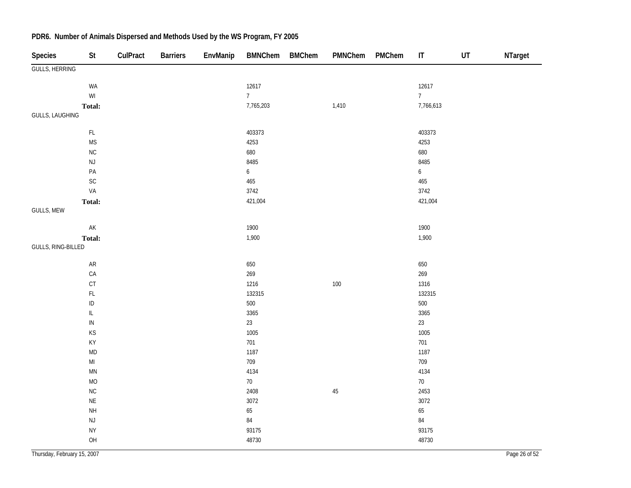| <b>Species</b>         | St                                                      | CulPract | <b>Barriers</b> | EnvManip | <b>BMNChem</b>   | <b>BMChem</b> | PMNChem | PMChem | IT               | UT | NTarget |
|------------------------|---------------------------------------------------------|----------|-----------------|----------|------------------|---------------|---------|--------|------------------|----|---------|
| GULLS, HERRING         |                                                         |          |                 |          |                  |               |         |        |                  |    |         |
|                        | WA                                                      |          |                 |          | 12617            |               |         |        | 12617            |    |         |
|                        | $\ensuremath{\mathsf{W}}\xspace\ensuremath{\mathsf{I}}$ |          |                 |          | 7 <sup>7</sup>   |               |         |        | $7\overline{ }$  |    |         |
|                        | Total:                                                  |          |                 |          | 7,765,203        |               | 1,410   |        | 7,766,613        |    |         |
| <b>GULLS, LAUGHING</b> |                                                         |          |                 |          |                  |               |         |        |                  |    |         |
|                        | FL                                                      |          |                 |          | 403373           |               |         |        | 403373           |    |         |
|                        | $\mathsf{MS}\xspace$                                    |          |                 |          | 4253             |               |         |        | 4253             |    |         |
|                        | ${\sf NC}$                                              |          |                 |          | 680              |               |         |        | 680              |    |         |
|                        | $\mathsf{NJ}$                                           |          |                 |          | 8485             |               |         |        | 8485             |    |         |
|                        | $\mathsf{PA}$                                           |          |                 |          | $\boldsymbol{6}$ |               |         |        | $\boldsymbol{6}$ |    |         |
|                        | $\mathsf{SC}$                                           |          |                 |          | 465              |               |         |        | 465              |    |         |
|                        | VA                                                      |          |                 |          | 3742             |               |         |        | 3742             |    |         |
|                        | Total:                                                  |          |                 |          | 421,004          |               |         |        | 421,004          |    |         |
| GULLS, MEW             |                                                         |          |                 |          |                  |               |         |        |                  |    |         |
|                        | AK                                                      |          |                 |          | 1900             |               |         |        | 1900             |    |         |
|                        | Total:                                                  |          |                 |          | 1,900            |               |         |        | 1,900            |    |         |
| GULLS, RING-BILLED     |                                                         |          |                 |          |                  |               |         |        |                  |    |         |
|                        | ${\sf AR}$                                              |          |                 |          | 650              |               |         |        | 650              |    |         |
|                        | ${\sf CA}$                                              |          |                 |          | 269              |               |         |        | 269              |    |         |
|                        | $\mathsf{C}\mathsf{T}$                                  |          |                 |          | 1216             |               | $100\,$ |        | 1316             |    |         |
|                        | $\mathsf{FL}$                                           |          |                 |          | 132315           |               |         |        | 132315           |    |         |
|                        | $\sf ID$                                                |          |                 |          | 500              |               |         |        | 500              |    |         |
|                        | IL                                                      |          |                 |          | 3365             |               |         |        | 3365             |    |         |
|                        | ${\sf IN}$                                              |          |                 |          | 23               |               |         |        | 23               |    |         |
|                        | KS                                                      |          |                 |          | 1005             |               |         |        | 1005             |    |         |
|                        | KY                                                      |          |                 |          | 701              |               |         |        | 701              |    |         |
|                        | $\mathsf{MD}$                                           |          |                 |          | 1187             |               |         |        | 1187             |    |         |
|                        | $\mathsf{MI}$                                           |          |                 |          | 709              |               |         |        | 709              |    |         |
|                        | $\mathsf{M}\mathsf{N}$                                  |          |                 |          | 4134             |               |         |        | 4134             |    |         |
|                        | <b>MO</b>                                               |          |                 |          | $70\,$           |               |         |        | $70\,$           |    |         |
|                        | ${\sf NC}$                                              |          |                 |          | 2408             |               | 45      |        | 2453             |    |         |
|                        | $\mathsf{NE}\xspace$                                    |          |                 |          | 3072             |               |         |        | 3072             |    |         |
|                        | $\mathsf{NH}\,$                                         |          |                 |          | 65               |               |         |        | 65               |    |         |
|                        | $\mathsf{NJ}$                                           |          |                 |          | $\bf 84$         |               |         |        | 84               |    |         |
|                        | <b>NY</b>                                               |          |                 |          | 93175            |               |         |        | 93175            |    |         |
|                        | OH                                                      |          |                 |          | 48730            |               |         |        | 48730            |    |         |
|                        |                                                         |          |                 |          |                  |               |         |        |                  |    |         |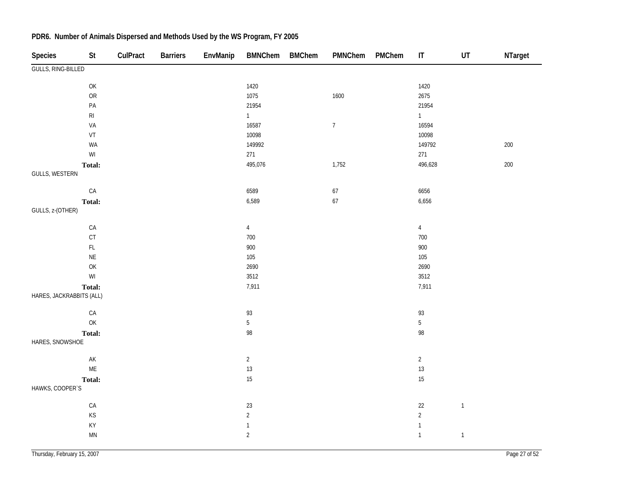| <b>Species</b>            | $\mathsf{St}$                                                                                      | CulPract | <b>Barriers</b> | EnvManip | <b>BMNChem</b> | <b>BMChem</b> | PMNChem          | PMChem | $\sf IT$        | $\ensuremath{\mathsf{UT}}$ | NTarget |
|---------------------------|----------------------------------------------------------------------------------------------------|----------|-----------------|----------|----------------|---------------|------------------|--------|-----------------|----------------------------|---------|
| <b>GULLS, RING-BILLED</b> |                                                                                                    |          |                 |          |                |               |                  |        |                 |                            |         |
|                           | $\mathsf{OK}% \left( \mathcal{M}\right) \equiv\mathsf{OK}(\mathcal{M}_{\mathrm{CL}}(\mathcal{M}))$ |          |                 |          | 1420           |               |                  |        | 1420            |                            |         |
|                           | <b>OR</b>                                                                                          |          |                 |          | 1075           |               | 1600             |        | 2675            |                            |         |
|                           | $\mathsf{PA}$                                                                                      |          |                 |          | 21954          |               |                  |        | 21954           |                            |         |
|                           | $\mathsf{RI}$                                                                                      |          |                 |          | 1              |               |                  |        | $\mathbf{1}$    |                            |         |
|                           | VA                                                                                                 |          |                 |          | 16587          |               | $\boldsymbol{7}$ |        | 16594           |                            |         |
|                           | VT                                                                                                 |          |                 |          | 10098          |               |                  |        | 10098           |                            |         |
|                           | WA                                                                                                 |          |                 |          | 149992         |               |                  |        | 149792          |                            | 200     |
|                           | $\ensuremath{\mathsf{W}}\xspace\ensuremath{\mathsf{I}}$                                            |          |                 |          | 271            |               |                  |        | 271             |                            |         |
|                           | Total:                                                                                             |          |                 |          | 495,076        |               | 1,752            |        | 496,628         |                            | $200\,$ |
| GULLS, WESTERN            |                                                                                                    |          |                 |          |                |               |                  |        |                 |                            |         |
|                           | ${\sf CA}$                                                                                         |          |                 |          | 6589           |               | 67               |        | 6656            |                            |         |
|                           | Total:                                                                                             |          |                 |          | 6,589          |               | 67               |        | 6,656           |                            |         |
| GULLS, z-(OTHER)          |                                                                                                    |          |                 |          |                |               |                  |        |                 |                            |         |
|                           | ${\sf CA}$                                                                                         |          |                 |          | $\overline{4}$ |               |                  |        | $\overline{4}$  |                            |         |
|                           | $\mathsf{C}\mathsf{T}$                                                                             |          |                 |          | 700            |               |                  |        | 700             |                            |         |
|                           | $\mathsf{FL}$                                                                                      |          |                 |          | 900            |               |                  |        | 900             |                            |         |
|                           | $\mathsf{NE}\xspace$                                                                               |          |                 |          | 105            |               |                  |        | 105             |                            |         |
|                           | OK                                                                                                 |          |                 |          | 2690           |               |                  |        | 2690            |                            |         |
|                           | $\ensuremath{\mathsf{W}}\xspace\ensuremath{\mathsf{I}}$                                            |          |                 |          | 3512           |               |                  |        | 3512            |                            |         |
|                           | Total:                                                                                             |          |                 |          | 7,911          |               |                  |        | 7,911           |                            |         |
| HARES, JACKRABBITS (ALL)  |                                                                                                    |          |                 |          |                |               |                  |        |                 |                            |         |
|                           | ${\sf CA}$                                                                                         |          |                 |          | 93             |               |                  |        | $93\,$          |                            |         |
|                           | $\mathsf{OK}$                                                                                      |          |                 |          | $5\,$          |               |                  |        | $5\phantom{.0}$ |                            |         |
|                           | Total:                                                                                             |          |                 |          | 98             |               |                  |        | 98              |                            |         |
| HARES, SNOWSHOE           |                                                                                                    |          |                 |          |                |               |                  |        |                 |                            |         |
|                           | $\mathsf{AK}$                                                                                      |          |                 |          | $\overline{c}$ |               |                  |        | $\overline{2}$  |                            |         |
|                           | $\mathsf{ME}$                                                                                      |          |                 |          | $13$           |               |                  |        | 13              |                            |         |
|                           | Total:                                                                                             |          |                 |          | 15             |               |                  |        | 15              |                            |         |
| HAWKS, COOPER'S           |                                                                                                    |          |                 |          |                |               |                  |        |                 |                            |         |
|                           | ${\sf CA}$                                                                                         |          |                 |          | $23\,$         |               |                  |        | $22\,$          | $\mathbf{1}$               |         |
|                           | $\mathsf{KS}% _{\mathsf{K}}\left( \mathsf{K}\right)$                                               |          |                 |          | $\overline{2}$ |               |                  |        | $\sqrt{2}$      |                            |         |
|                           | KY                                                                                                 |          |                 |          | $\mathbf{1}$   |               |                  |        | $\mathbf{1}$    |                            |         |
|                           | MN                                                                                                 |          |                 |          | $\overline{2}$ |               |                  |        | $\mathbf{1}$    | $\mathbf{1}$               |         |
|                           |                                                                                                    |          |                 |          |                |               |                  |        |                 |                            |         |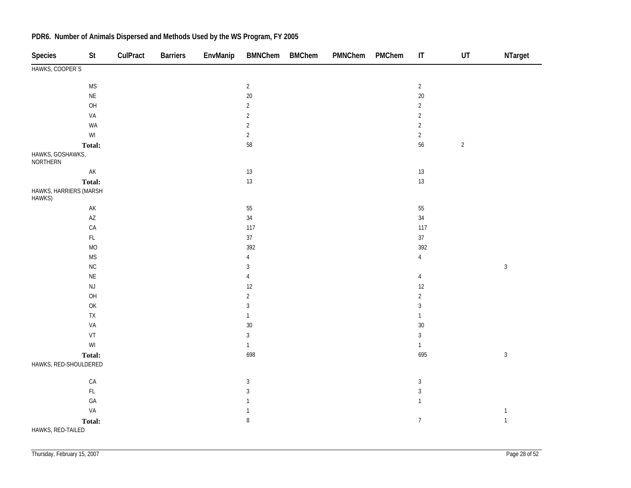| <b>Species</b>                      | St                         | CulPract | <b>Barriers</b> | EnvManip | BMNChem BMChem | PMNChem | PMChem | $\mathsf{I}\mathsf{T}$ | UT         | NTarget        |
|-------------------------------------|----------------------------|----------|-----------------|----------|----------------|---------|--------|------------------------|------------|----------------|
| HAWKS, COOPER'S                     |                            |          |                 |          |                |         |        |                        |            |                |
|                                     | $\mathsf{MS}\xspace$       |          |                 |          | $\overline{2}$ |         |        | $\overline{2}$         |            |                |
|                                     | $\mathsf{NE}\xspace$       |          |                 |          | 20             |         |        | $20\,$                 |            |                |
|                                     | OH                         |          |                 |          | $\sqrt{2}$     |         |        | $\overline{2}$         |            |                |
|                                     | VA                         |          |                 |          | $\sqrt{2}$     |         |        | $\sqrt{2}$             |            |                |
|                                     | WA                         |          |                 |          | $\sqrt{2}$     |         |        | $\sqrt{2}$             |            |                |
|                                     | $\mathsf{W}\mathsf{I}$     |          |                 |          | $\sqrt{2}$     |         |        | $\overline{2}$         |            |                |
|                                     | <b>Total:</b>              |          |                 |          | 58             |         |        | 56                     | $\sqrt{2}$ |                |
| HAWKS, GOSHAWKS,<br><b>NORTHERN</b> |                            |          |                 |          |                |         |        |                        |            |                |
|                                     | $\mathsf{AK}$              |          |                 |          | $13\,$         |         |        | $13\,$                 |            |                |
|                                     | Total:                     |          |                 |          | $13\,$         |         |        | 13                     |            |                |
| HAWKS, HARRIERS (MARSH<br>HAWKS)    |                            |          |                 |          |                |         |        |                        |            |                |
|                                     | $\mathsf{AK}$              |          |                 |          | 55             |         |        | $55\,$                 |            |                |
|                                     | $\mathsf{A}\mathsf{Z}$     |          |                 |          | 34             |         |        | 34                     |            |                |
|                                     | CA                         |          |                 |          | 117            |         |        | 117                    |            |                |
|                                     | $\mathsf{FL}$              |          |                 |          | $37\,$         |         |        | 37                     |            |                |
|                                     | $\rm MO$                   |          |                 |          | 392            |         |        | 392                    |            |                |
|                                     | $\mathsf{MS}\xspace$       |          |                 |          | $\overline{4}$ |         |        | $\overline{4}$         |            |                |
|                                     | $\sf NC$                   |          |                 |          | $\mathbf{3}$   |         |        |                        |            | $\sqrt{3}$     |
|                                     | $\mathsf{NE}\xspace$       |          |                 |          | $\overline{4}$ |         |        | $\overline{4}$         |            |                |
|                                     | $\mathsf{NJ}$              |          |                 |          | 12             |         |        | 12                     |            |                |
|                                     | OH                         |          |                 |          | $\sqrt{2}$     |         |        | $\overline{2}$         |            |                |
|                                     | $\mathsf{OK}$              |          |                 |          | $\sqrt{3}$     |         |        | $\mathfrak{Z}$         |            |                |
|                                     | ${\sf TX}$                 |          |                 |          | $\mathbf{1}$   |         |        | $\mathbf{1}$           |            |                |
|                                     | VA                         |          |                 |          | 30             |         |        | $30\,$                 |            |                |
|                                     | $\ensuremath{\mathsf{VT}}$ |          |                 |          | $\sqrt{3}$     |         |        | $\mathbf{3}$           |            |                |
|                                     | $\mathsf{W}\mathsf{I}$     |          |                 |          | $\mathbf{1}$   |         |        | $\mathbf{1}$           |            |                |
|                                     | Total:                     |          |                 |          | 698            |         |        | 695                    |            | $\mathfrak{Z}$ |
| HAWKS, RED-SHOULDERED               |                            |          |                 |          |                |         |        |                        |            |                |
|                                     | CA                         |          |                 |          | $\sqrt{3}$     |         |        | $\sqrt{3}$             |            |                |
|                                     | $\mathsf{FL}$              |          |                 |          | $\mathbf{3}$   |         |        | $\mathfrak{Z}$         |            |                |
|                                     | GA                         |          |                 |          | $\mathbf{1}$   |         |        | $\mathbf{1}$           |            |                |
|                                     | VA                         |          |                 |          | $\mathbf{1}$   |         |        |                        |            | $\mathbf{1}$   |
|                                     | Total:                     |          |                 |          | $\, 8$         |         |        | $\boldsymbol{7}$       |            | $\mathbf{1}$   |
| HAWKS, RED-TAILED                   |                            |          |                 |          |                |         |        |                        |            |                |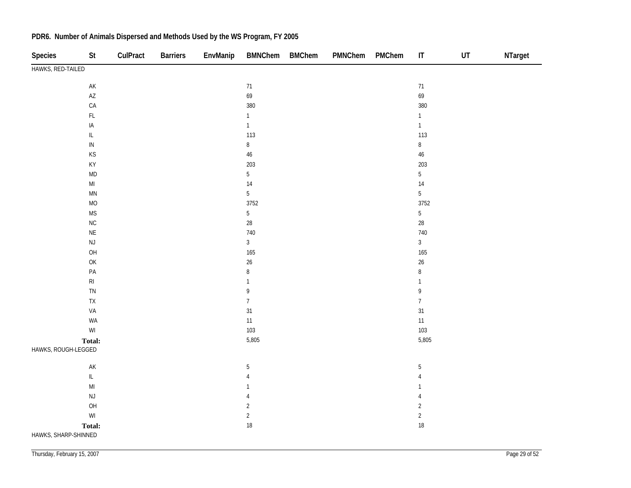| Species              | <b>St</b>                                                                             | CulPract | <b>Barriers</b> | EnvManip | <b>BMNChem</b> | <b>BMChem</b> | PMNChem | PMChem | $\mathsf{I}\mathsf{T}$ | UT | NTarget |
|----------------------|---------------------------------------------------------------------------------------|----------|-----------------|----------|----------------|---------------|---------|--------|------------------------|----|---------|
| HAWKS, RED-TAILED    |                                                                                       |          |                 |          |                |               |         |        |                        |    |         |
|                      | $\mathsf{AK}$                                                                         |          |                 |          | 71             |               |         |        | 71                     |    |         |
|                      | $\mathsf{A}\mathsf{Z}$                                                                |          |                 |          | 69             |               |         |        | 69                     |    |         |
|                      | ${\sf CA}$                                                                            |          |                 |          | 380            |               |         |        | 380                    |    |         |
|                      | $\mathsf{FL}$                                                                         |          |                 |          | $\mathbf{1}$   |               |         |        | $\mathbf{1}$           |    |         |
|                      | $\sf IA$                                                                              |          |                 |          | $\mathbf{1}$   |               |         |        | $\mathbf{1}$           |    |         |
|                      | $\ensuremath{\mathsf{IL}}\xspace$                                                     |          |                 |          | 113            |               |         |        | 113                    |    |         |
|                      | ${\sf IN}$                                                                            |          |                 |          | $\, 8$         |               |         |        | 8                      |    |         |
|                      | KS                                                                                    |          |                 |          | 46             |               |         |        | $46\,$                 |    |         |
|                      | KY                                                                                    |          |                 |          | 203            |               |         |        | 203                    |    |         |
|                      | <b>MD</b>                                                                             |          |                 |          | $\overline{5}$ |               |         |        | $5\overline{)}$        |    |         |
|                      | $\mathsf{MI}$                                                                         |          |                 |          | 14             |               |         |        | $14\,$                 |    |         |
|                      | MN                                                                                    |          |                 |          | $\overline{5}$ |               |         |        | $\overline{5}$         |    |         |
|                      | $MO$                                                                                  |          |                 |          | 3752           |               |         |        | 3752                   |    |         |
|                      | <b>MS</b>                                                                             |          |                 |          | $\overline{5}$ |               |         |        | $5\overline{)}$        |    |         |
|                      | ${\sf NC}$                                                                            |          |                 |          | $28\,$         |               |         |        | $28\,$                 |    |         |
|                      | $\mathsf{NE}\xspace$                                                                  |          |                 |          | 740            |               |         |        | 740                    |    |         |
|                      | $\mathsf{NJ}$                                                                         |          |                 |          | $\sqrt{3}$     |               |         |        | $\overline{3}$         |    |         |
|                      | OH                                                                                    |          |                 |          | 165            |               |         |        | 165                    |    |         |
|                      | $\mathsf{OK}% \left( \mathcal{M}\right) \equiv\mathsf{OK}(\mathcal{M}_{\mathrm{CL}})$ |          |                 |          | 26             |               |         |        | $26\,$                 |    |         |
|                      | $\mathsf{PA}$                                                                         |          |                 |          | $\bf 8$        |               |         |        | 8                      |    |         |
|                      | $\mathsf{RI}$                                                                         |          |                 |          | $\mathbf{1}$   |               |         |        | $\mathbf{1}$           |    |         |
|                      | ${\sf TN}$                                                                            |          |                 |          | 9              |               |         |        | 9                      |    |         |
|                      | ${\sf TX}$                                                                            |          |                 |          | $\overline{7}$ |               |         |        | $\overline{7}$         |    |         |
|                      | VA                                                                                    |          |                 |          | 31             |               |         |        | 31                     |    |         |
|                      | WA<br>$\mathsf{W}\mathsf{I}$                                                          |          |                 |          | $11$<br>103    |               |         |        | $11\,$<br>103          |    |         |
|                      |                                                                                       |          |                 |          | 5,805          |               |         |        | 5,805                  |    |         |
| HAWKS, ROUGH-LEGGED  | Total:                                                                                |          |                 |          |                |               |         |        |                        |    |         |
|                      |                                                                                       |          |                 |          |                |               |         |        |                        |    |         |
|                      | $\mathsf{AK}$                                                                         |          |                 |          | $\sqrt{5}$     |               |         |        | $\mathbf 5$            |    |         |
|                      | $\mathsf{IL}$                                                                         |          |                 |          | $\overline{4}$ |               |         |        | $\overline{4}$         |    |         |
|                      | $\mathsf{MI}$                                                                         |          |                 |          | $\mathbf{1}$   |               |         |        | $\mathbf{1}$           |    |         |
|                      | $\mathsf{NJ}$                                                                         |          |                 |          | $\overline{4}$ |               |         |        | 4                      |    |         |
|                      | OH                                                                                    |          |                 |          | $\overline{c}$ |               |         |        | $\overline{c}$         |    |         |
|                      | $\ensuremath{\mathsf{W}}\xspace\ensuremath{\mathsf{I}}$                               |          |                 |          | $\overline{2}$ |               |         |        | $\sqrt{2}$             |    |         |
|                      | Total:                                                                                |          |                 |          | 18             |               |         |        | 18                     |    |         |
| HAWKS, SHARP-SHINNED |                                                                                       |          |                 |          |                |               |         |        |                        |    |         |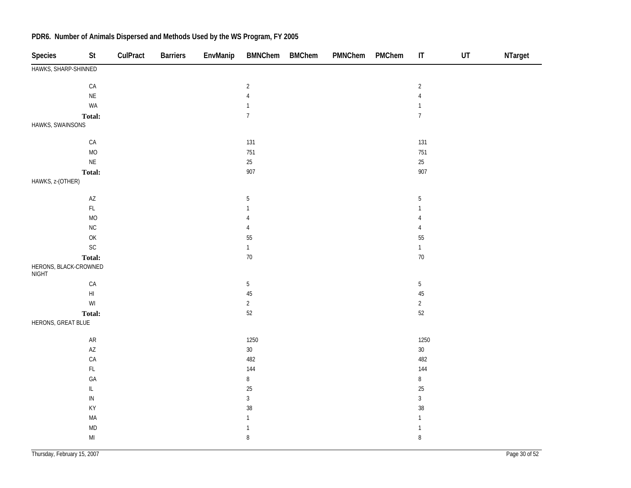| <b>Species</b>                        | <b>St</b>                                                                             | CulPract | <b>Barriers</b> | EnvManip | <b>BMNChem</b> | <b>BMChem</b> | PMNChem | PMChem | $\sf IT$       | UT | NTarget |
|---------------------------------------|---------------------------------------------------------------------------------------|----------|-----------------|----------|----------------|---------------|---------|--------|----------------|----|---------|
| HAWKS, SHARP-SHINNED                  |                                                                                       |          |                 |          |                |               |         |        |                |    |         |
|                                       | ${\sf CA}$                                                                            |          |                 |          | $\sqrt{2}$     |               |         |        | $\sqrt{2}$     |    |         |
|                                       | $\mathsf{NE}\xspace$                                                                  |          |                 |          | $\sqrt{4}$     |               |         |        | $\sqrt{4}$     |    |         |
|                                       | WA                                                                                    |          |                 |          | $\mathbf{1}$   |               |         |        | $\mathbf{1}$   |    |         |
|                                       | Total:                                                                                |          |                 |          | $\overline{7}$ |               |         |        | $\overline{7}$ |    |         |
| HAWKS, SWAINSONS                      |                                                                                       |          |                 |          |                |               |         |        |                |    |         |
|                                       | ${\sf CA}$                                                                            |          |                 |          | 131            |               |         |        | 131            |    |         |
|                                       | $MO$                                                                                  |          |                 |          | 751            |               |         |        | 751            |    |         |
|                                       | $\sf NE$                                                                              |          |                 |          | $25\,$         |               |         |        | $25\,$         |    |         |
|                                       | Total:                                                                                |          |                 |          | 907            |               |         |        | 907            |    |         |
| HAWKS, z-(OTHER)                      |                                                                                       |          |                 |          |                |               |         |        |                |    |         |
|                                       | $\mathsf{A}\mathsf{Z}$                                                                |          |                 |          | $\sqrt{5}$     |               |         |        | $\sqrt{5}$     |    |         |
|                                       | $\mathsf{FL}$                                                                         |          |                 |          | $\mathbf{1}$   |               |         |        | $\mathbf{1}$   |    |         |
|                                       | <b>MO</b>                                                                             |          |                 |          | $\sqrt{4}$     |               |         |        | $\sqrt{4}$     |    |         |
|                                       | $\rm NC$                                                                              |          |                 |          | $\sqrt{4}$     |               |         |        | $\sqrt{4}$     |    |         |
|                                       | $\mathsf{OK}% \left( \mathcal{M}\right) \equiv\mathsf{OK}(\mathcal{M}_{\mathrm{CL}})$ |          |                 |          | 55             |               |         |        | $55\,$         |    |         |
|                                       | $\mathsf{SC}$                                                                         |          |                 |          | $\mathbf{1}$   |               |         |        | $\mathbf{1}$   |    |         |
|                                       | Total:                                                                                |          |                 |          | $70\,$         |               |         |        | $70\,$         |    |         |
| HERONS, BLACK-CROWNED<br><b>NIGHT</b> |                                                                                       |          |                 |          |                |               |         |        |                |    |         |
|                                       | ${\sf CA}$                                                                            |          |                 |          | 5              |               |         |        | $\sqrt{5}$     |    |         |
|                                       | $\mathsf{H}\mathsf{I}$                                                                |          |                 |          | 45             |               |         |        | $45\,$         |    |         |
|                                       | $\ensuremath{\mathsf{W}}\xspace\ensuremath{\mathsf{I}}$                               |          |                 |          | $\overline{c}$ |               |         |        | $\overline{2}$ |    |         |
|                                       | Total:                                                                                |          |                 |          | 52             |               |         |        | $52\,$         |    |         |
| HERONS, GREAT BLUE                    |                                                                                       |          |                 |          |                |               |         |        |                |    |         |
|                                       | ${\sf AR}$                                                                            |          |                 |          | 1250           |               |         |        | 1250           |    |         |
|                                       | $\mathsf{A}\mathsf{Z}$                                                                |          |                 |          | $30\,$         |               |         |        | $30\,$         |    |         |
|                                       | CA                                                                                    |          |                 |          | 482            |               |         |        | 482            |    |         |
|                                       | $\mathsf{FL}$                                                                         |          |                 |          | 144            |               |         |        | 144            |    |         |
|                                       | GA                                                                                    |          |                 |          | $\bf 8$        |               |         |        | $\, 8$         |    |         |
|                                       | $\ensuremath{\mathsf{IL}}\xspace$                                                     |          |                 |          | 25             |               |         |        | $25\,$         |    |         |
|                                       | ${\sf IN}$                                                                            |          |                 |          | $\mathbf{3}$   |               |         |        | $\mathbf{3}$   |    |         |
|                                       | KY                                                                                    |          |                 |          | 38             |               |         |        | $38\,$         |    |         |
|                                       | MA                                                                                    |          |                 |          | $\mathbf{1}$   |               |         |        | $\mathbf{1}$   |    |         |
|                                       | $\mathsf{MD}$                                                                         |          |                 |          | $\mathbbm{1}$  |               |         |        | $\mathbbm{1}$  |    |         |
|                                       | $\mathsf{MI}$                                                                         |          |                 |          | $\, 8$         |               |         |        | 8              |    |         |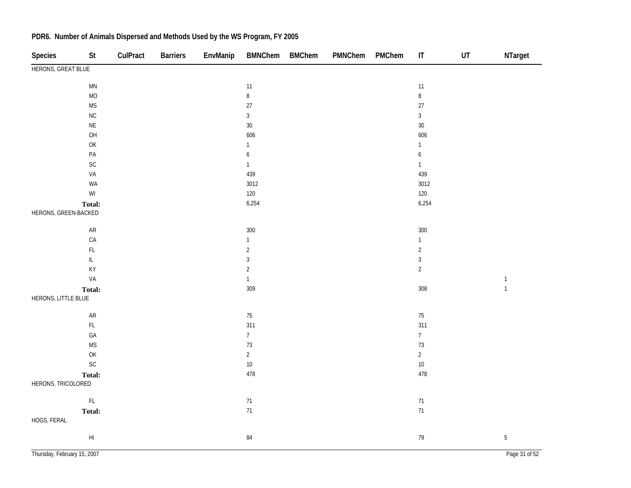| Species              | St                                                                                    | CulPract | <b>Barriers</b> | EnvManip | <b>BMNChem</b>   | <b>BMChem</b> | PMNChem | PMChem | $\sf IT$         | $\sf{UT}$ | NTarget        |
|----------------------|---------------------------------------------------------------------------------------|----------|-----------------|----------|------------------|---------------|---------|--------|------------------|-----------|----------------|
| HERONS, GREAT BLUE   |                                                                                       |          |                 |          |                  |               |         |        |                  |           |                |
|                      | $\mathsf{M}\mathsf{N}$                                                                |          |                 |          | 11               |               |         |        | 11               |           |                |
|                      | $\rm MO$                                                                              |          |                 |          | $\, 8$           |               |         |        | $\, 8$           |           |                |
|                      | $\mathsf{MS}\xspace$                                                                  |          |                 |          | 27               |               |         |        | 27               |           |                |
|                      | NC                                                                                    |          |                 |          | $\sqrt{3}$       |               |         |        | $\overline{3}$   |           |                |
|                      | $\mathsf{NE}\xspace$                                                                  |          |                 |          | 30               |               |         |        | $30\,$           |           |                |
|                      | O <sub>H</sub>                                                                        |          |                 |          | 606              |               |         |        | 606              |           |                |
|                      | $\mathsf{OK}$                                                                         |          |                 |          | $\mathbf{1}$     |               |         |        | $\mathbf{1}$     |           |                |
|                      | PA                                                                                    |          |                 |          | $\boldsymbol{6}$ |               |         |        | $\boldsymbol{6}$ |           |                |
|                      | SC                                                                                    |          |                 |          | $\mathbf{1}$     |               |         |        | $\mathbf{1}$     |           |                |
|                      | VA                                                                                    |          |                 |          | 439              |               |         |        | 439              |           |                |
|                      | WA                                                                                    |          |                 |          | 3012             |               |         |        | 3012             |           |                |
|                      | $\mathsf{W}\mathsf{I}$                                                                |          |                 |          | 120              |               |         |        | 120              |           |                |
|                      | Total:                                                                                |          |                 |          | 6,254            |               |         |        | 6,254            |           |                |
| HERONS, GREEN-BACKED |                                                                                       |          |                 |          |                  |               |         |        |                  |           |                |
|                      | ${\sf AR}$                                                                            |          |                 |          | 300              |               |         |        | 300              |           |                |
|                      | CA                                                                                    |          |                 |          | $\mathbf{1}$     |               |         |        | $\mathbf{1}$     |           |                |
|                      | $\mathsf{FL}$                                                                         |          |                 |          | $\sqrt{2}$       |               |         |        | $\sqrt{2}$       |           |                |
|                      | $\ensuremath{\mathsf{IL}}\xspace$                                                     |          |                 |          | $\sqrt{3}$       |               |         |        | $\mathfrak{Z}$   |           |                |
|                      | KY                                                                                    |          |                 |          | $\sqrt{2}$       |               |         |        | $\overline{2}$   |           |                |
|                      | VA                                                                                    |          |                 |          | $\mathbf{1}$     |               |         |        |                  |           | $\mathbf{1}$   |
|                      | Total:                                                                                |          |                 |          | 309              |               |         |        | 308              |           | $\overline{1}$ |
| HERONS, LITTLE BLUE  |                                                                                       |          |                 |          |                  |               |         |        |                  |           |                |
|                      | ${\sf AR}$                                                                            |          |                 |          | $75\,$           |               |         |        | $75\,$           |           |                |
|                      | $\mathsf{FL}$                                                                         |          |                 |          | 311              |               |         |        | 311              |           |                |
|                      | GA                                                                                    |          |                 |          | $\overline{7}$   |               |         |        | $\overline{7}$   |           |                |
|                      | $\mathsf{MS}\xspace$                                                                  |          |                 |          | $73\,$           |               |         |        | $73\,$           |           |                |
|                      | $\mathsf{OK}% \left( \mathcal{M}\right) \equiv\mathsf{OK}(\mathcal{M}_{\mathrm{CL}})$ |          |                 |          | $\overline{c}$   |               |         |        | $\overline{2}$   |           |                |
|                      | SC                                                                                    |          |                 |          | $10\,$           |               |         |        | $10\,$           |           |                |
|                      | Total:                                                                                |          |                 |          | 478              |               |         |        | 478              |           |                |
| HERONS, TRICOLORED   |                                                                                       |          |                 |          |                  |               |         |        |                  |           |                |
|                      | $\mathsf{FL}$                                                                         |          |                 |          | 71               |               |         |        | $71\,$           |           |                |
|                      | Total:                                                                                |          |                 |          | 71               |               |         |        | 71               |           |                |
| HOGS, FERAL          |                                                                                       |          |                 |          |                  |               |         |        |                  |           |                |
|                      | $\mathsf{H} \mathsf{I}$                                                               |          |                 |          | 84               |               |         |        | 79               |           | $\mathbf 5$    |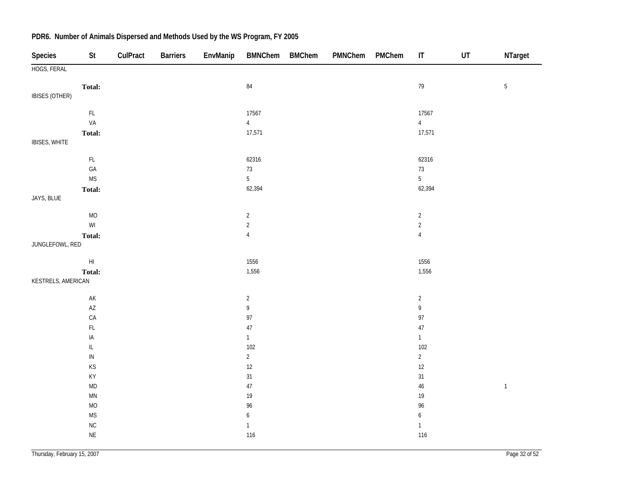| Species            | St                                                      | CulPract | <b>Barriers</b> | EnvManip | <b>BMNChem</b>                    | <b>BMChem</b> | PMNChem | PMChem | $\mathsf{I}\mathsf{T}$ | UT | NTarget     |
|--------------------|---------------------------------------------------------|----------|-----------------|----------|-----------------------------------|---------------|---------|--------|------------------------|----|-------------|
| HOGS, FERAL        |                                                         |          |                 |          |                                   |               |         |        |                        |    |             |
|                    | Total:                                                  |          |                 |          | $\bf 84$                          |               |         |        | $79\,$                 |    | $\sqrt{5}$  |
| IBISES (OTHER)     |                                                         |          |                 |          |                                   |               |         |        |                        |    |             |
|                    | $\mathsf{FL}$                                           |          |                 |          | 17567                             |               |         |        | 17567                  |    |             |
|                    | VA                                                      |          |                 |          | $\overline{4}$                    |               |         |        | $\overline{4}$         |    |             |
|                    | Total:                                                  |          |                 |          | 17,571                            |               |         |        | 17,571                 |    |             |
| IBISES, WHITE      |                                                         |          |                 |          |                                   |               |         |        |                        |    |             |
|                    | $\mathsf{FL}$                                           |          |                 |          | 62316                             |               |         |        | 62316                  |    |             |
|                    | $\mathsf{GA}$                                           |          |                 |          | $73\,$                            |               |         |        | $73\,$                 |    |             |
|                    | $\mathsf{MS}\xspace$                                    |          |                 |          | $5\overline{)}$                   |               |         |        | $5\phantom{.0}$        |    |             |
|                    | Total:                                                  |          |                 |          | 62,394                            |               |         |        | 62,394                 |    |             |
| JAYS, BLUE         |                                                         |          |                 |          |                                   |               |         |        |                        |    |             |
|                    | MO                                                      |          |                 |          | $\sqrt{2}$                        |               |         |        | $\overline{c}$         |    |             |
|                    | $\ensuremath{\mathsf{W}}\xspace\ensuremath{\mathsf{I}}$ |          |                 |          | $\overline{2}$                    |               |         |        | $\sqrt{2}$             |    |             |
|                    | Total:                                                  |          |                 |          | $\overline{4}$                    |               |         |        | $\sqrt{4}$             |    |             |
| JUNGLEFOWL, RED    |                                                         |          |                 |          |                                   |               |         |        |                        |    |             |
|                    | $\mathsf{HI}$                                           |          |                 |          | 1556                              |               |         |        | 1556                   |    |             |
|                    | Total:                                                  |          |                 |          | 1,556                             |               |         |        | 1,556                  |    |             |
| KESTRELS, AMERICAN |                                                         |          |                 |          |                                   |               |         |        |                        |    |             |
|                    | $\mathsf{AK}$                                           |          |                 |          | $\sqrt{2}$                        |               |         |        | $\overline{2}$         |    |             |
|                    | $\mathsf{A}\mathsf{Z}$                                  |          |                 |          | $\mathsf{g}% _{T}=\mathsf{g}_{T}$ |               |         |        | 9                      |    |             |
|                    | CA                                                      |          |                 |          | 97                                |               |         |        | 97                     |    |             |
|                    | $\mathsf{FL}$                                           |          |                 |          | 47                                |               |         |        | 47                     |    |             |
|                    | IA                                                      |          |                 |          | $\mathbf{1}$                      |               |         |        | $\mathbf{1}$           |    |             |
|                    | $\ensuremath{\mathsf{IL}}\xspace$                       |          |                 |          | 102                               |               |         |        | 102                    |    |             |
|                    | $\sf IN$                                                |          |                 |          | $\overline{2}$                    |               |         |        | $\overline{2}$         |    |             |
|                    | KS                                                      |          |                 |          | 12                                |               |         |        | $12\,$                 |    |             |
|                    | KY                                                      |          |                 |          | $31\,$                            |               |         |        | $31\,$                 |    |             |
|                    | $\sf MD$                                                |          |                 |          | 47                                |               |         |        | $46\,$                 |    | $\mathbf 1$ |
|                    | $\mathsf{M}\mathsf{N}$                                  |          |                 |          | $19$                              |               |         |        | $19\,$                 |    |             |
|                    | $MO$                                                    |          |                 |          | $96\,$                            |               |         |        | 96                     |    |             |
|                    | $\mathsf{MS}\xspace$                                    |          |                 |          | $\boldsymbol{6}$                  |               |         |        | $\boldsymbol{6}$       |    |             |
|                    | ${\sf NC}$                                              |          |                 |          | $\mathbf 1$                       |               |         |        | $\mathbf{1}$           |    |             |
|                    | $\mathsf{NE}\xspace$                                    |          |                 |          | 116                               |               |         |        | 116                    |    |             |
|                    |                                                         |          |                 |          |                                   |               |         |        |                        |    |             |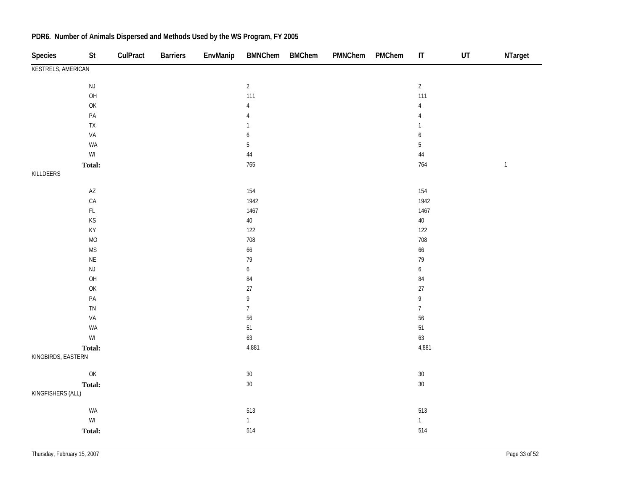| Species                   | <b>St</b>                                                         | CulPract | <b>Barriers</b> | EnvManip | <b>BMNChem</b>   | <b>BMChem</b> | PMNChem | PMChem | $\mathsf{I}\mathsf{T}$ | UT | NTarget     |
|---------------------------|-------------------------------------------------------------------|----------|-----------------|----------|------------------|---------------|---------|--------|------------------------|----|-------------|
| <b>KESTRELS, AMERICAN</b> |                                                                   |          |                 |          |                  |               |         |        |                        |    |             |
|                           | $\mathsf{NJ}$                                                     |          |                 |          | $\overline{2}$   |               |         |        | $\overline{2}$         |    |             |
|                           | OH                                                                |          |                 |          | 111              |               |         |        | 111                    |    |             |
|                           | $\mathsf{OK}$                                                     |          |                 |          | $\overline{4}$   |               |         |        | $\overline{4}$         |    |             |
|                           | $\mathsf{PA}$                                                     |          |                 |          | 4                |               |         |        | 4                      |    |             |
|                           | ${\sf TX}$                                                        |          |                 |          | $\mathbf{1}$     |               |         |        | $\mathbf{1}$           |    |             |
|                           | VA                                                                |          |                 |          | 6                |               |         |        | 6                      |    |             |
|                           | WA                                                                |          |                 |          | $\sqrt{5}$       |               |         |        | $\sqrt{5}$             |    |             |
|                           | $\ensuremath{\mathsf{W}}\xspace\ensuremath{\mathsf{I}}$           |          |                 |          | $\bf 44$         |               |         |        | $44\,$                 |    |             |
|                           | Total:                                                            |          |                 |          | 765              |               |         |        | 764                    |    | $\mathbf 1$ |
| KILLDEERS                 |                                                                   |          |                 |          |                  |               |         |        |                        |    |             |
|                           | $\mathsf{A}\mathsf{Z}$                                            |          |                 |          | 154              |               |         |        | 154                    |    |             |
|                           | $\mathsf{CA}$                                                     |          |                 |          | 1942             |               |         |        | 1942                   |    |             |
|                           | $\mathsf{FL}$                                                     |          |                 |          | 1467             |               |         |        | 1467                   |    |             |
|                           | $\mathsf{KS}% _{\mathsf{K}}^{\mathsf{K}}\left( \mathsf{K}\right)$ |          |                 |          | $40\,$           |               |         |        | $40\,$                 |    |             |
|                           | KY                                                                |          |                 |          | $122\,$          |               |         |        | 122                    |    |             |
|                           | $\rm MO$                                                          |          |                 |          | 708              |               |         |        | 708                    |    |             |
|                           | <b>MS</b>                                                         |          |                 |          | 66               |               |         |        | 66                     |    |             |
|                           | $\mathsf{NE}\xspace$                                              |          |                 |          | 79               |               |         |        | 79                     |    |             |
|                           | $\mathsf{NJ}$                                                     |          |                 |          | $\boldsymbol{6}$ |               |         |        | $\boldsymbol{6}$       |    |             |
|                           | OH                                                                |          |                 |          | $\bf 84$         |               |         |        | $\bf 84$               |    |             |
|                           | $\mathsf{OK}$                                                     |          |                 |          | $27\,$           |               |         |        | $27\,$                 |    |             |
|                           | $\mathsf{PA}$                                                     |          |                 |          | 9                |               |         |        | 9                      |    |             |
|                           | ${\sf TN}$                                                        |          |                 |          | $\overline{7}$   |               |         |        | $\overline{7}$         |    |             |
|                           | VA                                                                |          |                 |          | 56               |               |         |        | 56                     |    |             |
|                           | WA                                                                |          |                 |          | $51\,$           |               |         |        | $51\,$                 |    |             |
|                           | $\ensuremath{\mathsf{W}}\xspace\ensuremath{\mathsf{I}}$           |          |                 |          | 63               |               |         |        | 63                     |    |             |
|                           | Total:                                                            |          |                 |          | 4,881            |               |         |        | 4,881                  |    |             |
| KINGBIRDS, EASTERN        |                                                                   |          |                 |          |                  |               |         |        |                        |    |             |
|                           | OK                                                                |          |                 |          | $30\,$           |               |         |        | $30\,$                 |    |             |
|                           | Total:                                                            |          |                 |          | $30\,$           |               |         |        | $30\,$                 |    |             |
| KINGFISHERS (ALL)         |                                                                   |          |                 |          |                  |               |         |        |                        |    |             |
|                           | WA                                                                |          |                 |          | 513              |               |         |        | 513                    |    |             |
|                           | $\ensuremath{\mathsf{W}}\xspace\ensuremath{\mathsf{I}}$           |          |                 |          | $\mathbf{1}$     |               |         |        | $\mathbf{1}$           |    |             |
|                           | Total:                                                            |          |                 |          | 514              |               |         |        | 514                    |    |             |
|                           |                                                                   |          |                 |          |                  |               |         |        |                        |    |             |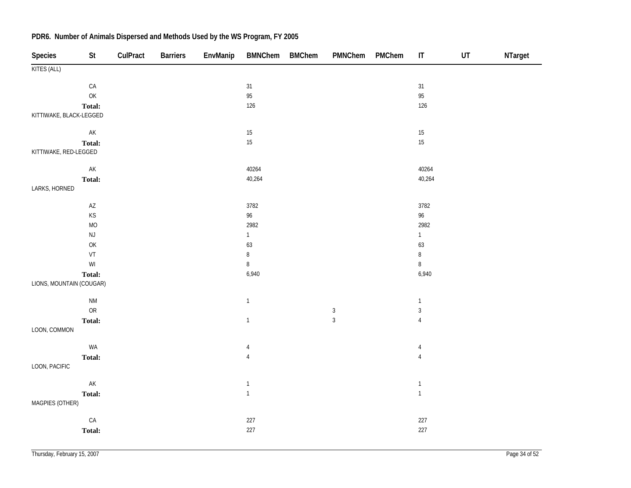| <b>Species</b>           | St                                                                                    | CulPract | <b>Barriers</b> | EnvManip | <b>BMNChem</b> | <b>BMChem</b> | PMNChem        | PMChem | $\sf IT$       | $\sf{UT}$ | NTarget |
|--------------------------|---------------------------------------------------------------------------------------|----------|-----------------|----------|----------------|---------------|----------------|--------|----------------|-----------|---------|
| KITES (ALL)              |                                                                                       |          |                 |          |                |               |                |        |                |           |         |
|                          | ${\sf CA}$                                                                            |          |                 |          | 31             |               |                |        | 31             |           |         |
|                          | $\mathsf{OK}% \left( \mathcal{M}\right) \equiv\mathsf{OK}(\mathcal{M}_{\mathrm{CL}})$ |          |                 |          | 95             |               |                |        | 95             |           |         |
|                          | Total:                                                                                |          |                 |          | $126$          |               |                |        | 126            |           |         |
| KITTIWAKE, BLACK-LEGGED  |                                                                                       |          |                 |          |                |               |                |        |                |           |         |
|                          | AK                                                                                    |          |                 |          | $15\,$         |               |                |        | $15\,$         |           |         |
|                          | Total:                                                                                |          |                 |          | 15             |               |                |        | 15             |           |         |
| KITTIWAKE, RED-LEGGED    |                                                                                       |          |                 |          |                |               |                |        |                |           |         |
|                          | ${\sf AK}$                                                                            |          |                 |          | 40264          |               |                |        | 40264          |           |         |
|                          | Total:                                                                                |          |                 |          | 40,264         |               |                |        | 40,264         |           |         |
| LARKS, HORNED            |                                                                                       |          |                 |          |                |               |                |        |                |           |         |
|                          | $\mathsf{AZ}$                                                                         |          |                 |          | 3782           |               |                |        | 3782           |           |         |
|                          | KS                                                                                    |          |                 |          | 96             |               |                |        | 96             |           |         |
|                          | <b>MO</b>                                                                             |          |                 |          | 2982           |               |                |        | 2982           |           |         |
|                          | $\mathsf{NJ}$                                                                         |          |                 |          | $\mathbf{1}$   |               |                |        | $\mathbf{1}$   |           |         |
|                          | OK                                                                                    |          |                 |          | 63             |               |                |        | 63             |           |         |
|                          | VT                                                                                    |          |                 |          | $\, 8$         |               |                |        | $\, 8$         |           |         |
|                          | $\ensuremath{\mathsf{W}}\xspace\ensuremath{\mathsf{I}}$                               |          |                 |          | $\, 8$         |               |                |        | $\, 8$         |           |         |
|                          | Total:                                                                                |          |                 |          | 6,940          |               |                |        | 6,940          |           |         |
| LIONS, MOUNTAIN (COUGAR) |                                                                                       |          |                 |          |                |               |                |        |                |           |         |
|                          | $\mathsf{N}\mathsf{M}$                                                                |          |                 |          | $\mathbf{1}$   |               |                |        | $\mathbf{1}$   |           |         |
|                          | ${\sf OR}$                                                                            |          |                 |          |                |               | $\mathbf{3}$   |        | $\overline{3}$ |           |         |
|                          | Total:                                                                                |          |                 |          | $\mathbf{1}$   |               | $\overline{3}$ |        | $\sqrt{4}$     |           |         |
| LOON, COMMON             |                                                                                       |          |                 |          |                |               |                |        |                |           |         |
|                          | WA                                                                                    |          |                 |          | $\overline{4}$ |               |                |        | $\overline{4}$ |           |         |
|                          | Total:                                                                                |          |                 |          | $\overline{4}$ |               |                |        | $\sqrt{4}$     |           |         |
| LOON, PACIFIC            |                                                                                       |          |                 |          |                |               |                |        |                |           |         |
|                          | ${\sf AK}$                                                                            |          |                 |          | $\mathbf{1}$   |               |                |        | $\mathbf{1}$   |           |         |
|                          | Total:                                                                                |          |                 |          | $\mathbf{1}$   |               |                |        | $\mathbf{1}$   |           |         |
| MAGPIES (OTHER)          |                                                                                       |          |                 |          |                |               |                |        |                |           |         |
|                          | ${\sf CA}$                                                                            |          |                 |          | $227\,$        |               |                |        | $227\,$        |           |         |
|                          | Total:                                                                                |          |                 |          | 227            |               |                |        | 227            |           |         |
|                          |                                                                                       |          |                 |          |                |               |                |        |                |           |         |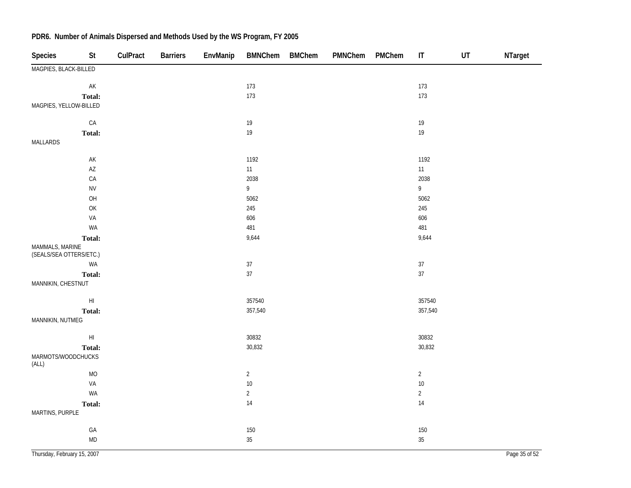| <b>Species</b>                             | <b>St</b>              | CulPract | <b>Barriers</b> | EnvManip | <b>BMNChem</b> | <b>BMChem</b> | PMNChem | PMChem | $\ensuremath{\mathsf{IT}}\xspace$ | UT | NTarget       |
|--------------------------------------------|------------------------|----------|-----------------|----------|----------------|---------------|---------|--------|-----------------------------------|----|---------------|
| MAGPIES, BLACK-BILLED                      |                        |          |                 |          |                |               |         |        |                                   |    |               |
|                                            | $\mathsf{AK}$          |          |                 |          | 173            |               |         |        | 173                               |    |               |
|                                            | Total:                 |          |                 |          | 173            |               |         |        | 173                               |    |               |
| MAGPIES, YELLOW-BILLED                     |                        |          |                 |          |                |               |         |        |                                   |    |               |
|                                            | ${\sf CA}$             |          |                 |          | $19$           |               |         |        | $19$                              |    |               |
|                                            | Total:                 |          |                 |          | $19$           |               |         |        | 19                                |    |               |
| MALLARDS                                   |                        |          |                 |          |                |               |         |        |                                   |    |               |
|                                            | AK                     |          |                 |          | 1192           |               |         |        | 1192                              |    |               |
|                                            | $\mathsf{A}\mathsf{Z}$ |          |                 |          | 11             |               |         |        | 11                                |    |               |
|                                            | ${\sf CA}$             |          |                 |          | 2038           |               |         |        | 2038                              |    |               |
|                                            | ${\sf NV}$             |          |                 |          | $\overline{9}$ |               |         |        | $\overline{9}$                    |    |               |
|                                            | OH                     |          |                 |          | 5062           |               |         |        | 5062                              |    |               |
|                                            | OK                     |          |                 |          | 245            |               |         |        | 245                               |    |               |
|                                            | VA                     |          |                 |          | 606            |               |         |        | 606                               |    |               |
|                                            | WA                     |          |                 |          | 481            |               |         |        | 481                               |    |               |
|                                            | Total:                 |          |                 |          | 9,644          |               |         |        | 9,644                             |    |               |
| MAMMALS, MARINE<br>(SEALS/SEA OTTERS/ETC.) |                        |          |                 |          |                |               |         |        |                                   |    |               |
|                                            | WA                     |          |                 |          | $37\,$         |               |         |        | $37\,$                            |    |               |
|                                            | Total:                 |          |                 |          | 37             |               |         |        | $37\,$                            |    |               |
| MANNIKIN, CHESTNUT                         |                        |          |                 |          |                |               |         |        |                                   |    |               |
|                                            | $\mathsf{HI}$          |          |                 |          | 357540         |               |         |        | 357540                            |    |               |
|                                            | <b>Total:</b>          |          |                 |          | 357,540        |               |         |        | 357,540                           |    |               |
| MANNIKIN, NUTMEG                           |                        |          |                 |          |                |               |         |        |                                   |    |               |
|                                            | $\mathsf{HI}$          |          |                 |          | 30832          |               |         |        | 30832                             |    |               |
|                                            | <b>Total:</b>          |          |                 |          | 30,832         |               |         |        | 30,832                            |    |               |
| MARMOTS/WOODCHUCKS<br>(ALL)                |                        |          |                 |          |                |               |         |        |                                   |    |               |
|                                            | <b>MO</b>              |          |                 |          | $\overline{2}$ |               |         |        | $\overline{2}$                    |    |               |
|                                            | VA                     |          |                 |          | $10$           |               |         |        | $10\,$                            |    |               |
|                                            | WA                     |          |                 |          | $\overline{2}$ |               |         |        | $\overline{2}$                    |    |               |
|                                            | Total:                 |          |                 |          | 14             |               |         |        | $14$                              |    |               |
| MARTINS, PURPLE                            |                        |          |                 |          |                |               |         |        |                                   |    |               |
|                                            | GA                     |          |                 |          | 150            |               |         |        | 150                               |    |               |
|                                            | <b>MD</b>              |          |                 |          | $35\,$         |               |         |        | 35                                |    |               |
| Thursday, February 15, 2007                |                        |          |                 |          |                |               |         |        |                                   |    | Page 35 of 52 |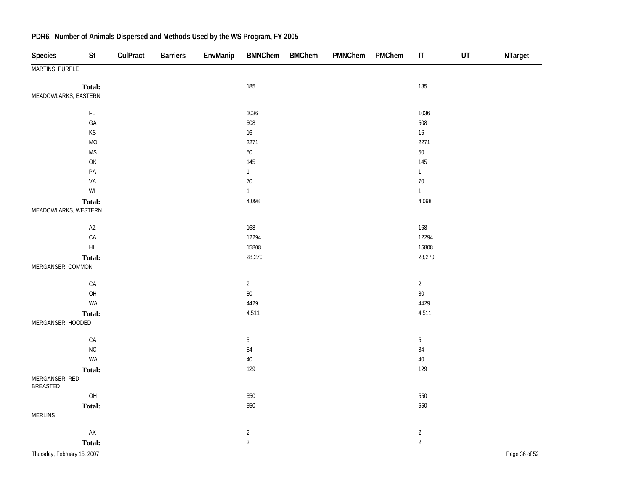| Species                            | St                                                                                                 | CulPract | <b>Barriers</b> | EnvManip | BMNChem BMChem | PMNChem | PMChem | $\mathsf{I}\mathsf{T}$ | UT | NTarget |
|------------------------------------|----------------------------------------------------------------------------------------------------|----------|-----------------|----------|----------------|---------|--------|------------------------|----|---------|
| MARTINS, PURPLE                    |                                                                                                    |          |                 |          |                |         |        |                        |    |         |
| Total:                             |                                                                                                    |          |                 |          | 185            |         |        | 185                    |    |         |
| MEADOWLARKS, EASTERN               |                                                                                                    |          |                 |          |                |         |        |                        |    |         |
|                                    | $\mathsf{FL}$                                                                                      |          |                 |          | 1036           |         |        | 1036                   |    |         |
|                                    | GA                                                                                                 |          |                 |          | 508            |         |        | 508                    |    |         |
|                                    | KS                                                                                                 |          |                 |          | 16             |         |        | $16\,$                 |    |         |
|                                    | <b>MO</b>                                                                                          |          |                 |          | 2271           |         |        | 2271                   |    |         |
|                                    | $\mathsf{MS}\xspace$                                                                               |          |                 |          | $50\,$         |         |        | $50\,$                 |    |         |
|                                    | $\mathsf{OK}% \left( \mathcal{M}\right) \equiv\mathsf{OK}(\mathcal{M}_{\mathrm{CL}}(\mathcal{M}))$ |          |                 |          | 145            |         |        | 145                    |    |         |
|                                    | PA                                                                                                 |          |                 |          | $\mathbf{1}$   |         |        | $\mathbf{1}$           |    |         |
|                                    | VA                                                                                                 |          |                 |          | $70\,$         |         |        | $70\,$                 |    |         |
|                                    | $\mathsf{W}\mathsf{I}$                                                                             |          |                 |          | $\mathbf{1}$   |         |        | $\mathbf{1}$           |    |         |
| Total:                             |                                                                                                    |          |                 |          | 4,098          |         |        | 4,098                  |    |         |
| MEADOWLARKS, WESTERN               |                                                                                                    |          |                 |          |                |         |        |                        |    |         |
|                                    | $\mathsf{A}\mathsf{Z}$                                                                             |          |                 |          | 168            |         |        | 168                    |    |         |
|                                    | CA                                                                                                 |          |                 |          | 12294          |         |        | 12294                  |    |         |
| $\mathsf{H}\mathsf{I}$             |                                                                                                    |          |                 |          | 15808          |         |        | 15808                  |    |         |
| Total:                             |                                                                                                    |          |                 |          | 28,270         |         |        | 28,270                 |    |         |
| MERGANSER, COMMON                  |                                                                                                    |          |                 |          |                |         |        |                        |    |         |
|                                    | ${\sf CA}$                                                                                         |          |                 |          | $\overline{2}$ |         |        | $\overline{2}$         |    |         |
|                                    | OH                                                                                                 |          |                 |          | $80\,$         |         |        | $80\,$                 |    |         |
|                                    | WA                                                                                                 |          |                 |          | 4429           |         |        | 4429                   |    |         |
| Total:                             |                                                                                                    |          |                 |          | 4,511          |         |        | 4,511                  |    |         |
| MERGANSER, HOODED                  |                                                                                                    |          |                 |          |                |         |        |                        |    |         |
|                                    | CA                                                                                                 |          |                 |          | $5\,$          |         |        | $5\,$                  |    |         |
|                                    | ${\sf NC}$                                                                                         |          |                 |          | $\bf 84$       |         |        | $\bf 84$               |    |         |
|                                    | WA                                                                                                 |          |                 |          | $40\,$         |         |        | $40\,$                 |    |         |
| Total:                             |                                                                                                    |          |                 |          | 129            |         |        | 129                    |    |         |
| MERGANSER, RED-<br><b>BREASTED</b> |                                                                                                    |          |                 |          |                |         |        |                        |    |         |
|                                    | $O H$                                                                                              |          |                 |          | 550            |         |        | 550                    |    |         |
| <b>Total:</b>                      |                                                                                                    |          |                 |          | 550            |         |        | 550                    |    |         |
| <b>MERLINS</b>                     |                                                                                                    |          |                 |          |                |         |        |                        |    |         |
|                                    | AK                                                                                                 |          |                 |          | $\overline{2}$ |         |        | $\overline{2}$         |    |         |
| Total:                             |                                                                                                    |          |                 |          | $\overline{2}$ |         |        | $\overline{2}$         |    |         |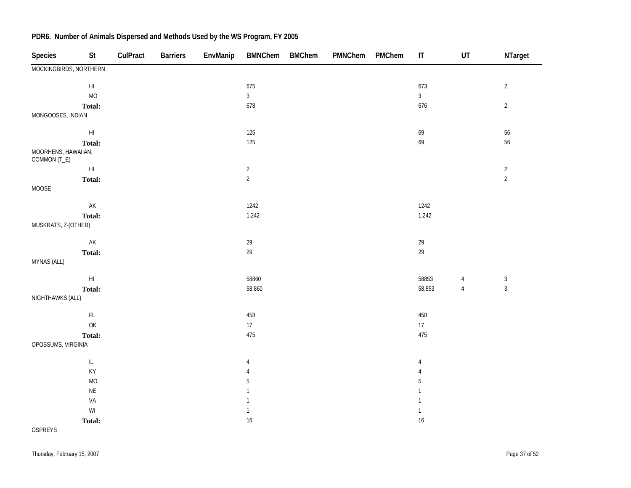| Species                             | St                                                                                      | CulPract | <b>Barriers</b> | EnvManip | <b>BMNChem</b> | <b>BMChem</b> | PMNChem | PMChem | $\sf IT$       | UT             | NTarget        |
|-------------------------------------|-----------------------------------------------------------------------------------------|----------|-----------------|----------|----------------|---------------|---------|--------|----------------|----------------|----------------|
| MOCKINGBIRDS, NORTHERN              |                                                                                         |          |                 |          |                |               |         |        |                |                |                |
|                                     | $\mathsf{HI}$                                                                           |          |                 |          | 675            |               |         |        | 673            |                | $\sqrt{2}$     |
|                                     | $\rm MO$                                                                                |          |                 |          | $\mathfrak{Z}$ |               |         |        | $\overline{3}$ |                |                |
|                                     | Total:                                                                                  |          |                 |          | 678            |               |         |        | 676            |                | $\sqrt{2}$     |
| MONGOOSES, INDIAN                   |                                                                                         |          |                 |          |                |               |         |        |                |                |                |
|                                     | $\mathsf{H}\mathsf{I}$                                                                  |          |                 |          | 125            |               |         |        | 69             |                | $56\,$         |
|                                     | Total:                                                                                  |          |                 |          | 125            |               |         |        | 69             |                | 56             |
| MOORHENS, HAWAIIAN,<br>COMMON (T_E) |                                                                                         |          |                 |          |                |               |         |        |                |                |                |
|                                     | $\mathsf{H}\mathsf{I}$                                                                  |          |                 |          | $\overline{2}$ |               |         |        |                |                | $\overline{c}$ |
|                                     | Total:                                                                                  |          |                 |          | $\overline{2}$ |               |         |        |                |                | $\overline{2}$ |
| MOOSE                               |                                                                                         |          |                 |          |                |               |         |        |                |                |                |
|                                     | $\mathsf{AK}$                                                                           |          |                 |          | 1242           |               |         |        | 1242           |                |                |
|                                     | Total:                                                                                  |          |                 |          | 1,242          |               |         |        | 1,242          |                |                |
| MUSKRATS, Z-(OTHER)                 |                                                                                         |          |                 |          |                |               |         |        |                |                |                |
|                                     | $\mathsf{AK}$                                                                           |          |                 |          | $29\,$         |               |         |        | $29\,$         |                |                |
|                                     | Total:                                                                                  |          |                 |          | $29\,$         |               |         |        | $29\,$         |                |                |
| MYNAS (ALL)                         |                                                                                         |          |                 |          |                |               |         |        |                |                |                |
|                                     | $\mathsf{H}\mathsf{I}$                                                                  |          |                 |          | 58860          |               |         |        | 58853          | $\overline{4}$ | $\sqrt{3}$     |
|                                     | Total:                                                                                  |          |                 |          | 58,860         |               |         |        | 58,853         | $\sqrt{4}$     | $\sqrt{3}$     |
| NIGHTHAWKS (ALL)                    |                                                                                         |          |                 |          |                |               |         |        |                |                |                |
|                                     | $\mathsf{FL}$                                                                           |          |                 |          | 458            |               |         |        | 458            |                |                |
|                                     | $\mathsf{OK}% \left( \mathcal{M}\right) \equiv\mathsf{OK}^{3}\left( \mathcal{M}\right)$ |          |                 |          | 17             |               |         |        | 17             |                |                |
|                                     | Total:                                                                                  |          |                 |          | 475            |               |         |        | 475            |                |                |
| OPOSSUMS, VIRGINIA                  |                                                                                         |          |                 |          |                |               |         |        |                |                |                |
|                                     | $\ensuremath{\mathsf{IL}}\xspace$                                                       |          |                 |          | 4              |               |         |        | 4              |                |                |
|                                     | KY                                                                                      |          |                 |          | 4              |               |         |        | 4              |                |                |
|                                     | MO                                                                                      |          |                 |          | 5              |               |         |        | 5              |                |                |
|                                     | $\mathsf{NE}\xspace$                                                                    |          |                 |          | $\mathbf{1}$   |               |         |        | $\mathbf{1}$   |                |                |
|                                     | VA                                                                                      |          |                 |          | $\mathbf{1}$   |               |         |        | $\mathbf{1}$   |                |                |
|                                     | $\ensuremath{\mathsf{W}}\xspace\ensuremath{\mathsf{I}}$                                 |          |                 |          | $\mathbf{1}$   |               |         |        | $\mathbf{1}$   |                |                |
|                                     | Total:                                                                                  |          |                 |          | $16$           |               |         |        | 16             |                |                |
| <b>OSPREYS</b>                      |                                                                                         |          |                 |          |                |               |         |        |                |                |                |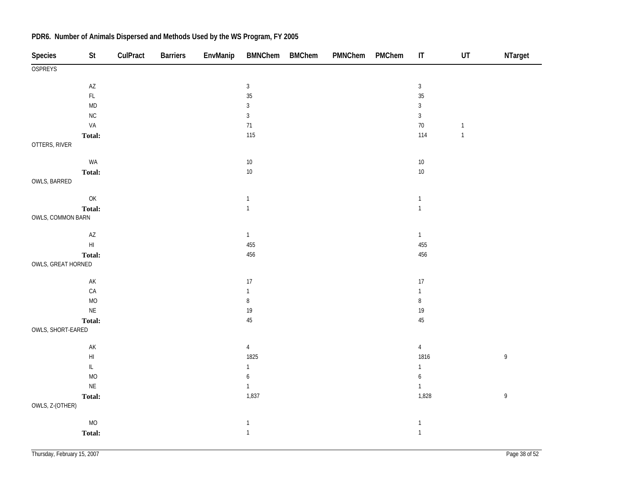| <b>OSPREYS</b><br>$\mathsf{A}\mathsf{Z}$<br>$\mathbf{3}$<br>$\mathfrak{Z}$<br>$35\,$<br>$\mathsf{FL}$<br>35<br>$\mathsf{MD}$<br>$\overline{3}$<br>$\mathfrak{Z}$<br>$\overline{3}$<br>$\rm NC$<br>$\overline{3}$<br>VA<br>71<br>$70\,$<br>$\mathbbm{1}$<br>114<br>$\mathbf{1}$<br>115<br>Total:<br>OTTERS, RIVER<br>WA<br>$10\,$<br>$10\,$<br>$10\,$<br>$10\,$<br>Total:<br>OWLS, BARRED<br>$\mathsf{OK}% \left( \mathcal{M}\right) \equiv\mathsf{OK}(\mathcal{M}_{\mathrm{CL}})$<br>$\mathbf{1}$<br>$\mathbf{1}$<br>$\mathbf{1}$<br>$\mathbf{1}$<br>Total:<br>OWLS, COMMON BARN<br>$\mathsf{AZ}$<br>$\overline{1}$<br>$\mathbf{1}$<br>$\mathsf{H}\mathsf{I}$<br>455<br>455<br>456<br>456<br>Total:<br>OWLS, GREAT HORNED<br>$\mathsf{AK}$<br>17<br>$17\,$<br>${\sf CA}$<br>$\mathbf{1}$<br>$\mathbf{1}$<br>$\, 8$<br>$\bf 8$<br>$\rm MO$<br>$\mathsf{NE}\xspace$<br>19<br>$19$<br>45<br>$45\,$<br>Total:<br>OWLS, SHORT-EARED<br>$\mathsf{AK}$<br>$\overline{4}$<br>$\overline{4}$<br>$\mathsf{HI}$<br>1825<br>1816<br>$\mathsf{9}$<br>$\bar{\mathbb{L}}$<br>$\mathbf{1}$<br>$\mathbf{1}$<br>MO<br>$\boldsymbol{6}$<br>$\boldsymbol{6}$<br>$\mathsf{NE}\xspace$<br>$\mathbf{1}$<br>$\mathbf{1}$<br>1,837<br>1,828<br>$\,9$<br>Total:<br>OWLS, Z-(OTHER)<br><b>MO</b><br>$\mathbf{1}$<br>$\mathbf{1}$<br>$\mathbf{1}$<br>$\mathbf{1}$<br>Total: | Species | <b>St</b> | CulPract | <b>Barriers</b> | EnvManip | <b>BMNChem</b> | <b>BMChem</b> | PMNChem | PMChem | $\sf IT$ | $\ensuremath{\mathsf{UT}}$ | NTarget |
|-------------------------------------------------------------------------------------------------------------------------------------------------------------------------------------------------------------------------------------------------------------------------------------------------------------------------------------------------------------------------------------------------------------------------------------------------------------------------------------------------------------------------------------------------------------------------------------------------------------------------------------------------------------------------------------------------------------------------------------------------------------------------------------------------------------------------------------------------------------------------------------------------------------------------------------------------------------------------------------------------------------------------------------------------------------------------------------------------------------------------------------------------------------------------------------------------------------------------------------------------------------------------------------------------------------------------------------------------|---------|-----------|----------|-----------------|----------|----------------|---------------|---------|--------|----------|----------------------------|---------|
|                                                                                                                                                                                                                                                                                                                                                                                                                                                                                                                                                                                                                                                                                                                                                                                                                                                                                                                                                                                                                                                                                                                                                                                                                                                                                                                                                 |         |           |          |                 |          |                |               |         |        |          |                            |         |
|                                                                                                                                                                                                                                                                                                                                                                                                                                                                                                                                                                                                                                                                                                                                                                                                                                                                                                                                                                                                                                                                                                                                                                                                                                                                                                                                                 |         |           |          |                 |          |                |               |         |        |          |                            |         |
|                                                                                                                                                                                                                                                                                                                                                                                                                                                                                                                                                                                                                                                                                                                                                                                                                                                                                                                                                                                                                                                                                                                                                                                                                                                                                                                                                 |         |           |          |                 |          |                |               |         |        |          |                            |         |
|                                                                                                                                                                                                                                                                                                                                                                                                                                                                                                                                                                                                                                                                                                                                                                                                                                                                                                                                                                                                                                                                                                                                                                                                                                                                                                                                                 |         |           |          |                 |          |                |               |         |        |          |                            |         |
|                                                                                                                                                                                                                                                                                                                                                                                                                                                                                                                                                                                                                                                                                                                                                                                                                                                                                                                                                                                                                                                                                                                                                                                                                                                                                                                                                 |         |           |          |                 |          |                |               |         |        |          |                            |         |
|                                                                                                                                                                                                                                                                                                                                                                                                                                                                                                                                                                                                                                                                                                                                                                                                                                                                                                                                                                                                                                                                                                                                                                                                                                                                                                                                                 |         |           |          |                 |          |                |               |         |        |          |                            |         |
|                                                                                                                                                                                                                                                                                                                                                                                                                                                                                                                                                                                                                                                                                                                                                                                                                                                                                                                                                                                                                                                                                                                                                                                                                                                                                                                                                 |         |           |          |                 |          |                |               |         |        |          |                            |         |
|                                                                                                                                                                                                                                                                                                                                                                                                                                                                                                                                                                                                                                                                                                                                                                                                                                                                                                                                                                                                                                                                                                                                                                                                                                                                                                                                                 |         |           |          |                 |          |                |               |         |        |          |                            |         |
|                                                                                                                                                                                                                                                                                                                                                                                                                                                                                                                                                                                                                                                                                                                                                                                                                                                                                                                                                                                                                                                                                                                                                                                                                                                                                                                                                 |         |           |          |                 |          |                |               |         |        |          |                            |         |
|                                                                                                                                                                                                                                                                                                                                                                                                                                                                                                                                                                                                                                                                                                                                                                                                                                                                                                                                                                                                                                                                                                                                                                                                                                                                                                                                                 |         |           |          |                 |          |                |               |         |        |          |                            |         |
|                                                                                                                                                                                                                                                                                                                                                                                                                                                                                                                                                                                                                                                                                                                                                                                                                                                                                                                                                                                                                                                                                                                                                                                                                                                                                                                                                 |         |           |          |                 |          |                |               |         |        |          |                            |         |
|                                                                                                                                                                                                                                                                                                                                                                                                                                                                                                                                                                                                                                                                                                                                                                                                                                                                                                                                                                                                                                                                                                                                                                                                                                                                                                                                                 |         |           |          |                 |          |                |               |         |        |          |                            |         |
|                                                                                                                                                                                                                                                                                                                                                                                                                                                                                                                                                                                                                                                                                                                                                                                                                                                                                                                                                                                                                                                                                                                                                                                                                                                                                                                                                 |         |           |          |                 |          |                |               |         |        |          |                            |         |
|                                                                                                                                                                                                                                                                                                                                                                                                                                                                                                                                                                                                                                                                                                                                                                                                                                                                                                                                                                                                                                                                                                                                                                                                                                                                                                                                                 |         |           |          |                 |          |                |               |         |        |          |                            |         |
|                                                                                                                                                                                                                                                                                                                                                                                                                                                                                                                                                                                                                                                                                                                                                                                                                                                                                                                                                                                                                                                                                                                                                                                                                                                                                                                                                 |         |           |          |                 |          |                |               |         |        |          |                            |         |
|                                                                                                                                                                                                                                                                                                                                                                                                                                                                                                                                                                                                                                                                                                                                                                                                                                                                                                                                                                                                                                                                                                                                                                                                                                                                                                                                                 |         |           |          |                 |          |                |               |         |        |          |                            |         |
|                                                                                                                                                                                                                                                                                                                                                                                                                                                                                                                                                                                                                                                                                                                                                                                                                                                                                                                                                                                                                                                                                                                                                                                                                                                                                                                                                 |         |           |          |                 |          |                |               |         |        |          |                            |         |
|                                                                                                                                                                                                                                                                                                                                                                                                                                                                                                                                                                                                                                                                                                                                                                                                                                                                                                                                                                                                                                                                                                                                                                                                                                                                                                                                                 |         |           |          |                 |          |                |               |         |        |          |                            |         |
|                                                                                                                                                                                                                                                                                                                                                                                                                                                                                                                                                                                                                                                                                                                                                                                                                                                                                                                                                                                                                                                                                                                                                                                                                                                                                                                                                 |         |           |          |                 |          |                |               |         |        |          |                            |         |
|                                                                                                                                                                                                                                                                                                                                                                                                                                                                                                                                                                                                                                                                                                                                                                                                                                                                                                                                                                                                                                                                                                                                                                                                                                                                                                                                                 |         |           |          |                 |          |                |               |         |        |          |                            |         |
|                                                                                                                                                                                                                                                                                                                                                                                                                                                                                                                                                                                                                                                                                                                                                                                                                                                                                                                                                                                                                                                                                                                                                                                                                                                                                                                                                 |         |           |          |                 |          |                |               |         |        |          |                            |         |
|                                                                                                                                                                                                                                                                                                                                                                                                                                                                                                                                                                                                                                                                                                                                                                                                                                                                                                                                                                                                                                                                                                                                                                                                                                                                                                                                                 |         |           |          |                 |          |                |               |         |        |          |                            |         |
|                                                                                                                                                                                                                                                                                                                                                                                                                                                                                                                                                                                                                                                                                                                                                                                                                                                                                                                                                                                                                                                                                                                                                                                                                                                                                                                                                 |         |           |          |                 |          |                |               |         |        |          |                            |         |
|                                                                                                                                                                                                                                                                                                                                                                                                                                                                                                                                                                                                                                                                                                                                                                                                                                                                                                                                                                                                                                                                                                                                                                                                                                                                                                                                                 |         |           |          |                 |          |                |               |         |        |          |                            |         |
|                                                                                                                                                                                                                                                                                                                                                                                                                                                                                                                                                                                                                                                                                                                                                                                                                                                                                                                                                                                                                                                                                                                                                                                                                                                                                                                                                 |         |           |          |                 |          |                |               |         |        |          |                            |         |
|                                                                                                                                                                                                                                                                                                                                                                                                                                                                                                                                                                                                                                                                                                                                                                                                                                                                                                                                                                                                                                                                                                                                                                                                                                                                                                                                                 |         |           |          |                 |          |                |               |         |        |          |                            |         |
|                                                                                                                                                                                                                                                                                                                                                                                                                                                                                                                                                                                                                                                                                                                                                                                                                                                                                                                                                                                                                                                                                                                                                                                                                                                                                                                                                 |         |           |          |                 |          |                |               |         |        |          |                            |         |
|                                                                                                                                                                                                                                                                                                                                                                                                                                                                                                                                                                                                                                                                                                                                                                                                                                                                                                                                                                                                                                                                                                                                                                                                                                                                                                                                                 |         |           |          |                 |          |                |               |         |        |          |                            |         |
|                                                                                                                                                                                                                                                                                                                                                                                                                                                                                                                                                                                                                                                                                                                                                                                                                                                                                                                                                                                                                                                                                                                                                                                                                                                                                                                                                 |         |           |          |                 |          |                |               |         |        |          |                            |         |
|                                                                                                                                                                                                                                                                                                                                                                                                                                                                                                                                                                                                                                                                                                                                                                                                                                                                                                                                                                                                                                                                                                                                                                                                                                                                                                                                                 |         |           |          |                 |          |                |               |         |        |          |                            |         |
|                                                                                                                                                                                                                                                                                                                                                                                                                                                                                                                                                                                                                                                                                                                                                                                                                                                                                                                                                                                                                                                                                                                                                                                                                                                                                                                                                 |         |           |          |                 |          |                |               |         |        |          |                            |         |
|                                                                                                                                                                                                                                                                                                                                                                                                                                                                                                                                                                                                                                                                                                                                                                                                                                                                                                                                                                                                                                                                                                                                                                                                                                                                                                                                                 |         |           |          |                 |          |                |               |         |        |          |                            |         |
|                                                                                                                                                                                                                                                                                                                                                                                                                                                                                                                                                                                                                                                                                                                                                                                                                                                                                                                                                                                                                                                                                                                                                                                                                                                                                                                                                 |         |           |          |                 |          |                |               |         |        |          |                            |         |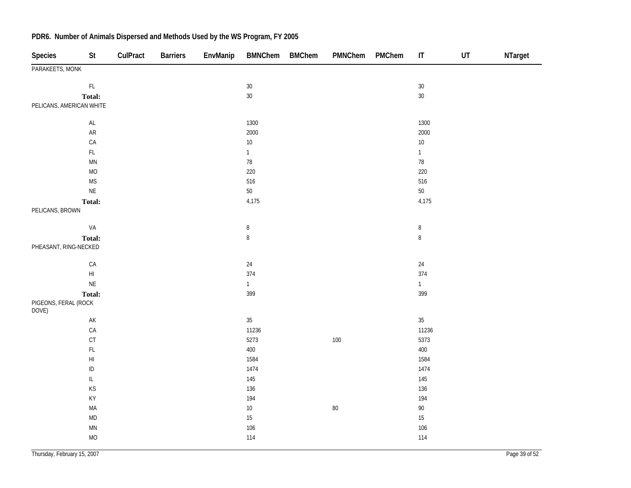| Species                       | St                                | CulPract | <b>Barriers</b> | EnvManip | <b>BMNChem</b> | <b>BMChem</b> | PMNChem | PMChem | $\mathsf{I}\mathsf{T}$ | UT | NTarget |
|-------------------------------|-----------------------------------|----------|-----------------|----------|----------------|---------------|---------|--------|------------------------|----|---------|
| PARAKEETS, MONK               |                                   |          |                 |          |                |               |         |        |                        |    |         |
|                               | $\mathsf{FL}$                     |          |                 |          | $30\,$         |               |         |        | $30\,$                 |    |         |
|                               | Total:                            |          |                 |          | $30\,$         |               |         |        | $30\,$                 |    |         |
| PELICANS, AMERICAN WHITE      |                                   |          |                 |          |                |               |         |        |                        |    |         |
|                               | $\mathsf{AL}$                     |          |                 |          | 1300           |               |         |        | 1300                   |    |         |
|                               | AR                                |          |                 |          | 2000           |               |         |        | 2000                   |    |         |
|                               | CA                                |          |                 |          | $10\,$         |               |         |        | $10\,$                 |    |         |
|                               | $\mathsf{FL}$                     |          |                 |          | $\mathbf{1}$   |               |         |        | $\mathbf{1}$           |    |         |
|                               | $\mathsf{M}\mathsf{N}$            |          |                 |          | $78\,$         |               |         |        | $78\,$                 |    |         |
|                               | $MO$                              |          |                 |          | 220            |               |         |        | 220                    |    |         |
|                               | <b>MS</b>                         |          |                 |          | 516            |               |         |        | 516                    |    |         |
|                               | $\mathsf{NE}\xspace$              |          |                 |          | $50\,$         |               |         |        | $50\,$                 |    |         |
|                               | Total:                            |          |                 |          | 4,175          |               |         |        | 4,175                  |    |         |
| PELICANS, BROWN               |                                   |          |                 |          |                |               |         |        |                        |    |         |
|                               | VA                                |          |                 |          | $\, 8$         |               |         |        | $\, 8$                 |    |         |
|                               | Total:                            |          |                 |          | $\, 8$         |               |         |        | $\, 8$                 |    |         |
| PHEASANT, RING-NECKED         |                                   |          |                 |          |                |               |         |        |                        |    |         |
|                               | ${\sf CA}$                        |          |                 |          | $24\,$         |               |         |        | $24\,$                 |    |         |
|                               | $\mathsf{H}\mathsf{I}$            |          |                 |          | 374            |               |         |        | 374                    |    |         |
|                               | $\mathsf{NE}\xspace$              |          |                 |          | $\mathbf{1}$   |               |         |        | 1                      |    |         |
|                               | Total:                            |          |                 |          | 399            |               |         |        | 399                    |    |         |
| PIGEONS, FERAL (ROCK<br>DOVE) |                                   |          |                 |          |                |               |         |        |                        |    |         |
|                               | $\mathsf{AK}$                     |          |                 |          | $35\,$         |               |         |        | $35\,$                 |    |         |
|                               | CA                                |          |                 |          | 11236          |               |         |        | 11236                  |    |         |
|                               | $\mathsf{C}\mathsf{T}$            |          |                 |          | 5273           |               | $100\,$ |        | 5373                   |    |         |
|                               | $\mathsf{FL}$                     |          |                 |          | 400            |               |         |        | 400                    |    |         |
|                               | $\mathsf{H}\mathsf{I}$            |          |                 |          | 1584           |               |         |        | 1584                   |    |         |
|                               | $\sf ID$                          |          |                 |          | 1474           |               |         |        | 1474                   |    |         |
|                               | $\ensuremath{\mathsf{IL}}\xspace$ |          |                 |          | 145            |               |         |        | 145                    |    |         |
|                               | KS                                |          |                 |          | 136            |               |         |        | 136                    |    |         |
|                               | KY                                |          |                 |          | 194            |               |         |        | 194                    |    |         |
|                               | MA                                |          |                 |          | $10\,$         |               | $80\,$  |        | $90\,$                 |    |         |
|                               | $\mathsf{MD}$                     |          |                 |          | $15\,$         |               |         |        | $15\,$                 |    |         |
|                               | $\mathsf{M}\mathsf{N}$            |          |                 |          | $106$          |               |         |        | 106                    |    |         |
|                               | MO                                |          |                 |          | 114            |               |         |        | 114                    |    |         |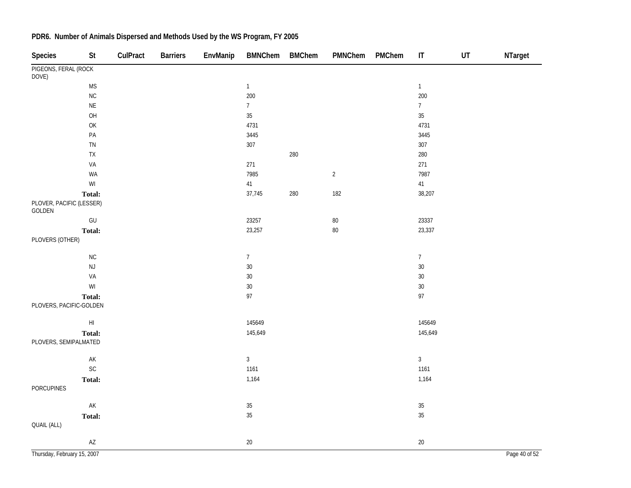| <b>Species</b>                     | $\mathsf{St}$                                           | CulPract | <b>Barriers</b> | EnvManip | <b>BMNChem</b> | <b>BMChem</b> | PMNChem        | PMChem | $\sf IT$        | $\sf{UT}$ | NTarget       |
|------------------------------------|---------------------------------------------------------|----------|-----------------|----------|----------------|---------------|----------------|--------|-----------------|-----------|---------------|
| PIGEONS, FERAL (ROCK<br>DOVE)      |                                                         |          |                 |          |                |               |                |        |                 |           |               |
|                                    | <b>MS</b>                                               |          |                 |          | $\mathbf{1}$   |               |                |        | $\mathbf{1}$    |           |               |
|                                    | NC                                                      |          |                 |          | 200            |               |                |        | 200             |           |               |
|                                    | $\sf NE$                                                |          |                 |          | $\overline{7}$ |               |                |        | $\overline{7}$  |           |               |
|                                    | OH                                                      |          |                 |          | $35\,$         |               |                |        | 35              |           |               |
|                                    | OK                                                      |          |                 |          | 4731           |               |                |        | 4731            |           |               |
|                                    | $\mathsf{PA}$                                           |          |                 |          | 3445           |               |                |        | 3445            |           |               |
|                                    | ${\sf TN}$                                              |          |                 |          | 307            |               |                |        | 307             |           |               |
|                                    | ${\sf TX}$                                              |          |                 |          |                | 280           |                |        | 280             |           |               |
|                                    | VA                                                      |          |                 |          | 271            |               |                |        | 271             |           |               |
|                                    | WA                                                      |          |                 |          | 7985           |               | $\overline{2}$ |        | 7987            |           |               |
|                                    | $\ensuremath{\mathsf{W}}\xspace\ensuremath{\mathsf{I}}$ |          |                 |          | 41             |               |                |        | 41              |           |               |
| PLOVER, PACIFIC (LESSER)<br>GOLDEN | Total:                                                  |          |                 |          | 37,745         | 280           | 182            |        | 38,207          |           |               |
|                                    | $\mathsf{GU}% _{\mathsf{C}}^{\mathsf{C}}(\mathcal{A})$  |          |                 |          | 23257          |               | $80\,$         |        | 23337           |           |               |
|                                    | Total:                                                  |          |                 |          | 23,257         |               | 80             |        | 23,337          |           |               |
| PLOVERS (OTHER)                    |                                                         |          |                 |          |                |               |                |        |                 |           |               |
|                                    | NC                                                      |          |                 |          | $\overline{7}$ |               |                |        | $7\overline{ }$ |           |               |
|                                    | $\mathsf{NJ}$                                           |          |                 |          | 30             |               |                |        | 30              |           |               |
|                                    | VA                                                      |          |                 |          | 30             |               |                |        | $30\,$          |           |               |
|                                    | $\ensuremath{\mathsf{W}}\xspace\ensuremath{\mathsf{I}}$ |          |                 |          | 30             |               |                |        | $30\,$          |           |               |
| PLOVERS, PACIFIC-GOLDEN            | Total:                                                  |          |                 |          | 97             |               |                |        | 97              |           |               |
|                                    | $\mathsf{HI}$                                           |          |                 |          | 145649         |               |                |        | 145649          |           |               |
|                                    | Total:                                                  |          |                 |          | 145,649        |               |                |        | 145,649         |           |               |
| PLOVERS, SEMIPALMATED              |                                                         |          |                 |          |                |               |                |        |                 |           |               |
|                                    | AK                                                      |          |                 |          | $\overline{3}$ |               |                |        | $\mathbf{3}$    |           |               |
|                                    | SC                                                      |          |                 |          | 1161           |               |                |        | 1161            |           |               |
|                                    | Total:                                                  |          |                 |          | 1,164          |               |                |        | 1,164           |           |               |
| PORCUPINES                         |                                                         |          |                 |          |                |               |                |        |                 |           |               |
|                                    | $\mathsf{AK}$                                           |          |                 |          | 35             |               |                |        | $35\,$          |           |               |
|                                    | Total:                                                  |          |                 |          | 35             |               |                |        | 35              |           |               |
| <b>QUAIL (ALL)</b>                 |                                                         |          |                 |          |                |               |                |        |                 |           |               |
|                                    | $\mathsf{A}\mathsf{Z}$                                  |          |                 |          | 20             |               |                |        | $20\,$          |           |               |
| Thursday, February 15, 2007        |                                                         |          |                 |          |                |               |                |        |                 |           | Page 40 of 52 |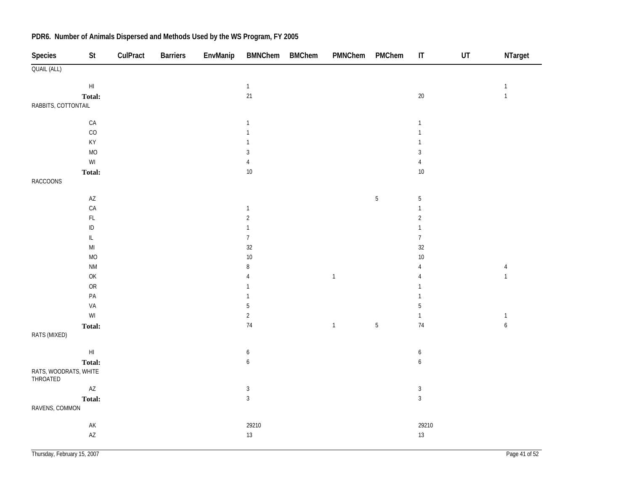| Species                           | <b>St</b>                                               | CulPract | <b>Barriers</b> | EnvManip | BMNChem BMChem   | PMNChem      | PMChem     | $\sf IT$         | UT | NTarget          |
|-----------------------------------|---------------------------------------------------------|----------|-----------------|----------|------------------|--------------|------------|------------------|----|------------------|
| QUAIL (ALL)                       |                                                         |          |                 |          |                  |              |            |                  |    |                  |
|                                   | $\mathsf{H}\mathsf{I}$                                  |          |                 |          | $\mathbf{1}$     |              |            |                  |    | $\mathbf{1}$     |
|                                   | Total:                                                  |          |                 |          | 21               |              |            | $20\,$           |    | $\mathbf{1}$     |
| RABBITS, COTTONTAIL               |                                                         |          |                 |          |                  |              |            |                  |    |                  |
|                                   |                                                         |          |                 |          |                  |              |            |                  |    |                  |
|                                   | $\mathsf{CA}$                                           |          |                 |          | $\mathbf{1}$     |              |            | $\mathbf{1}$     |    |                  |
|                                   | CO                                                      |          |                 |          | $\mathbf{1}$     |              |            | $\mathbf{1}$     |    |                  |
|                                   | KY                                                      |          |                 |          | 1                |              |            | $\mathbf{1}$     |    |                  |
|                                   | <b>MO</b>                                               |          |                 |          | $\mathbf{3}$     |              |            | $\sqrt{3}$       |    |                  |
|                                   | $\ensuremath{\mathsf{W}}\xspace\ensuremath{\mathsf{I}}$ |          |                 |          | $\sqrt{4}$       |              |            | $\sqrt{4}$       |    |                  |
|                                   | Total:                                                  |          |                 |          | 10               |              |            | 10               |    |                  |
| <b>RACCOONS</b>                   |                                                         |          |                 |          |                  |              |            |                  |    |                  |
|                                   | $\mathsf{A}\mathsf{Z}$                                  |          |                 |          |                  |              | $\sqrt{5}$ | $\sqrt{5}$       |    |                  |
|                                   | ${\sf CA}$                                              |          |                 |          | $\mathbf{1}$     |              |            | $\mathbf{1}$     |    |                  |
|                                   | $\mathsf{FL}$                                           |          |                 |          | $\sqrt{2}$       |              |            | $\overline{2}$   |    |                  |
|                                   | $\sf ID$                                                |          |                 |          | $\mathbf{1}$     |              |            | $\mathbf{1}$     |    |                  |
|                                   | $\overline{\mathsf{L}}$                                 |          |                 |          | $\boldsymbol{7}$ |              |            | $\overline{7}$   |    |                  |
|                                   | $\mathsf{MI}$                                           |          |                 |          | 32               |              |            | 32               |    |                  |
|                                   | MO                                                      |          |                 |          | 10               |              |            | 10               |    |                  |
|                                   | $\mathsf{N}\mathsf{M}$                                  |          |                 |          | $\, 8$           |              |            | $\overline{4}$   |    | $\overline{4}$   |
|                                   | OK                                                      |          |                 |          | $\sqrt{4}$       | $\mathbf{1}$ |            | $\overline{4}$   |    | $\mathbf{1}$     |
|                                   | <b>OR</b>                                               |          |                 |          | $\mathbf{1}$     |              |            | $\mathbf{1}$     |    |                  |
|                                   | $\mathsf{PA}$                                           |          |                 |          | $\mathbf{1}$     |              |            | $\mathbf{1}$     |    |                  |
|                                   | VA                                                      |          |                 |          | $\sqrt{5}$       |              |            | $\overline{5}$   |    |                  |
|                                   | WI                                                      |          |                 |          | $\overline{2}$   |              |            | $\mathbf{1}$     |    | $\mathbf{1}$     |
|                                   | Total:                                                  |          |                 |          | 74               | $\mathbf{1}$ | $\sqrt{5}$ | 74               |    | $\boldsymbol{6}$ |
| RATS (MIXED)                      |                                                         |          |                 |          |                  |              |            |                  |    |                  |
|                                   |                                                         |          |                 |          |                  |              |            |                  |    |                  |
|                                   | $\mathsf{HI}$                                           |          |                 |          | $\boldsymbol{6}$ |              |            | $\boldsymbol{6}$ |    |                  |
|                                   | Total:                                                  |          |                 |          | $\boldsymbol{6}$ |              |            | $\boldsymbol{6}$ |    |                  |
| RATS, WOODRATS, WHITE<br>THROATED |                                                         |          |                 |          |                  |              |            |                  |    |                  |
|                                   | $\mathsf{A}\mathsf{Z}$                                  |          |                 |          | $\sqrt{3}$       |              |            | $\mathbf{3}$     |    |                  |
|                                   | Total:                                                  |          |                 |          | $\mathbf{3}$     |              |            | $\mathbf{3}$     |    |                  |
| RAVENS, COMMON                    |                                                         |          |                 |          |                  |              |            |                  |    |                  |
|                                   | $\mathsf{AK}$                                           |          |                 |          | 29210            |              |            | 29210            |    |                  |
|                                   | $\mathsf{A}\mathsf{Z}$                                  |          |                 |          | 13               |              |            | 13               |    |                  |
|                                   |                                                         |          |                 |          |                  |              |            |                  |    |                  |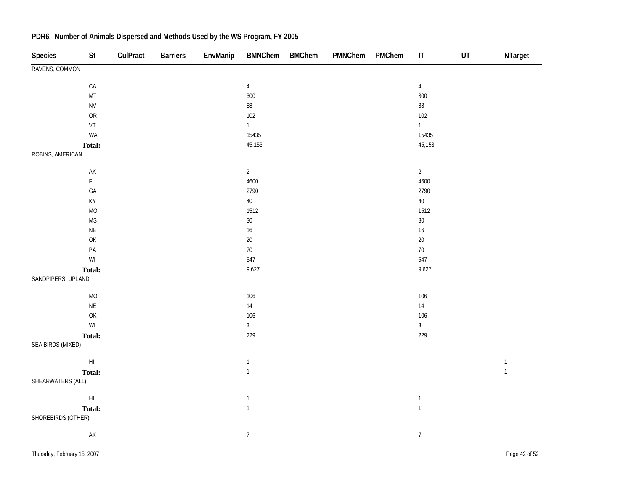| Species            | St                                                                                      | CulPract | <b>Barriers</b> | EnvManip | BMNChem BMChem | PMNChem | PMChem | $\sf IT$       | $\sf{UT}$ | NTarget      |
|--------------------|-----------------------------------------------------------------------------------------|----------|-----------------|----------|----------------|---------|--------|----------------|-----------|--------------|
| RAVENS, COMMON     |                                                                                         |          |                 |          |                |         |        |                |           |              |
|                    | ${\sf CA}$                                                                              |          |                 |          | $\overline{4}$ |         |        | $\overline{4}$ |           |              |
|                    | MT                                                                                      |          |                 |          | $300\,$        |         |        | 300            |           |              |
|                    | <b>NV</b>                                                                               |          |                 |          | $88\,$         |         |        | $88\,$         |           |              |
|                    | ${\sf OR}$                                                                              |          |                 |          | 102            |         |        | 102            |           |              |
|                    | VT                                                                                      |          |                 |          | $\mathbf{1}$   |         |        | $\mathbf{1}$   |           |              |
|                    | WA                                                                                      |          |                 |          | 15435          |         |        | 15435          |           |              |
|                    | Total:                                                                                  |          |                 |          | 45,153         |         |        | 45,153         |           |              |
| ROBINS, AMERICAN   |                                                                                         |          |                 |          |                |         |        |                |           |              |
|                    | $\mathsf{AK}$                                                                           |          |                 |          | $\overline{2}$ |         |        | $\overline{2}$ |           |              |
|                    | $\mathsf{FL}$                                                                           |          |                 |          | 4600           |         |        | 4600           |           |              |
|                    | $\mathsf{GA}$                                                                           |          |                 |          | 2790           |         |        | 2790           |           |              |
|                    | KY                                                                                      |          |                 |          | $40\,$         |         |        | $40\,$         |           |              |
|                    | <b>MO</b>                                                                               |          |                 |          | 1512           |         |        | 1512           |           |              |
|                    | $\mathsf{MS}\xspace$                                                                    |          |                 |          | $30\,$         |         |        | $30\,$         |           |              |
|                    | $\mathsf{NE}\xspace$                                                                    |          |                 |          | $16\,$         |         |        | $16\,$         |           |              |
|                    | $\mathsf{OK}% \left( \mathcal{M}\right) \equiv\mathsf{OK}^{3}\left( \mathcal{M}\right)$ |          |                 |          | $20\,$         |         |        | $20\,$         |           |              |
|                    | PA                                                                                      |          |                 |          | $70\,$         |         |        | $70\,$         |           |              |
|                    | $\ensuremath{\mathsf{W}}\xspace\ensuremath{\mathsf{I}}$                                 |          |                 |          | 547            |         |        | 547            |           |              |
|                    | Total:                                                                                  |          |                 |          | 9,627          |         |        | 9,627          |           |              |
| SANDPIPERS, UPLAND |                                                                                         |          |                 |          |                |         |        |                |           |              |
|                    | $\rm MO$                                                                                |          |                 |          | 106            |         |        | 106            |           |              |
|                    | $\mathsf{NE}\xspace$                                                                    |          |                 |          | $14$           |         |        | $14$           |           |              |
|                    | $\mathsf{OK}% \left( \mathcal{M}\right) \equiv\mathsf{OK}^{3}\left( \mathcal{M}\right)$ |          |                 |          | 106            |         |        | 106            |           |              |
|                    | $\ensuremath{\mathsf{W}}\xspace\ensuremath{\mathsf{I}}$                                 |          |                 |          | $\mathfrak{Z}$ |         |        | $\mathfrak{Z}$ |           |              |
|                    | Total:                                                                                  |          |                 |          | 229            |         |        | 229            |           |              |
| SEA BIRDS (MIXED)  |                                                                                         |          |                 |          |                |         |        |                |           |              |
|                    | $\mathsf{H}\mathsf{I}$                                                                  |          |                 |          | $\mathbf{1}$   |         |        |                |           | $\mathbf 1$  |
|                    | Total:                                                                                  |          |                 |          | $\mathbf{1}$   |         |        |                |           | $\mathbf{1}$ |
| SHEARWATERS (ALL)  |                                                                                         |          |                 |          |                |         |        |                |           |              |
|                    | $\mathsf{H}\mathsf{I}$                                                                  |          |                 |          | $\mathbf{1}$   |         |        | $\mathbf{1}$   |           |              |
|                    | Total:                                                                                  |          |                 |          | $\mathbf{1}$   |         |        | $\mathbf{1}$   |           |              |
| SHOREBIRDS (OTHER) |                                                                                         |          |                 |          |                |         |        |                |           |              |
|                    |                                                                                         |          |                 |          |                |         |        |                |           |              |
|                    | $\mathsf{AK}$                                                                           |          |                 |          | $\overline{7}$ |         |        | $\overline{7}$ |           |              |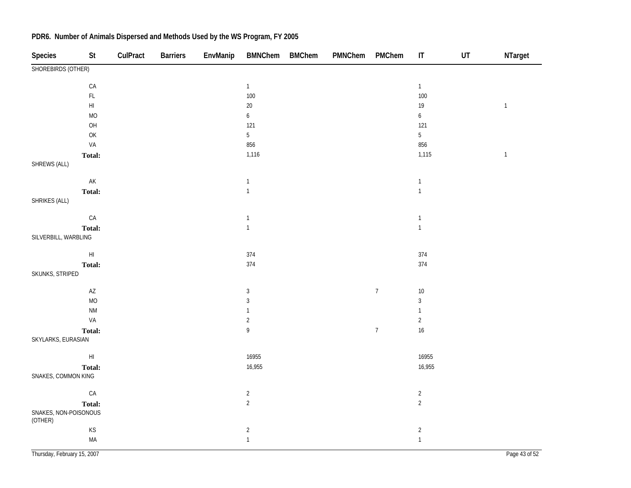| Species                          | St                                                                | CulPract | <b>Barriers</b> | EnvManip | <b>BMNChem</b>                    | <b>BMChem</b> | PMNChem | PMChem           | $\sf IT$         | $\sf{UT}$ | NTarget        |
|----------------------------------|-------------------------------------------------------------------|----------|-----------------|----------|-----------------------------------|---------------|---------|------------------|------------------|-----------|----------------|
| SHOREBIRDS (OTHER)               |                                                                   |          |                 |          |                                   |               |         |                  |                  |           |                |
|                                  | ${\sf CA}$                                                        |          |                 |          | $\mathbf{1}$                      |               |         |                  | $\mathbf{1}$     |           |                |
|                                  | $\mathsf{FL}$                                                     |          |                 |          | 100                               |               |         |                  | 100              |           |                |
|                                  | $\mathsf{HI}$                                                     |          |                 |          | $20\,$                            |               |         |                  | $19$             |           | $\mathbf{1}$   |
|                                  | <b>MO</b>                                                         |          |                 |          | $\boldsymbol{6}$                  |               |         |                  | $\boldsymbol{6}$ |           |                |
|                                  | OH                                                                |          |                 |          | 121                               |               |         |                  | 121              |           |                |
|                                  | $\mathsf{OK}$                                                     |          |                 |          | $\overline{5}$                    |               |         |                  | $\overline{5}$   |           |                |
|                                  | VA                                                                |          |                 |          | 856                               |               |         |                  | 856              |           |                |
|                                  | Total:                                                            |          |                 |          | 1,116                             |               |         |                  | 1,115            |           | $\overline{1}$ |
| SHREWS (ALL)                     |                                                                   |          |                 |          |                                   |               |         |                  |                  |           |                |
|                                  | $\mathsf{AK}$                                                     |          |                 |          | $\mathbf{1}$                      |               |         |                  | $\mathbf{1}$     |           |                |
|                                  | Total:                                                            |          |                 |          | $\mathbf{1}$                      |               |         |                  | $\mathbf{1}$     |           |                |
| SHRIKES (ALL)                    |                                                                   |          |                 |          |                                   |               |         |                  |                  |           |                |
|                                  | ${\sf CA}$                                                        |          |                 |          | $\mathbf{1}$                      |               |         |                  | $\mathbbm{1}$    |           |                |
|                                  | Total:                                                            |          |                 |          | $\mathbf{1}$                      |               |         |                  | $\mathbf{1}$     |           |                |
| SILVERBILL, WARBLING             |                                                                   |          |                 |          |                                   |               |         |                  |                  |           |                |
|                                  | $\mathsf{H}\mathsf{I}$                                            |          |                 |          | 374                               |               |         |                  | 374              |           |                |
|                                  | Total:                                                            |          |                 |          | 374                               |               |         |                  | 374              |           |                |
| SKUNKS, STRIPED                  |                                                                   |          |                 |          |                                   |               |         |                  |                  |           |                |
|                                  | $\mathsf{A}\mathsf{Z}$                                            |          |                 |          | $\sqrt{3}$                        |               |         | $\overline{7}$   | $10\,$           |           |                |
|                                  | <b>MO</b>                                                         |          |                 |          | $\sqrt{3}$                        |               |         |                  | $\mathfrak{Z}$   |           |                |
|                                  | <b>NM</b>                                                         |          |                 |          | $\mathbf{1}$                      |               |         |                  | $\mathbf{1}$     |           |                |
|                                  | VA                                                                |          |                 |          | $\sqrt{2}$                        |               |         |                  | $\sqrt{2}$       |           |                |
|                                  | Total:                                                            |          |                 |          | $\mathsf{g}% _{T}=\mathsf{g}_{T}$ |               |         | $\boldsymbol{7}$ | $16\,$           |           |                |
| SKYLARKS, EURASIAN               |                                                                   |          |                 |          |                                   |               |         |                  |                  |           |                |
|                                  | $\mathsf{H}\mathsf{I}$                                            |          |                 |          | 16955                             |               |         |                  | 16955            |           |                |
|                                  | Total:                                                            |          |                 |          | 16,955                            |               |         |                  | 16,955           |           |                |
| SNAKES, COMMON KING              |                                                                   |          |                 |          |                                   |               |         |                  |                  |           |                |
|                                  | ${\sf CA}$                                                        |          |                 |          | $\sqrt{2}$                        |               |         |                  | $\sqrt{2}$       |           |                |
|                                  | Total:                                                            |          |                 |          | $\overline{2}$                    |               |         |                  | $\overline{2}$   |           |                |
| SNAKES, NON-POISONOUS<br>(OTHER) |                                                                   |          |                 |          |                                   |               |         |                  |                  |           |                |
|                                  | $\mathsf{KS}% _{\mathsf{K}}^{\mathsf{K}}\left( \mathsf{K}\right)$ |          |                 |          | $\sqrt{2}$                        |               |         |                  | $\sqrt{2}$       |           |                |
|                                  | MA                                                                |          |                 |          | $\mathbf{1}$                      |               |         |                  | $\mathbf{1}$     |           |                |
|                                  |                                                                   |          |                 |          |                                   |               |         |                  |                  |           |                |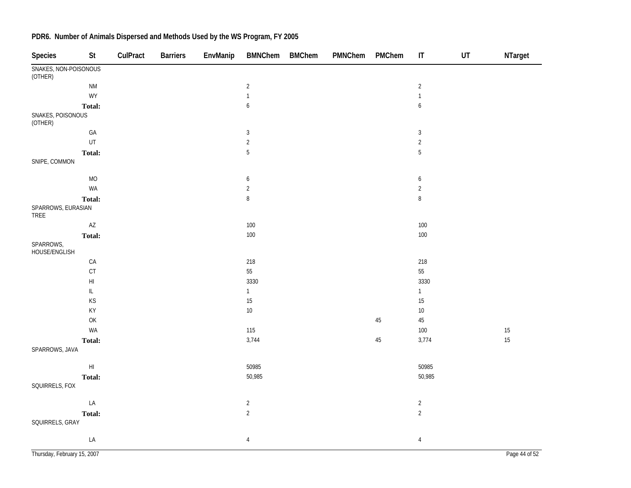| <b>Species</b>                   | <b>St</b>              | CulPract | <b>Barriers</b> | EnvManip | <b>BMNChem</b>   | <b>BMChem</b> | PMNChem | PMChem | $\mathsf{I}\mathsf{T}$ | UT | NTarget |
|----------------------------------|------------------------|----------|-----------------|----------|------------------|---------------|---------|--------|------------------------|----|---------|
| SNAKES, NON-POISONOUS<br>(OTHER) |                        |          |                 |          |                  |               |         |        |                        |    |         |
|                                  | $\mathsf{N}\mathsf{M}$ |          |                 |          | $\overline{2}$   |               |         |        | $\sqrt{2}$             |    |         |
|                                  | WY                     |          |                 |          | $\mathbf{1}$     |               |         |        | $\mathbf{1}$           |    |         |
|                                  | Total:                 |          |                 |          | $\boldsymbol{6}$ |               |         |        | $\boldsymbol{6}$       |    |         |
| SNAKES, POISONOUS<br>(OTHER)     |                        |          |                 |          |                  |               |         |        |                        |    |         |
|                                  | $\mathsf{GA}$          |          |                 |          | $\mathbf{3}$     |               |         |        | $\sqrt{3}$             |    |         |
|                                  | UT                     |          |                 |          | $\sqrt{2}$       |               |         |        | $\overline{2}$         |    |         |
|                                  | Total:                 |          |                 |          | $\overline{5}$   |               |         |        | $\overline{5}$         |    |         |
| SNIPE, COMMON                    |                        |          |                 |          |                  |               |         |        |                        |    |         |
|                                  | $MO$                   |          |                 |          | 6                |               |         |        | 6                      |    |         |
|                                  | WA                     |          |                 |          | $\sqrt{2}$       |               |         |        | $\sqrt{2}$             |    |         |
|                                  | Total:                 |          |                 |          | $\, 8$           |               |         |        | $\, 8$                 |    |         |
| SPARROWS, EURASIAN<br>TREE       |                        |          |                 |          |                  |               |         |        |                        |    |         |
|                                  | $\mathsf{AZ}$          |          |                 |          | 100              |               |         |        | $100\,$                |    |         |
|                                  | Total:                 |          |                 |          | 100              |               |         |        | $100\,$                |    |         |
| SPARROWS,<br>HOUSE/ENGLISH       |                        |          |                 |          |                  |               |         |        |                        |    |         |
|                                  | ${\sf CA}$             |          |                 |          | 218              |               |         |        | 218                    |    |         |
|                                  | CT                     |          |                 |          | 55               |               |         |        | 55                     |    |         |
|                                  | $\mathsf{HI}$          |          |                 |          | 3330             |               |         |        | 3330                   |    |         |
|                                  | IL.                    |          |                 |          | $\mathbf{1}$     |               |         |        | $\mathbf{1}$           |    |         |
|                                  | KS                     |          |                 |          | 15               |               |         |        | $15\,$                 |    |         |
|                                  | KY                     |          |                 |          | $10\,$           |               |         |        | $10\,$                 |    |         |
|                                  | OK                     |          |                 |          |                  |               |         | $45\,$ | 45                     |    |         |
|                                  | WA                     |          |                 |          | 115              |               |         |        | $100\,$                |    | 15      |
|                                  | Total:                 |          |                 |          | 3,744            |               |         | 45     | 3,774                  |    | 15      |
| SPARROWS, JAVA                   |                        |          |                 |          |                  |               |         |        |                        |    |         |
|                                  | $\mathsf{HI}$          |          |                 |          | 50985            |               |         |        | 50985                  |    |         |
|                                  | Total:                 |          |                 |          | 50,985           |               |         |        | 50,985                 |    |         |
| SQUIRRELS, FOX                   |                        |          |                 |          |                  |               |         |        |                        |    |         |
|                                  | LA                     |          |                 |          | $\overline{c}$   |               |         |        | $\sqrt{2}$             |    |         |
|                                  | Total:                 |          |                 |          | $\overline{2}$   |               |         |        | $\overline{2}$         |    |         |
| SQUIRRELS, GRAY                  |                        |          |                 |          |                  |               |         |        |                        |    |         |
|                                  | LA                     |          |                 |          | $\overline{4}$   |               |         |        | $\overline{4}$         |    |         |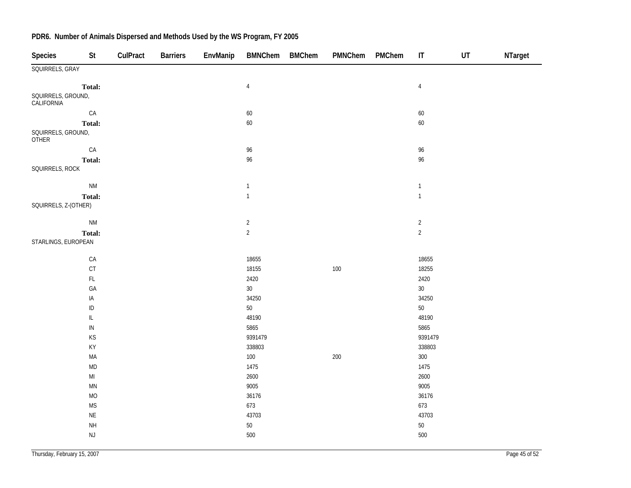| Species                          | St                     | CulPract | <b>Barriers</b> | EnvManip | <b>BMNChem</b> | <b>BMChem</b> | PMNChem | PMChem | $\mathsf{I}\mathsf{T}$ | UT | NTarget |
|----------------------------------|------------------------|----------|-----------------|----------|----------------|---------------|---------|--------|------------------------|----|---------|
| SQUIRRELS, GRAY                  |                        |          |                 |          |                |               |         |        |                        |    |         |
|                                  | Total:                 |          |                 |          | $\overline{4}$ |               |         |        | $\overline{4}$         |    |         |
| SQUIRRELS, GROUND,<br>CALIFORNIA |                        |          |                 |          |                |               |         |        |                        |    |         |
|                                  | ${\sf CA}$             |          |                 |          | 60             |               |         |        | $60\,$                 |    |         |
|                                  | Total:                 |          |                 |          | $60\,$         |               |         |        | $60\,$                 |    |         |
| SQUIRRELS, GROUND,<br>OTHER      |                        |          |                 |          |                |               |         |        |                        |    |         |
|                                  | ${\sf CA}$             |          |                 |          | 96             |               |         |        | 96                     |    |         |
|                                  | <b>Total:</b>          |          |                 |          | 96             |               |         |        | 96                     |    |         |
| SQUIRRELS, ROCK                  |                        |          |                 |          |                |               |         |        |                        |    |         |
|                                  | <b>NM</b>              |          |                 |          | $\overline{1}$ |               |         |        | $\overline{1}$         |    |         |
|                                  | <b>Total:</b>          |          |                 |          | $\overline{1}$ |               |         |        | $\mathbf{1}$           |    |         |
| SQUIRRELS, Z-(OTHER)             |                        |          |                 |          |                |               |         |        |                        |    |         |
|                                  | <b>NM</b>              |          |                 |          | $\sqrt{2}$     |               |         |        | $\overline{2}$         |    |         |
|                                  | Total:                 |          |                 |          | $\overline{2}$ |               |         |        | $\overline{2}$         |    |         |
| STARLINGS, EUROPEAN              |                        |          |                 |          |                |               |         |        |                        |    |         |
|                                  | ${\sf CA}$             |          |                 |          | 18655          |               |         |        | 18655                  |    |         |
|                                  | $C$ T                  |          |                 |          | 18155          |               | 100     |        | 18255                  |    |         |
|                                  | $\mathsf{FL}$          |          |                 |          | 2420           |               |         |        | 2420                   |    |         |
|                                  | GA                     |          |                 |          | $30\,$         |               |         |        | 30 <sup>°</sup>        |    |         |
|                                  | IA                     |          |                 |          | 34250          |               |         |        | 34250                  |    |         |
|                                  | $\sf ID$               |          |                 |          | $50\,$         |               |         |        | $50\,$                 |    |         |
|                                  | IL                     |          |                 |          | 48190          |               |         |        | 48190                  |    |         |
|                                  | ${\sf IN}$             |          |                 |          | 5865           |               |         |        | 5865                   |    |         |
|                                  | KS                     |          |                 |          | 9391479        |               |         |        | 9391479                |    |         |
|                                  | KY                     |          |                 |          | 338803         |               |         |        | 338803                 |    |         |
|                                  | MA                     |          |                 |          | 100            |               | 200     |        | $300\,$                |    |         |
|                                  | $\mathsf{MD}$          |          |                 |          | 1475           |               |         |        | 1475                   |    |         |
|                                  | $\mathsf{MI}$          |          |                 |          | 2600           |               |         |        | 2600                   |    |         |
|                                  | $\mathsf{M}\mathsf{N}$ |          |                 |          | 9005           |               |         |        | 9005                   |    |         |
|                                  | <b>MO</b>              |          |                 |          | 36176          |               |         |        | 36176                  |    |         |
|                                  | $\mathsf{MS}\xspace$   |          |                 |          | 673            |               |         |        | 673                    |    |         |
|                                  | $\sf NE$               |          |                 |          | 43703          |               |         |        | 43703                  |    |         |
|                                  | $\mathsf{NH}\,$        |          |                 |          | $50\,$         |               |         |        | $50\,$                 |    |         |
|                                  | $\mathsf{NJ}$          |          |                 |          | 500            |               |         |        | 500                    |    |         |
|                                  |                        |          |                 |          |                |               |         |        |                        |    |         |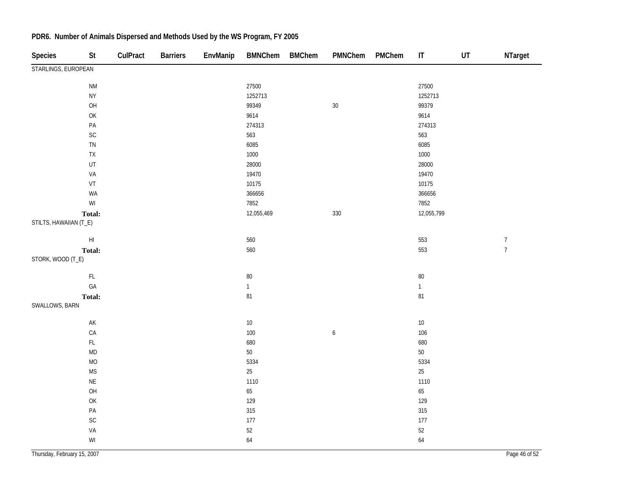| <b>Species</b>         | <b>St</b>                                                                                          | CulPract | <b>Barriers</b> | EnvManip | <b>BMNChem</b> | <b>BMChem</b> | PMNChem          | PMChem | $\sf IT$     | UT | NTarget          |
|------------------------|----------------------------------------------------------------------------------------------------|----------|-----------------|----------|----------------|---------------|------------------|--------|--------------|----|------------------|
| STARLINGS, EUROPEAN    |                                                                                                    |          |                 |          |                |               |                  |        |              |    |                  |
|                        | <b>NM</b>                                                                                          |          |                 |          | 27500          |               |                  |        | 27500        |    |                  |
|                        | ${\sf NY}$                                                                                         |          |                 |          | 1252713        |               |                  |        | 1252713      |    |                  |
|                        | OH                                                                                                 |          |                 |          | 99349          |               | $30\,$           |        | 99379        |    |                  |
|                        | $\mathsf{OK}% \left( \mathcal{M}\right) \equiv\mathsf{OK}(\mathcal{M}_{\mathrm{CL}}(\mathcal{M}))$ |          |                 |          | 9614           |               |                  |        | 9614         |    |                  |
|                        | $\mathsf{PA}$                                                                                      |          |                 |          | 274313         |               |                  |        | 274313       |    |                  |
|                        | $\mathsf{SC}$                                                                                      |          |                 |          | 563            |               |                  |        | 563          |    |                  |
|                        | ${\sf TN}$                                                                                         |          |                 |          | 6085           |               |                  |        | 6085         |    |                  |
|                        | ${\sf TX}$                                                                                         |          |                 |          | 1000           |               |                  |        | 1000         |    |                  |
|                        | UT                                                                                                 |          |                 |          | 28000          |               |                  |        | 28000        |    |                  |
|                        | VA                                                                                                 |          |                 |          | 19470          |               |                  |        | 19470        |    |                  |
|                        | $\ensuremath{\mathsf{VT}}$                                                                         |          |                 |          | 10175          |               |                  |        | 10175        |    |                  |
|                        | WA                                                                                                 |          |                 |          | 366656         |               |                  |        | 366656       |    |                  |
|                        | WI                                                                                                 |          |                 |          | 7852           |               |                  |        | 7852         |    |                  |
|                        | Total:                                                                                             |          |                 |          | 12,055,469     |               | 330              |        | 12,055,799   |    |                  |
| STILTS, HAWAIIAN (T_E) |                                                                                                    |          |                 |          |                |               |                  |        |              |    |                  |
|                        | $\mathsf{H}\mathsf{I}$                                                                             |          |                 |          | 560            |               |                  |        | 553          |    | $\boldsymbol{7}$ |
|                        | Total:                                                                                             |          |                 |          | 560            |               |                  |        | 553          |    | $\overline{7}$   |
| STORK, WOOD (T_E)      |                                                                                                    |          |                 |          |                |               |                  |        |              |    |                  |
|                        | $\mathsf{FL}$                                                                                      |          |                 |          | $80\,$         |               |                  |        | $80\,$       |    |                  |
|                        | GA                                                                                                 |          |                 |          | $\mathbf{1}$   |               |                  |        | $\mathbf{1}$ |    |                  |
|                        | Total:                                                                                             |          |                 |          | 81             |               |                  |        | 81           |    |                  |
| SWALLOWS, BARN         |                                                                                                    |          |                 |          |                |               |                  |        |              |    |                  |
|                        | $\mathsf{AK}$                                                                                      |          |                 |          | $10\,$         |               |                  |        | $10\,$       |    |                  |
|                        | ${\sf CA}$                                                                                         |          |                 |          | 100            |               | $\boldsymbol{6}$ |        | 106          |    |                  |
|                        | $\mathsf{FL}$                                                                                      |          |                 |          | 680            |               |                  |        | 680          |    |                  |
|                        | MD                                                                                                 |          |                 |          | $50\,$         |               |                  |        | $50\,$       |    |                  |
|                        | $\rm MO$                                                                                           |          |                 |          | 5334           |               |                  |        | 5334         |    |                  |
|                        | <b>MS</b>                                                                                          |          |                 |          | 25             |               |                  |        | $25\,$       |    |                  |
|                        | $\mathsf{NE}\xspace$                                                                               |          |                 |          | 1110           |               |                  |        | 1110         |    |                  |
|                        | OH                                                                                                 |          |                 |          | 65             |               |                  |        | 65           |    |                  |
|                        | $\mathsf{OK}$                                                                                      |          |                 |          | 129            |               |                  |        | 129          |    |                  |
|                        | $\mathsf{PA}$                                                                                      |          |                 |          | 315            |               |                  |        | 315          |    |                  |
|                        | $\mathsf{SC}$                                                                                      |          |                 |          | 177            |               |                  |        | $177$        |    |                  |
|                        | VA                                                                                                 |          |                 |          | $52\,$         |               |                  |        | $52\,$       |    |                  |
|                        | $\mathsf{W}\mathsf{I}$                                                                             |          |                 |          | 64             |               |                  |        | 64           |    |                  |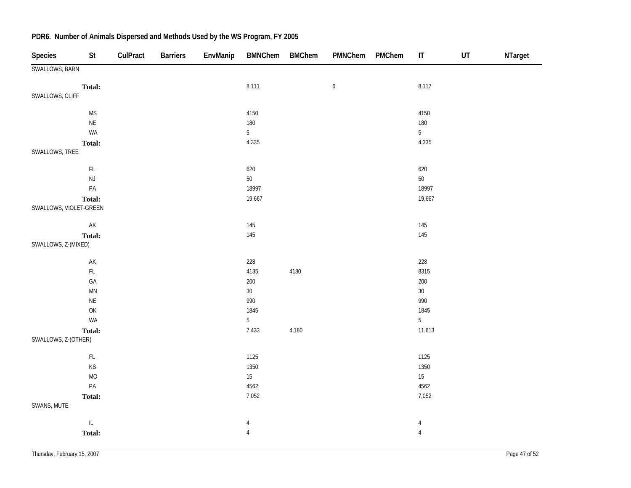| <b>Species</b>         | St                                                   | CulPract | <b>Barriers</b> | EnvManip | <b>BMNChem</b>  | <b>BMChem</b> | PMNChem          | PMChem | $\mathsf{I}\mathsf{T}$ | UT | NTarget |
|------------------------|------------------------------------------------------|----------|-----------------|----------|-----------------|---------------|------------------|--------|------------------------|----|---------|
| SWALLOWS, BARN         |                                                      |          |                 |          |                 |               |                  |        |                        |    |         |
|                        | Total:                                               |          |                 |          | 8,111           |               | $\boldsymbol{6}$ |        | 8,117                  |    |         |
| SWALLOWS, CLIFF        |                                                      |          |                 |          |                 |               |                  |        |                        |    |         |
|                        | <b>MS</b>                                            |          |                 |          | 4150            |               |                  |        | 4150                   |    |         |
|                        | $\mathsf{NE}\xspace$                                 |          |                 |          | 180             |               |                  |        | 180                    |    |         |
|                        | WA                                                   |          |                 |          | $5\overline{)}$ |               |                  |        | 5                      |    |         |
|                        | <b>Total:</b>                                        |          |                 |          | 4,335           |               |                  |        | 4,335                  |    |         |
| SWALLOWS, TREE         |                                                      |          |                 |          |                 |               |                  |        |                        |    |         |
|                        | $\mathsf{FL}$                                        |          |                 |          | 620             |               |                  |        | 620                    |    |         |
|                        | NJ                                                   |          |                 |          | $50\,$          |               |                  |        | $50\,$                 |    |         |
|                        | $\mathsf{PA}$                                        |          |                 |          | 18997           |               |                  |        | 18997                  |    |         |
|                        | Total:                                               |          |                 |          | 19,667          |               |                  |        | 19,667                 |    |         |
| SWALLOWS, VIOLET-GREEN |                                                      |          |                 |          |                 |               |                  |        |                        |    |         |
|                        | $\mathsf{AK}$                                        |          |                 |          | 145             |               |                  |        | 145                    |    |         |
|                        | Total:                                               |          |                 |          | 145             |               |                  |        | 145                    |    |         |
| SWALLOWS, Z-(MIXED)    |                                                      |          |                 |          |                 |               |                  |        |                        |    |         |
|                        | $\mathsf{AK}$                                        |          |                 |          | 228             |               |                  |        | 228                    |    |         |
|                        | $\mathsf{FL}$                                        |          |                 |          | 4135            | 4180          |                  |        | 8315                   |    |         |
|                        | GA                                                   |          |                 |          | $200\,$         |               |                  |        | 200                    |    |         |
|                        | MN                                                   |          |                 |          | $30\,$          |               |                  |        | $30\,$                 |    |         |
|                        | $\sf NE$                                             |          |                 |          | 990             |               |                  |        | 990                    |    |         |
|                        | OK                                                   |          |                 |          | 1845            |               |                  |        | 1845                   |    |         |
|                        | WA                                                   |          |                 |          | $5\phantom{.0}$ |               |                  |        | 5                      |    |         |
|                        | Total:                                               |          |                 |          | 7,433           | 4,180         |                  |        | 11,613                 |    |         |
| SWALLOWS, Z-(OTHER)    |                                                      |          |                 |          |                 |               |                  |        |                        |    |         |
|                        | $\mathsf{FL}$                                        |          |                 |          | 1125            |               |                  |        | 1125                   |    |         |
|                        | $\mathsf{KS}% _{\mathsf{K}}\left( \mathsf{K}\right)$ |          |                 |          | 1350            |               |                  |        | 1350                   |    |         |
|                        | MO                                                   |          |                 |          | 15              |               |                  |        | $15\,$                 |    |         |
|                        | $\mathsf{PA}$                                        |          |                 |          | 4562            |               |                  |        | 4562                   |    |         |
|                        | Total:                                               |          |                 |          | 7,052           |               |                  |        | 7,052                  |    |         |
| SWANS, MUTE            |                                                      |          |                 |          |                 |               |                  |        |                        |    |         |
|                        | $\ensuremath{\mathsf{IL}}\xspace$                    |          |                 |          | $\overline{4}$  |               |                  |        | $\overline{4}$         |    |         |
|                        | Total:                                               |          |                 |          | $\overline{4}$  |               |                  |        | $\overline{4}$         |    |         |
|                        |                                                      |          |                 |          |                 |               |                  |        |                        |    |         |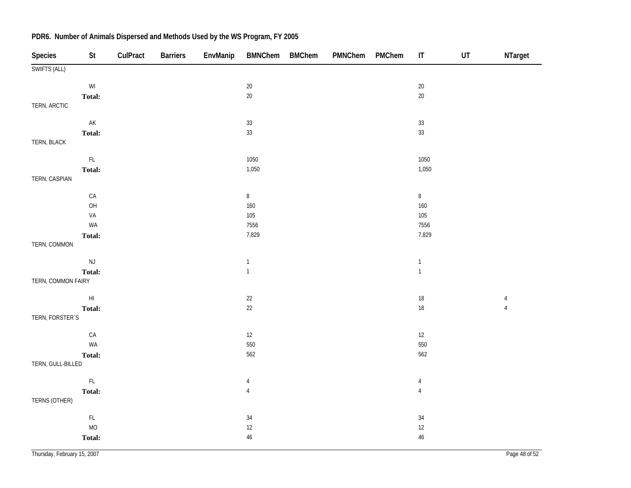| Species            | $\mathsf{St}$                                           | CulPract | <b>Barriers</b> | EnvManip | <b>BMNChem</b> | <b>BMChem</b> | PMNChem | PMChem | $\sf IT$       | UT | NTarget        |
|--------------------|---------------------------------------------------------|----------|-----------------|----------|----------------|---------------|---------|--------|----------------|----|----------------|
| SWIFTS (ALL)       |                                                         |          |                 |          |                |               |         |        |                |    |                |
|                    | $\ensuremath{\mathsf{W}}\xspace\ensuremath{\mathsf{I}}$ |          |                 |          | $20\,$         |               |         |        | $20\,$         |    |                |
|                    | Total:                                                  |          |                 |          | $20\,$         |               |         |        | $20\,$         |    |                |
| TERN, ARCTIC       |                                                         |          |                 |          |                |               |         |        |                |    |                |
|                    | $\mathsf{AK}$                                           |          |                 |          | $33\,$         |               |         |        | $33\,$         |    |                |
|                    | Total:                                                  |          |                 |          | $33\,$         |               |         |        | 33             |    |                |
| TERN, BLACK        |                                                         |          |                 |          |                |               |         |        |                |    |                |
|                    | $\mathsf{FL}$                                           |          |                 |          | 1050           |               |         |        | 1050           |    |                |
|                    | Total:                                                  |          |                 |          | 1,050          |               |         |        | 1,050          |    |                |
| TERN, CASPIAN      |                                                         |          |                 |          |                |               |         |        |                |    |                |
|                    | ${\sf CA}$                                              |          |                 |          | $\,8\,$        |               |         |        | $\, 8$         |    |                |
|                    | O <sub>H</sub>                                          |          |                 |          | 160            |               |         |        | 160            |    |                |
|                    | VA                                                      |          |                 |          | 105            |               |         |        | 105            |    |                |
|                    | WA                                                      |          |                 |          | 7556           |               |         |        | 7556           |    |                |
|                    | Total:                                                  |          |                 |          | 7,829          |               |         |        | 7,829          |    |                |
| TERN, COMMON       |                                                         |          |                 |          |                |               |         |        |                |    |                |
|                    | $\mathsf{NJ}$                                           |          |                 |          | $\mathbf{1}$   |               |         |        | $\mathbf{1}$   |    |                |
|                    | Total:                                                  |          |                 |          | $\mathbf{1}$   |               |         |        | $\mathbf{1}$   |    |                |
| TERN, COMMON FAIRY |                                                         |          |                 |          |                |               |         |        |                |    |                |
|                    | $\mathsf{HI}$                                           |          |                 |          | $22\,$         |               |         |        | 18             |    | $\overline{4}$ |
|                    | Total:                                                  |          |                 |          | $22$           |               |         |        | 18             |    | $\sqrt{4}$     |
| TERN, FORSTER'S    |                                                         |          |                 |          |                |               |         |        |                |    |                |
|                    | ${\sf CA}$                                              |          |                 |          | $12\,$         |               |         |        | $12\,$         |    |                |
|                    | WA                                                      |          |                 |          | 550            |               |         |        | 550            |    |                |
|                    | Total:                                                  |          |                 |          | 562            |               |         |        | 562            |    |                |
| TERN, GULL-BILLED  |                                                         |          |                 |          |                |               |         |        |                |    |                |
|                    | $\mathsf{FL}{}$                                         |          |                 |          | 4              |               |         |        | $\overline{4}$ |    |                |
|                    | Total:                                                  |          |                 |          | $\overline{4}$ |               |         |        | $\sqrt{4}$     |    |                |
| TERNS (OTHER)      |                                                         |          |                 |          |                |               |         |        |                |    |                |
|                    | $\mathsf{FL}{}$                                         |          |                 |          | $34\,$         |               |         |        | 34             |    |                |
|                    | <b>MO</b>                                               |          |                 |          | $12\,$         |               |         |        | $12\,$         |    |                |
|                    | Total:                                                  |          |                 |          | $46\,$         |               |         |        | 46             |    |                |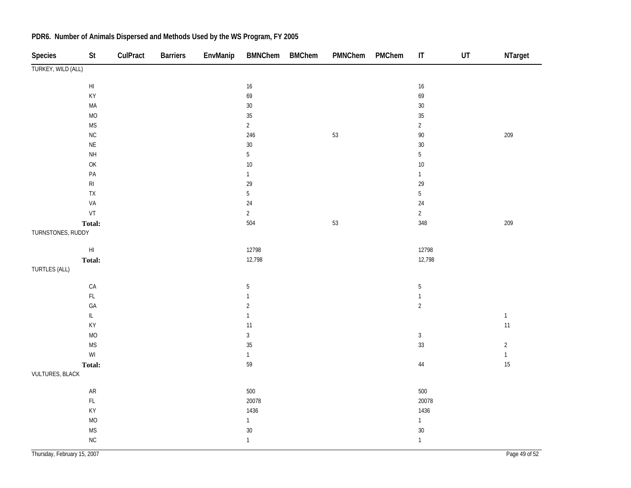| Species                | $\mathsf{St}$                     | CulPract | <b>Barriers</b> | EnvManip | <b>BMNChem</b> | <b>BMChem</b> | PMNChem | PMChem | $\sf IT$       | $\sf{UT}$ | NTarget      |
|------------------------|-----------------------------------|----------|-----------------|----------|----------------|---------------|---------|--------|----------------|-----------|--------------|
| TURKEY, WILD (ALL)     |                                   |          |                 |          |                |               |         |        |                |           |              |
|                        | $\mathsf{HI}$                     |          |                 |          | $16\,$         |               |         |        | $16\,$         |           |              |
|                        | KY                                |          |                 |          | 69             |               |         |        | 69             |           |              |
|                        | MA                                |          |                 |          | $30\,$         |               |         |        | $30\,$         |           |              |
|                        | $MO$                              |          |                 |          | $35\,$         |               |         |        | $35\,$         |           |              |
|                        | $\mathsf{MS}\xspace$              |          |                 |          | $\overline{2}$ |               |         |        | $\overline{2}$ |           |              |
|                        | $\sf NC$                          |          |                 |          | 246            |               | $53\,$  |        | $90\,$         |           | 209          |
|                        | $\sf NE$                          |          |                 |          | $30\,$         |               |         |        | $30\,$         |           |              |
|                        | $\mathsf{NH}\,$                   |          |                 |          | $\sqrt{5}$     |               |         |        | $\mathbf 5$    |           |              |
|                        | OK                                |          |                 |          | $10\,$         |               |         |        | $10\,$         |           |              |
|                        | $\mathsf{PA}$                     |          |                 |          | $\mathbf{1}$   |               |         |        | $\mathbf{1}$   |           |              |
|                        | $\mathsf{RI}$                     |          |                 |          | 29             |               |         |        | 29             |           |              |
|                        | ${\sf TX}$                        |          |                 |          | $\overline{5}$ |               |         |        | $\mathbf 5$    |           |              |
|                        | VA                                |          |                 |          | 24             |               |         |        | $24\,$         |           |              |
|                        | $\ensuremath{\mathsf{VT}}$        |          |                 |          | $\overline{2}$ |               |         |        | $\overline{2}$ |           |              |
|                        | Total:                            |          |                 |          | 504            |               | $53\,$  |        | 348            |           | 209          |
| TURNSTONES, RUDDY      |                                   |          |                 |          |                |               |         |        |                |           |              |
|                        | $\mathsf{HI}$                     |          |                 |          | 12798          |               |         |        | 12798          |           |              |
|                        | Total:                            |          |                 |          | 12,798         |               |         |        | 12,798         |           |              |
| TURTLES (ALL)          |                                   |          |                 |          |                |               |         |        |                |           |              |
|                        | CA                                |          |                 |          | $\mathbf 5$    |               |         |        | $\mathbf 5$    |           |              |
|                        | $\mathsf{FL}$                     |          |                 |          | $\mathbf{1}$   |               |         |        | $\mathbf{1}$   |           |              |
|                        | GA                                |          |                 |          | $\sqrt{2}$     |               |         |        | $\sqrt{2}$     |           |              |
|                        | $\ensuremath{\mathsf{IL}}\xspace$ |          |                 |          | $\mathbbm{1}$  |               |         |        |                |           | $\mathbf{1}$ |
|                        | KY                                |          |                 |          | 11             |               |         |        |                |           | $11$         |
|                        | $MO$                              |          |                 |          | $\mathbf{3}$   |               |         |        | $\mathbf{3}$   |           |              |
|                        | <b>MS</b>                         |          |                 |          | 35             |               |         |        | 33             |           | $\sqrt{2}$   |
|                        | $\mathsf{W}\mathsf{I}$            |          |                 |          | $\mathbf{1}$   |               |         |        |                |           | $\mathbf{1}$ |
|                        | Total:                            |          |                 |          | 59             |               |         |        | $44\,$         |           | 15           |
| <b>VULTURES, BLACK</b> |                                   |          |                 |          |                |               |         |        |                |           |              |
|                        | ${\sf AR}$                        |          |                 |          | 500            |               |         |        | $500\,$        |           |              |
|                        | $\mathsf{FL}$                     |          |                 |          | 20078          |               |         |        | 20078          |           |              |
|                        | KY                                |          |                 |          | 1436           |               |         |        | 1436           |           |              |
|                        | $MO$                              |          |                 |          | $\mathbf{1}$   |               |         |        | $\mathbf{1}$   |           |              |
|                        | <b>MS</b>                         |          |                 |          | 30             |               |         |        | 30             |           |              |
|                        | NC                                |          |                 |          | $\mathbf{1}$   |               |         |        | $\mathbf{1}$   |           |              |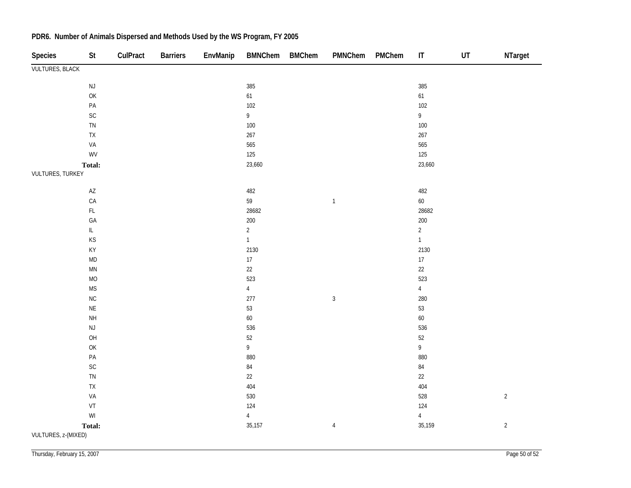| Species                | St                                                      | CulPract | <b>Barriers</b> | EnvManip | BMNChem BMChem                    | PMNChem        | PMChem | $\sf IT$                          | $\ensuremath{\mathsf{UT}}$ | NTarget    |
|------------------------|---------------------------------------------------------|----------|-----------------|----------|-----------------------------------|----------------|--------|-----------------------------------|----------------------------|------------|
| <b>VULTURES, BLACK</b> |                                                         |          |                 |          |                                   |                |        |                                   |                            |            |
|                        | $\mathsf{NJ}$                                           |          |                 |          | 385                               |                |        | 385                               |                            |            |
|                        | OK                                                      |          |                 |          | 61                                |                |        | 61                                |                            |            |
|                        | $\mathsf{PA}$                                           |          |                 |          | $102$                             |                |        | $102$                             |                            |            |
|                        | SC                                                      |          |                 |          | $\mathsf{g}% _{T}=\mathsf{g}_{T}$ |                |        | 9                                 |                            |            |
|                        | ${\sf TN}$                                              |          |                 |          | $100\,$                           |                |        | 100                               |                            |            |
|                        | ${\sf TX}$                                              |          |                 |          | 267                               |                |        | 267                               |                            |            |
|                        | VA                                                      |          |                 |          | 565                               |                |        | 565                               |                            |            |
|                        | WV                                                      |          |                 |          | 125                               |                |        | 125                               |                            |            |
|                        | Total:                                                  |          |                 |          | 23,660                            |                |        | 23,660                            |                            |            |
| VULTURES, TURKEY       |                                                         |          |                 |          |                                   |                |        |                                   |                            |            |
|                        | $\mathsf{A}\mathsf{Z}$                                  |          |                 |          | 482                               |                |        | 482                               |                            |            |
|                        | CA                                                      |          |                 |          | 59                                | $\mathbbm{1}$  |        | 60                                |                            |            |
|                        | $\mathsf{FL}$                                           |          |                 |          | 28682                             |                |        | 28682                             |                            |            |
|                        | GA                                                      |          |                 |          | 200                               |                |        | 200                               |                            |            |
|                        | $\ensuremath{\mathsf{IL}}\xspace$                       |          |                 |          | $\overline{2}$                    |                |        | $\overline{a}$                    |                            |            |
|                        | KS                                                      |          |                 |          | $\mathbf{1}$                      |                |        | $\overline{1}$                    |                            |            |
|                        | KY                                                      |          |                 |          | 2130                              |                |        | 2130                              |                            |            |
|                        | $\mathsf{MD}$                                           |          |                 |          | $17\,$                            |                |        | $17\,$                            |                            |            |
|                        | $\mathsf{M}\mathsf{N}$                                  |          |                 |          | $22\,$                            |                |        | 22                                |                            |            |
|                        | $MO$                                                    |          |                 |          | 523                               |                |        | 523                               |                            |            |
|                        | $\mathsf{MS}\xspace$                                    |          |                 |          | $\sqrt{4}$                        |                |        | $\overline{4}$                    |                            |            |
|                        | NC                                                      |          |                 |          | 277                               | $\sqrt{3}$     |        | 280                               |                            |            |
|                        | $\sf NE$                                                |          |                 |          | 53                                |                |        | 53                                |                            |            |
|                        | <b>NH</b>                                               |          |                 |          | $60\,$                            |                |        | 60                                |                            |            |
|                        | $\mathsf{NJ}$                                           |          |                 |          | 536                               |                |        | 536                               |                            |            |
|                        | OH                                                      |          |                 |          | $52\,$                            |                |        | $52\,$                            |                            |            |
|                        | OK                                                      |          |                 |          | $\mathsf{g}% _{T}=\mathsf{g}_{T}$ |                |        | $\mathsf{g}% _{T}=\mathsf{g}_{T}$ |                            |            |
|                        | $\mathsf{PA}$                                           |          |                 |          | 880                               |                |        | 880                               |                            |            |
|                        | $\mathsf{SC}$                                           |          |                 |          | $\bf 84$                          |                |        | $\bf 84$                          |                            |            |
|                        | ${\sf TN}$                                              |          |                 |          | 22                                |                |        | 22                                |                            |            |
|                        | ${\sf TX}$                                              |          |                 |          | 404                               |                |        | 404                               |                            |            |
|                        | VA                                                      |          |                 |          | 530                               |                |        | 528                               |                            | $\sqrt{2}$ |
|                        | VT                                                      |          |                 |          | 124                               |                |        | 124                               |                            |            |
|                        | $\ensuremath{\mathsf{W}}\xspace\ensuremath{\mathsf{I}}$ |          |                 |          | $\sqrt{4}$                        |                |        | $\overline{4}$                    |                            |            |
| VULTURES, z-(MIXED)    | Total:                                                  |          |                 |          | 35,157                            | $\overline{4}$ |        | 35,159                            |                            | $\sqrt{2}$ |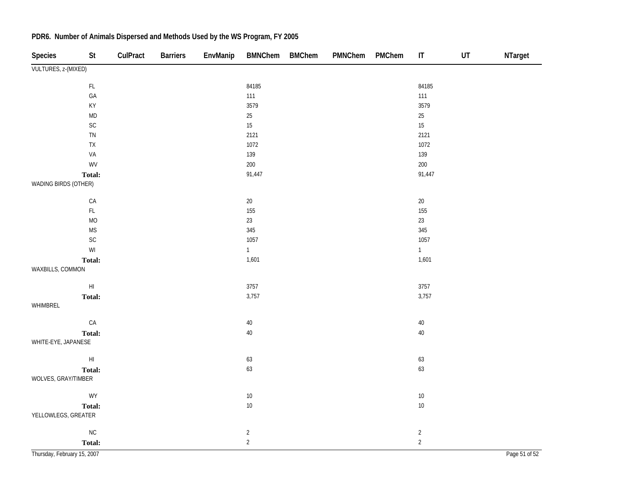| <b>Species</b>              | St                     | CulPract | <b>Barriers</b> | EnvManip | <b>BMNChem</b> | <b>BMChem</b> | PMNChem | PMChem | $\ensuremath{\mathsf{IT}}\xspace$ | UT | NTarget       |
|-----------------------------|------------------------|----------|-----------------|----------|----------------|---------------|---------|--------|-----------------------------------|----|---------------|
| VULTURES, z-(MIXED)         |                        |          |                 |          |                |               |         |        |                                   |    |               |
|                             | $\mathsf{FL}$          |          |                 |          | 84185          |               |         |        | 84185                             |    |               |
|                             | GA                     |          |                 |          | 111            |               |         |        | 111                               |    |               |
|                             | KY                     |          |                 |          | 3579           |               |         |        | 3579                              |    |               |
|                             | $\mathsf{MD}$          |          |                 |          | $25\,$         |               |         |        | $25\,$                            |    |               |
|                             | SC                     |          |                 |          | 15             |               |         |        | 15                                |    |               |
|                             | TN                     |          |                 |          | 2121           |               |         |        | 2121                              |    |               |
|                             | ${\sf TX}$             |          |                 |          | 1072           |               |         |        | 1072                              |    |               |
|                             | VA                     |          |                 |          | 139            |               |         |        | 139                               |    |               |
|                             | WV                     |          |                 |          | 200            |               |         |        | 200                               |    |               |
|                             | Total:                 |          |                 |          | 91,447         |               |         |        | 91,447                            |    |               |
| WADING BIRDS (OTHER)        |                        |          |                 |          |                |               |         |        |                                   |    |               |
|                             | ${\sf CA}$             |          |                 |          | $20\,$         |               |         |        | $20\,$                            |    |               |
|                             | $\mathsf{FL}$          |          |                 |          | 155            |               |         |        | 155                               |    |               |
|                             | <b>MO</b>              |          |                 |          | 23             |               |         |        | 23                                |    |               |
|                             | $\mathsf{MS}\xspace$   |          |                 |          | 345            |               |         |        | 345                               |    |               |
|                             | SC                     |          |                 |          | 1057           |               |         |        | 1057                              |    |               |
|                             | WI                     |          |                 |          | $\mathbf{1}$   |               |         |        | $\mathbf{1}$                      |    |               |
|                             | Total:                 |          |                 |          | 1,601          |               |         |        | 1,601                             |    |               |
| WAXBILLS, COMMON            |                        |          |                 |          |                |               |         |        |                                   |    |               |
|                             | $\mathsf{H}\mathsf{I}$ |          |                 |          | 3757           |               |         |        | 3757                              |    |               |
|                             | Total:                 |          |                 |          | 3,757          |               |         |        | 3,757                             |    |               |
| WHIMBREL                    |                        |          |                 |          |                |               |         |        |                                   |    |               |
|                             | CA                     |          |                 |          | $40\,$         |               |         |        | $40\,$                            |    |               |
|                             | Total:                 |          |                 |          | $40\,$         |               |         |        | $40\,$                            |    |               |
| WHITE-EYE, JAPANESE         |                        |          |                 |          |                |               |         |        |                                   |    |               |
|                             | $\mathsf{H}\mathsf{I}$ |          |                 |          | 63             |               |         |        | 63                                |    |               |
|                             | Total:                 |          |                 |          | 63             |               |         |        | 63                                |    |               |
| WOLVES, GRAY/TIMBER         |                        |          |                 |          |                |               |         |        |                                   |    |               |
|                             | WY                     |          |                 |          | $10\,$         |               |         |        | $10\,$                            |    |               |
|                             | Total:                 |          |                 |          | $10\,$         |               |         |        | $10\,$                            |    |               |
| YELLOWLEGS, GREATER         |                        |          |                 |          |                |               |         |        |                                   |    |               |
|                             | ${\sf NC}$             |          |                 |          | $\overline{2}$ |               |         |        | $\overline{2}$                    |    |               |
|                             | Total:                 |          |                 |          | $\overline{2}$ |               |         |        | $\overline{2}$                    |    |               |
| Thursday, February 15, 2007 |                        |          |                 |          |                |               |         |        |                                   |    | Page 51 of 52 |